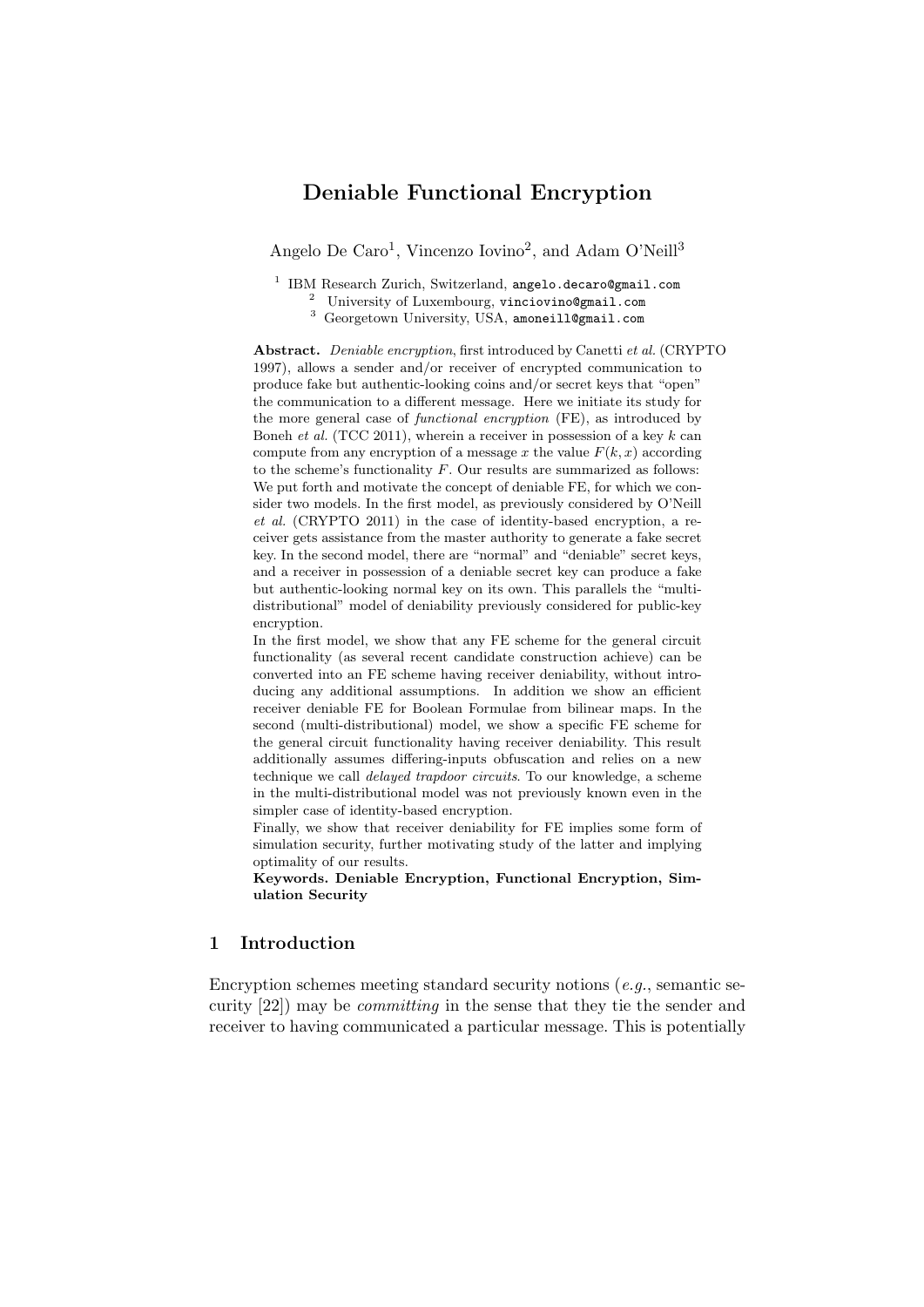# Deniable Functional Encryption

Angelo De Caro<sup>1</sup>, Vincenzo Iovino<sup>2</sup>, and Adam O'Neill<sup>3</sup>

<sup>1</sup> IBM Research Zurich, Switzerland, angelo.decaro@gmail.com

<sup>2</sup> University of Luxembourg, vinciovino@gmail.com

<sup>3</sup> Georgetown University, USA, amoneill@gmail.com

Abstract. Deniable encryption, first introduced by Canetti et al. (CRYPTO 1997), allows a sender and/or receiver of encrypted communication to produce fake but authentic-looking coins and/or secret keys that "open" the communication to a different message. Here we initiate its study for the more general case of *functional encryption* (FE), as introduced by Boneh *et al.* (TCC 2011), wherein a receiver in possession of a key  $k$  can compute from any encryption of a message x the value  $F(k, x)$  according to the scheme's functionality  $F$ . Our results are summarized as follows: We put forth and motivate the concept of deniable FE, for which we consider two models. In the first model, as previously considered by O'Neill et al. (CRYPTO 2011) in the case of identity-based encryption, a receiver gets assistance from the master authority to generate a fake secret key. In the second model, there are "normal" and "deniable" secret keys, and a receiver in possession of a deniable secret key can produce a fake but authentic-looking normal key on its own. This parallels the "multidistributional" model of deniability previously considered for public-key encryption.

In the first model, we show that any FE scheme for the general circuit functionality (as several recent candidate construction achieve) can be converted into an FE scheme having receiver deniability, without introducing any additional assumptions. In addition we show an efficient receiver deniable FE for Boolean Formulae from bilinear maps. In the second (multi-distributional) model, we show a specific FE scheme for the general circuit functionality having receiver deniability. This result additionally assumes differing-inputs obfuscation and relies on a new technique we call delayed trapdoor circuits. To our knowledge, a scheme in the multi-distributional model was not previously known even in the simpler case of identity-based encryption.

Finally, we show that receiver deniability for FE implies some form of simulation security, further motivating study of the latter and implying optimality of our results.

Keywords. Deniable Encryption, Functional Encryption, Simulation Security

# 1 Introduction

Encryption schemes meeting standard security notions  $(e.g.,$  semantic security [22]) may be committing in the sense that they tie the sender and receiver to having communicated a particular message. This is potentially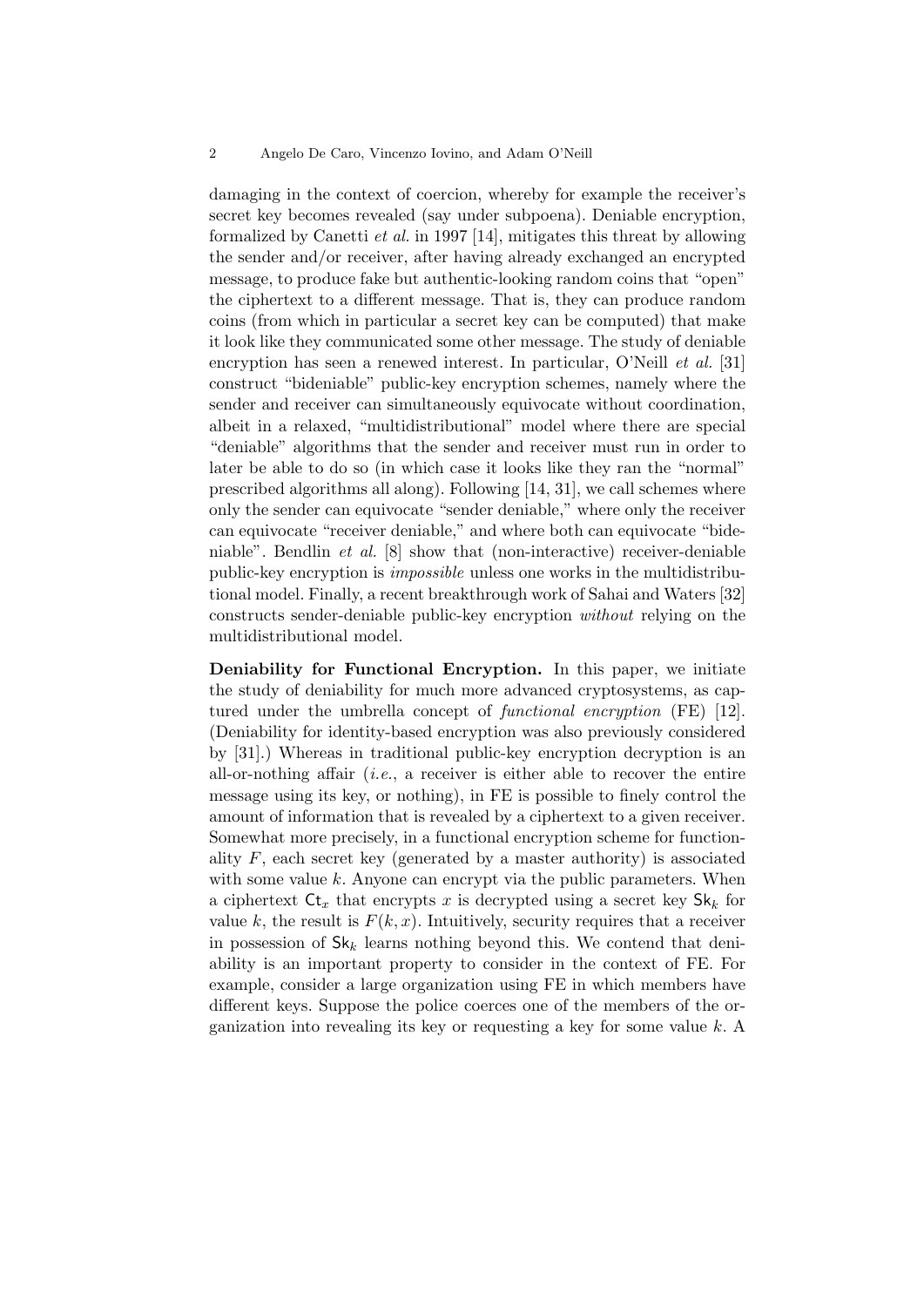damaging in the context of coercion, whereby for example the receiver's secret key becomes revealed (say under subpoena). Deniable encryption, formalized by Canetti et al. in 1997 [14], mitigates this threat by allowing the sender and/or receiver, after having already exchanged an encrypted message, to produce fake but authentic-looking random coins that "open" the ciphertext to a different message. That is, they can produce random coins (from which in particular a secret key can be computed) that make it look like they communicated some other message. The study of deniable encryption has seen a renewed interest. In particular, O'Neill *et al.* [31] construct "bideniable" public-key encryption schemes, namely where the sender and receiver can simultaneously equivocate without coordination, albeit in a relaxed, "multidistributional" model where there are special "deniable" algorithms that the sender and receiver must run in order to later be able to do so (in which case it looks like they ran the "normal" prescribed algorithms all along). Following [14, 31], we call schemes where only the sender can equivocate "sender deniable," where only the receiver can equivocate "receiver deniable," and where both can equivocate "bideniable". Bendlin et al. [8] show that (non-interactive) receiver-deniable public-key encryption is impossible unless one works in the multidistributional model. Finally, a recent breakthrough work of Sahai and Waters [32] constructs sender-deniable public-key encryption without relying on the multidistributional model.

Deniability for Functional Encryption. In this paper, we initiate the study of deniability for much more advanced cryptosystems, as captured under the umbrella concept of *functional encryption* (FE) [12]. (Deniability for identity-based encryption was also previously considered by [31].) Whereas in traditional public-key encryption decryption is an all-or-nothing affair  $(i.e., a$  receiver is either able to recover the entire message using its key, or nothing), in FE is possible to finely control the amount of information that is revealed by a ciphertext to a given receiver. Somewhat more precisely, in a functional encryption scheme for functionality  $F$ , each secret key (generated by a master authority) is associated with some value  $k$ . Anyone can encrypt via the public parameters. When a ciphertext  $\mathsf{C}t_x$  that encrypts x is decrypted using a secret key  $\mathsf{Sk}_k$  for value k, the result is  $F(k, x)$ . Intuitively, security requires that a receiver in possession of  $\mathsf{Sk}_k$  learns nothing beyond this. We contend that deniability is an important property to consider in the context of FE. For example, consider a large organization using FE in which members have different keys. Suppose the police coerces one of the members of the organization into revealing its key or requesting a key for some value k. A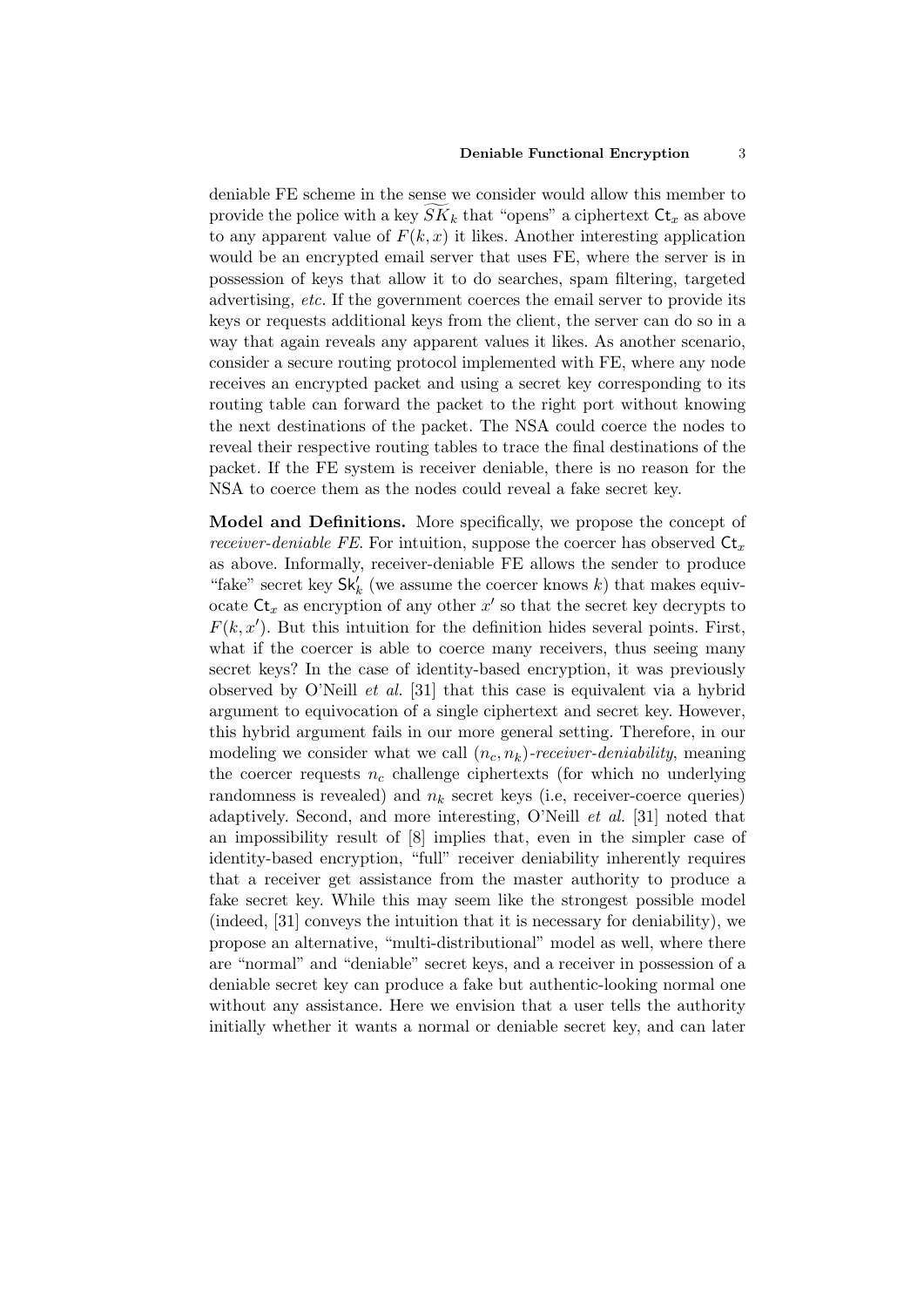#### Deniable Functional Encryption 3

deniable FE scheme in the sense we consider would allow this member to provide the police with a key  $SK_k$  that "opens" a ciphertext  $\mathsf{Ct}_x$  as above to any apparent value of  $F(k, x)$  it likes. Another interesting application would be an encrypted email server that uses FE, where the server is in possession of keys that allow it to do searches, spam filtering, targeted advertising, etc. If the government coerces the email server to provide its keys or requests additional keys from the client, the server can do so in a way that again reveals any apparent values it likes. As another scenario, consider a secure routing protocol implemented with FE, where any node receives an encrypted packet and using a secret key corresponding to its routing table can forward the packet to the right port without knowing the next destinations of the packet. The NSA could coerce the nodes to reveal their respective routing tables to trace the final destinations of the packet. If the FE system is receiver deniable, there is no reason for the NSA to coerce them as the nodes could reveal a fake secret key.

Model and Definitions. More specifically, we propose the concept of *receiver-deniable FE*. For intuition, suppose the coercer has observed  $\mathsf{C}t_x$ as above. Informally, receiver-deniable FE allows the sender to produce "fake" secret key $\mathsf{Sk}'_k$  (we assume the coercer knows  $k)$  that makes equivocate  $\mathsf{C} \mathsf{t}_x$  as encryption of any other  $x'$  so that the secret key decrypts to  $F(k, x')$ . But this intuition for the definition hides several points. First, what if the coercer is able to coerce many receivers, thus seeing many secret keys? In the case of identity-based encryption, it was previously observed by O'Neill et al. [31] that this case is equivalent via a hybrid argument to equivocation of a single ciphertext and secret key. However, this hybrid argument fails in our more general setting. Therefore, in our modeling we consider what we call  $(n_c, n_k)$ -receiver-deniability, meaning the coercer requests  $n_c$  challenge ciphertexts (for which no underlying randomness is revealed) and  $n_k$  secret keys (i.e, receiver-coerce queries) adaptively. Second, and more interesting, O'Neill et al. [31] noted that an impossibility result of [8] implies that, even in the simpler case of identity-based encryption, "full" receiver deniability inherently requires that a receiver get assistance from the master authority to produce a fake secret key. While this may seem like the strongest possible model (indeed, [31] conveys the intuition that it is necessary for deniability), we propose an alternative, "multi-distributional" model as well, where there are "normal" and "deniable" secret keys, and a receiver in possession of a deniable secret key can produce a fake but authentic-looking normal one without any assistance. Here we envision that a user tells the authority initially whether it wants a normal or deniable secret key, and can later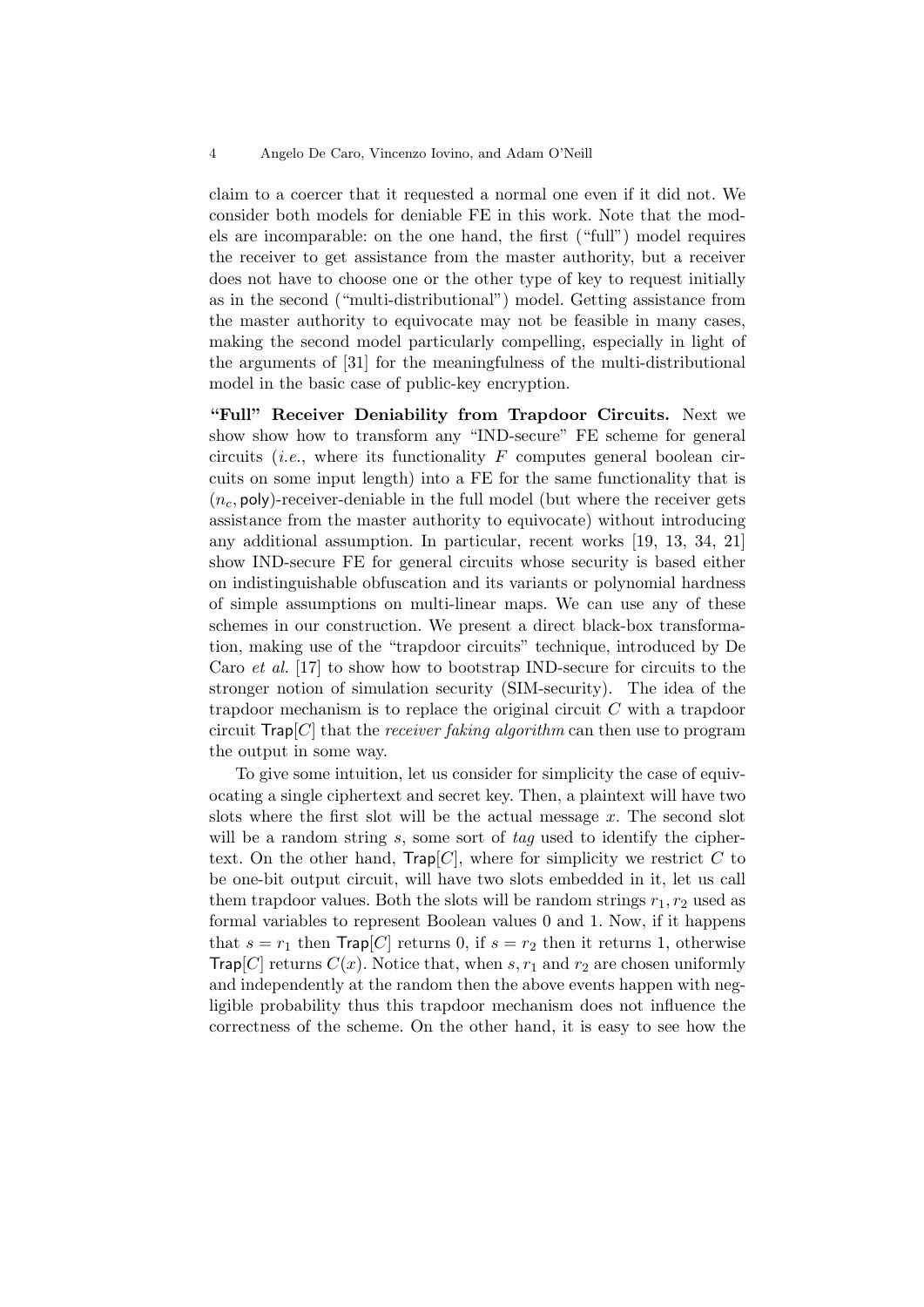claim to a coercer that it requested a normal one even if it did not. We consider both models for deniable FE in this work. Note that the models are incomparable: on the one hand, the first ("full") model requires the receiver to get assistance from the master authority, but a receiver does not have to choose one or the other type of key to request initially as in the second ("multi-distributional") model. Getting assistance from the master authority to equivocate may not be feasible in many cases, making the second model particularly compelling, especially in light of the arguments of [31] for the meaningfulness of the multi-distributional model in the basic case of public-key encryption.

"Full" Receiver Deniability from Trapdoor Circuits. Next we show show how to transform any "IND-secure" FE scheme for general circuits (*i.e.*, where its functionality F computes general boolean circuits on some input length) into a FE for the same functionality that is  $(n_c, \text{poly})$ -receiver-deniable in the full model (but where the receiver gets assistance from the master authority to equivocate) without introducing any additional assumption. In particular, recent works [19, 13, 34, 21] show IND-secure FE for general circuits whose security is based either on indistinguishable obfuscation and its variants or polynomial hardness of simple assumptions on multi-linear maps. We can use any of these schemes in our construction. We present a direct black-box transformation, making use of the "trapdoor circuits" technique, introduced by De Caro et al. [17] to show how to bootstrap IND-secure for circuits to the stronger notion of simulation security (SIM-security). The idea of the trapdoor mechanism is to replace the original circuit C with a trapdoor circuit  $\text{Trap}[C]$  that the *receiver faking algorithm* can then use to program the output in some way.

To give some intuition, let us consider for simplicity the case of equivocating a single ciphertext and secret key. Then, a plaintext will have two slots where the first slot will be the actual message  $x$ . The second slot will be a random string  $s$ , some sort of  $tag$  used to identify the ciphertext. On the other hand, Trap[C], where for simplicity we restrict C to be one-bit output circuit, will have two slots embedded in it, let us call them trapdoor values. Both the slots will be random strings  $r_1, r_2$  used as formal variables to represent Boolean values 0 and 1. Now, if it happens that  $s = r_1$  then  $\text{Trap}[C]$  returns 0, if  $s = r_2$  then it returns 1, otherwise **Trap**[C] returns  $C(x)$ . Notice that, when s,  $r_1$  and  $r_2$  are chosen uniformly and independently at the random then the above events happen with negligible probability thus this trapdoor mechanism does not influence the correctness of the scheme. On the other hand, it is easy to see how the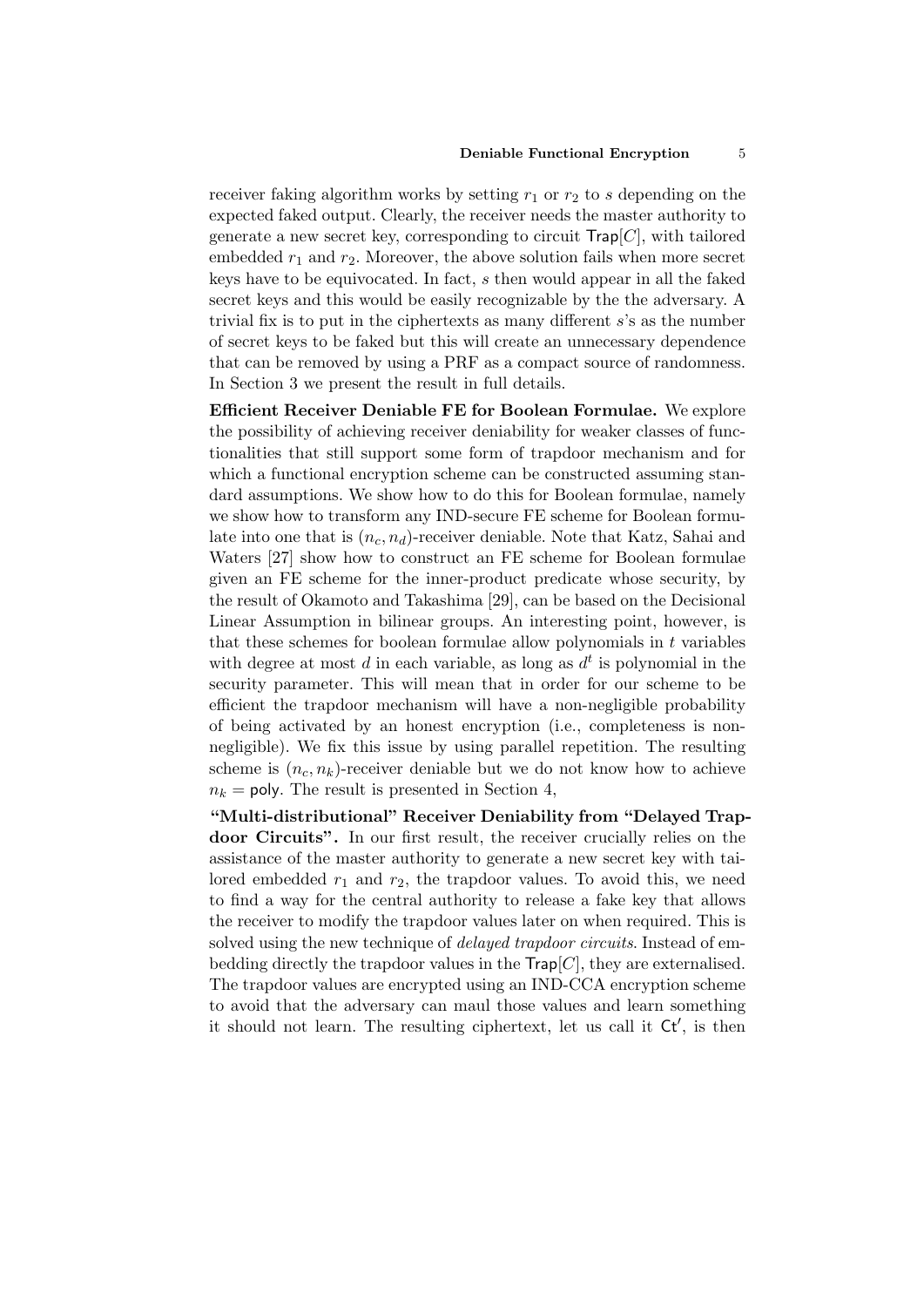receiver faking algorithm works by setting  $r_1$  or  $r_2$  to s depending on the expected faked output. Clearly, the receiver needs the master authority to generate a new secret key, corresponding to circuit  $\mathsf{Trap}[C]$ , with tailored embedded  $r_1$  and  $r_2$ . Moreover, the above solution fails when more secret keys have to be equivocated. In fact, s then would appear in all the faked secret keys and this would be easily recognizable by the the adversary. A trivial fix is to put in the ciphertexts as many different  $s$ 's as the number of secret keys to be faked but this will create an unnecessary dependence that can be removed by using a PRF as a compact source of randomness. In Section 3 we present the result in full details.

Efficient Receiver Deniable FE for Boolean Formulae. We explore the possibility of achieving receiver deniability for weaker classes of functionalities that still support some form of trapdoor mechanism and for which a functional encryption scheme can be constructed assuming standard assumptions. We show how to do this for Boolean formulae, namely we show how to transform any IND-secure FE scheme for Boolean formulate into one that is  $(n_c, n_d)$ -receiver deniable. Note that Katz, Sahai and Waters [27] show how to construct an FE scheme for Boolean formulae given an FE scheme for the inner-product predicate whose security, by the result of Okamoto and Takashima [29], can be based on the Decisional Linear Assumption in bilinear groups. An interesting point, however, is that these schemes for boolean formulae allow polynomials in t variables with degree at most  $d$  in each variable, as long as  $d^t$  is polynomial in the security parameter. This will mean that in order for our scheme to be efficient the trapdoor mechanism will have a non-negligible probability of being activated by an honest encryption (i.e., completeness is nonnegligible). We fix this issue by using parallel repetition. The resulting scheme is  $(n_c, n_k)$ -receiver deniable but we do not know how to achieve  $n_k$  = poly. The result is presented in Section 4,

"Multi-distributional" Receiver Deniability from "Delayed Trapdoor Circuits". In our first result, the receiver crucially relies on the assistance of the master authority to generate a new secret key with tailored embedded  $r_1$  and  $r_2$ , the trapdoor values. To avoid this, we need to find a way for the central authority to release a fake key that allows the receiver to modify the trapdoor values later on when required. This is solved using the new technique of *delayed trapdoor circuits*. Instead of embedding directly the trapdoor values in the  $\mathsf{Trap}[C]$ , they are externalised. The trapdoor values are encrypted using an IND-CCA encryption scheme to avoid that the adversary can maul those values and learn something it should not learn. The resulting ciphertext, let us call it  $Ct'$ , is then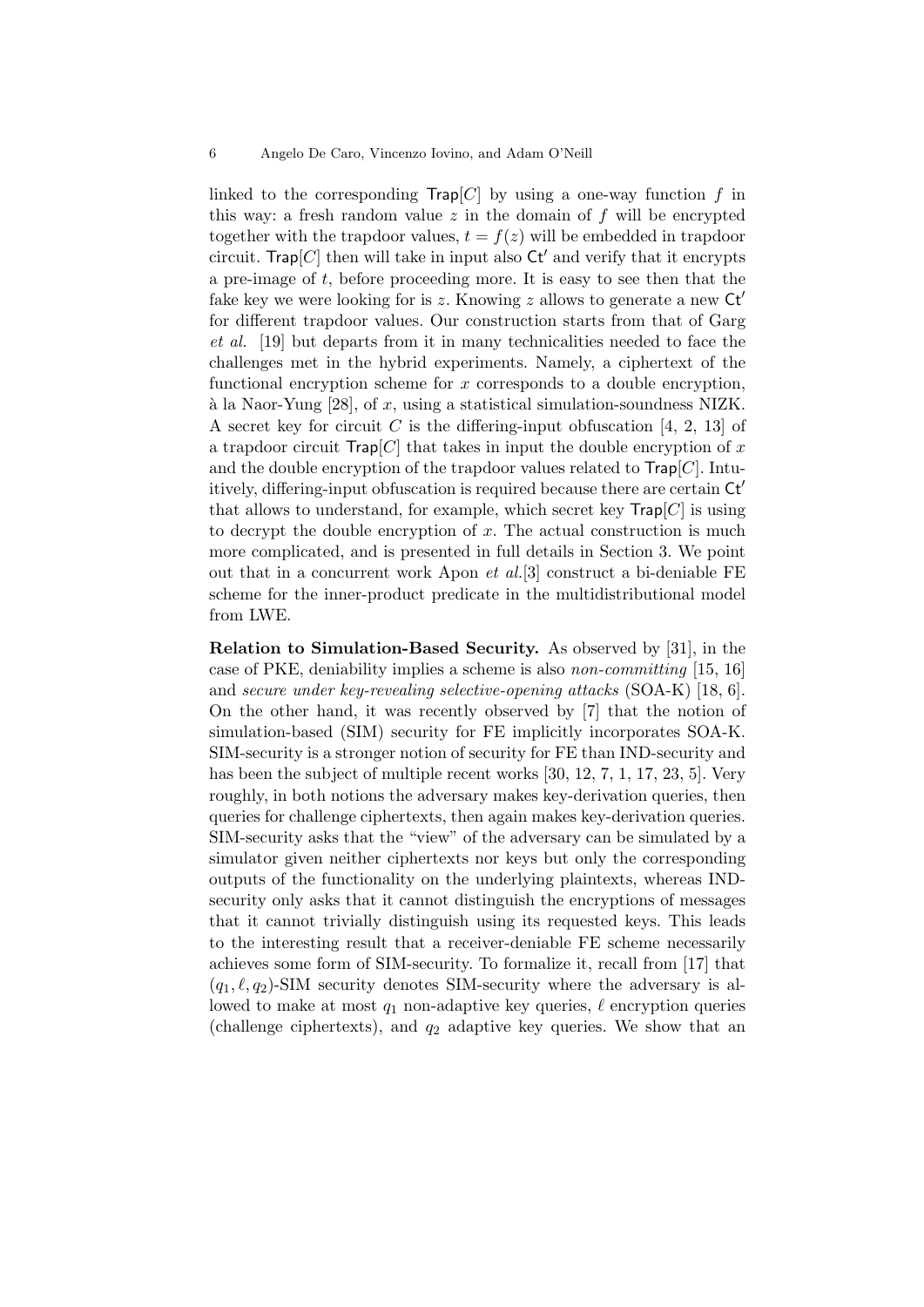linked to the corresponding  $\text{Trap}[C]$  by using a one-way function f in this way: a fresh random value  $z$  in the domain of  $f$  will be encrypted together with the trapdoor values,  $t = f(z)$  will be embedded in trapdoor circuit. Trap  $[C]$  then will take in input also  $\mathsf{C} \mathsf{t}'$  and verify that it encrypts a pre-image of t, before proceeding more. It is easy to see then that the fake key we were looking for is z. Knowing z allows to generate a new  $\mathsf{C} \mathsf{t}'$ for different trapdoor values. Our construction starts from that of Garg et al. [19] but departs from it in many technicalities needed to face the challenges met in the hybrid experiments. Namely, a ciphertext of the functional encryption scheme for  $x$  corresponds to a double encryption,  $\alpha$  la Naor-Yung [28], of x, using a statistical simulation-soundness NIZK. A secret key for circuit C is the differing-input obfuscation [4, 2, 13] of a trapdoor circuit  $\text{Trap}[C]$  that takes in input the double encryption of x and the double encryption of the trapdoor values related to  $\mathsf{Trap}[C]$ . Intuitively, differing-input obfuscation is required because there are certain  $\mathsf{C} \mathsf{t}'$ that allows to understand, for example, which secret key  $\mathsf{Trap}[C]$  is using to decrypt the double encryption of  $x$ . The actual construction is much more complicated, and is presented in full details in Section 3. We point out that in a concurrent work Apon et al.[3] construct a bi-deniable FE scheme for the inner-product predicate in the multidistributional model from LWE.

Relation to Simulation-Based Security. As observed by [31], in the case of PKE, deniability implies a scheme is also non-committing [15, 16] and secure under key-revealing selective-opening attacks (SOA-K) [18, 6]. On the other hand, it was recently observed by [7] that the notion of simulation-based (SIM) security for FE implicitly incorporates SOA-K. SIM-security is a stronger notion of security for FE than IND-security and has been the subject of multiple recent works [30, 12, 7, 1, 17, 23, 5]. Very roughly, in both notions the adversary makes key-derivation queries, then queries for challenge ciphertexts, then again makes key-derivation queries. SIM-security asks that the "view" of the adversary can be simulated by a simulator given neither ciphertexts nor keys but only the corresponding outputs of the functionality on the underlying plaintexts, whereas INDsecurity only asks that it cannot distinguish the encryptions of messages that it cannot trivially distinguish using its requested keys. This leads to the interesting result that a receiver-deniable FE scheme necessarily achieves some form of SIM-security. To formalize it, recall from [17] that  $(q_1, \ell, q_2)$ -SIM security denotes SIM-security where the adversary is allowed to make at most  $q_1$  non-adaptive key queries,  $\ell$  encryption queries (challenge ciphertexts), and  $q_2$  adaptive key queries. We show that an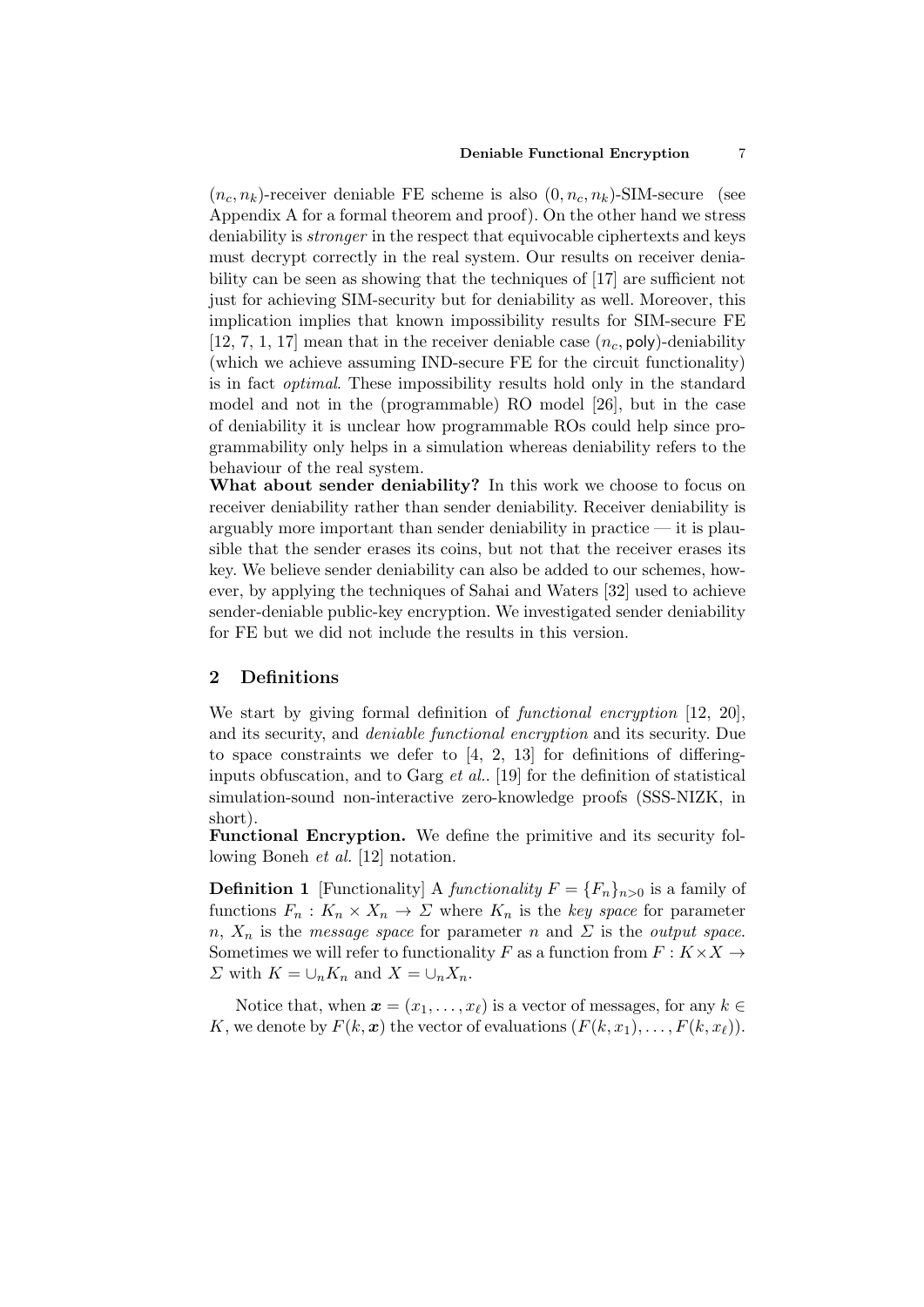#### Deniable Functional Encryption 7

 $(n_c, n_k)$ -receiver deniable FE scheme is also  $(0, n_c, n_k)$ -SIM-secure (see Appendix A for a formal theorem and proof). On the other hand we stress deniability is *stronger* in the respect that equivocable ciphertexts and keys must decrypt correctly in the real system. Our results on receiver deniability can be seen as showing that the techniques of [17] are sufficient not just for achieving SIM-security but for deniability as well. Moreover, this implication implies that known impossibility results for SIM-secure FE [12, 7, 1, 17] mean that in the receiver deniable case  $(n_c, \text{poly})$ -deniability (which we achieve assuming IND-secure FE for the circuit functionality) is in fact optimal. These impossibility results hold only in the standard model and not in the (programmable) RO model [26], but in the case of deniability it is unclear how programmable ROs could help since programmability only helps in a simulation whereas deniability refers to the behaviour of the real system.

What about sender deniability? In this work we choose to focus on receiver deniability rather than sender deniability. Receiver deniability is arguably more important than sender deniability in practice — it is plausible that the sender erases its coins, but not that the receiver erases its key. We believe sender deniability can also be added to our schemes, however, by applying the techniques of Sahai and Waters [32] used to achieve sender-deniable public-key encryption. We investigated sender deniability for FE but we did not include the results in this version.

# 2 Definitions

We start by giving formal definition of *functional encryption* [12, 20], and its security, and deniable functional encryption and its security. Due to space constraints we defer to [4, 2, 13] for definitions of differinginputs obfuscation, and to Garg *et al.*. [19] for the definition of statistical simulation-sound non-interactive zero-knowledge proofs (SSS-NIZK, in short).

Functional Encryption. We define the primitive and its security following Boneh *et al.* [12] notation.

**Definition 1** [Functionality] A functionality  $F = \{F_n\}_{n>0}$  is a family of functions  $F_n: K_n \times X_n \to \Sigma$  where  $K_n$  is the key space for parameter n,  $X_n$  is the *message space* for parameter n and  $\Sigma$  is the *output space*. Sometimes we will refer to functionality F as a function from  $F: K \times X \rightarrow$  $\Sigma$  with  $K = \bigcup_n K_n$  and  $X = \bigcup_n X_n$ .

Notice that, when  $\mathbf{x} = (x_1, \ldots, x_\ell)$  is a vector of messages, for any  $k \in \mathbb{R}$ K, we denote by  $F(k, x)$  the vector of evaluations  $(F(k, x_1), \ldots, F(k, x_{\ell}))$ .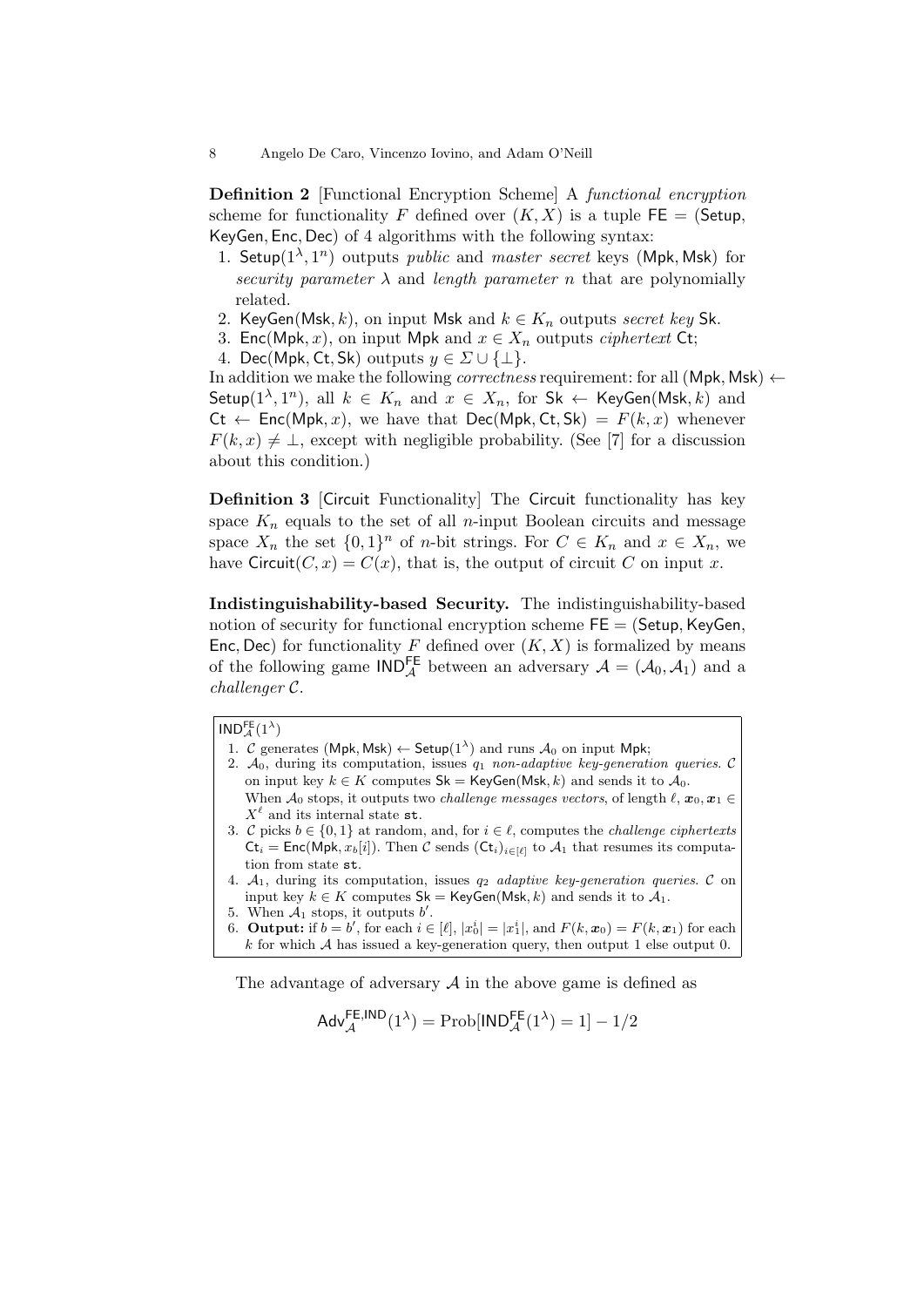Definition 2 [Functional Encryption Scheme] A functional encryption scheme for functionality F defined over  $(K, X)$  is a tuple  $FE = (Setup,$ KeyGen, Enc, Dec) of 4 algorithms with the following syntax:

- 1. Setup( $1^{\lambda}, 1^{n}$ ) outputs *public* and *master secret* keys (Mpk, Msk) for security parameter  $\lambda$  and length parameter n that are polynomially related.
- 2. KeyGen(Msk, k), on input Msk and  $k \in K_n$  outputs secret key Sk.
- 3. Enc(Mpk, x), on input Mpk and  $x \in X_n$  outputs *ciphertext* Ct;
- 4. Dec(Mpk, Ct, Sk) outputs  $y \in \Sigma \cup \{\perp\}.$

In addition we make the following *correctness* requirement: for all  $(Mpk, Msk) \leftarrow$ Setup( $1^{\lambda}, 1^n$ ), all  $k \in K_n$  and  $x \in X_n$ , for Sk  $\leftarrow$  KeyGen(Msk, k) and  $C_t \leftarrow \mathsf{Enc}(\mathsf{Mpk}, x)$ , we have that  $\mathsf{Dec}(\mathsf{Mpk}, \mathsf{Ct}, \mathsf{Sk}) = F(k, x)$  whenever  $F(k, x) \neq \perp$ , except with negligible probability. (See [7] for a discussion about this condition.)

Definition 3 [Circuit Functionality] The Circuit functionality has key space  $K_n$  equals to the set of all *n*-input Boolean circuits and message space  $X_n$  the set  $\{0,1\}^n$  of *n*-bit strings. For  $C \in K_n$  and  $x \in X_n$ , we have Circuit $(C, x) = C(x)$ , that is, the output of circuit C on input x.

Indistinguishability-based Security. The indistinguishability-based notion of security for functional encryption scheme  $FE = (Setup, KeyGen,$ Enc, Dec) for functionality F defined over  $(K, X)$  is formalized by means of the following game  $\text{IND}_{\mathcal{A}}^{\text{FE}}$  between an adversary  $\mathcal{A} = (\mathcal{A}_0, \mathcal{A}_1)$  and a challenger C.

## $\mathsf{IND}_\mathcal{A}^{\mathsf{FE}}(1^\lambda)$

- 1. C generates (Mpk, Msk)  $\leftarrow$  Setup(1<sup> $\lambda$ </sup>) and runs  $\mathcal{A}_0$  on input Mpk;
- 2.  $A_0$ , during its computation, issues  $q_1$  non-adaptive key-generation queries. C on input key  $k \in K$  computes  $\mathsf{Sk} = \mathsf{KeyGen}(\mathsf{Msk}, k)$  and sends it to  $\mathcal{A}_0$ . When  $\mathcal{A}_0$  stops, it outputs two *challenge messages vectors*, of length  $\ell, x_0, x_1 \in$  $X^{\ell}$  and its internal state st.
- 3. C picks  $b \in \{0, 1\}$  at random, and, for  $i \in \ell$ , computes the *challenge ciphertexts*  $\mathsf{C}t_i = \mathsf{Enc}(\mathsf{Mpk}, x_b[i])$ . Then C sends  $(\mathsf{C}t_i)_{i \in [\ell]}$  to  $\mathcal{A}_1$  that resumes its computation from state st.
- 4.  $A_1$ , during its computation, issues  $q_2$  adaptive key-generation queries. C on input key  $k \in K$  computes  $\mathsf{Sk} = \mathsf{KeyGen}(\mathsf{Msk}, k)$  and sends it to  $\mathcal{A}_1$ .
- 5. When  $A_1$  stops, it outputs  $b'$ .
- 6. **Output:** if  $b = b'$ , for each  $i \in [\ell], |x_0^i| = |x_1^i|$ , and  $F(k, x_0) = F(k, x_1)$  for each k for which A has issued a key-generation query, then output 1 else output 0.

The advantage of adversary  $A$  in the above game is defined as

$$
\mathsf{Adv}_{\mathcal{A}}^{\mathsf{FE},\mathsf{IND}}(1^{\lambda}) = \mathrm{Prob}[\mathsf{IND}_{\mathcal{A}}^{\mathsf{FE}}(1^{\lambda}) = 1] - 1/2
$$

<sup>8</sup> Angelo De Caro, Vincenzo Iovino, and Adam O'Neill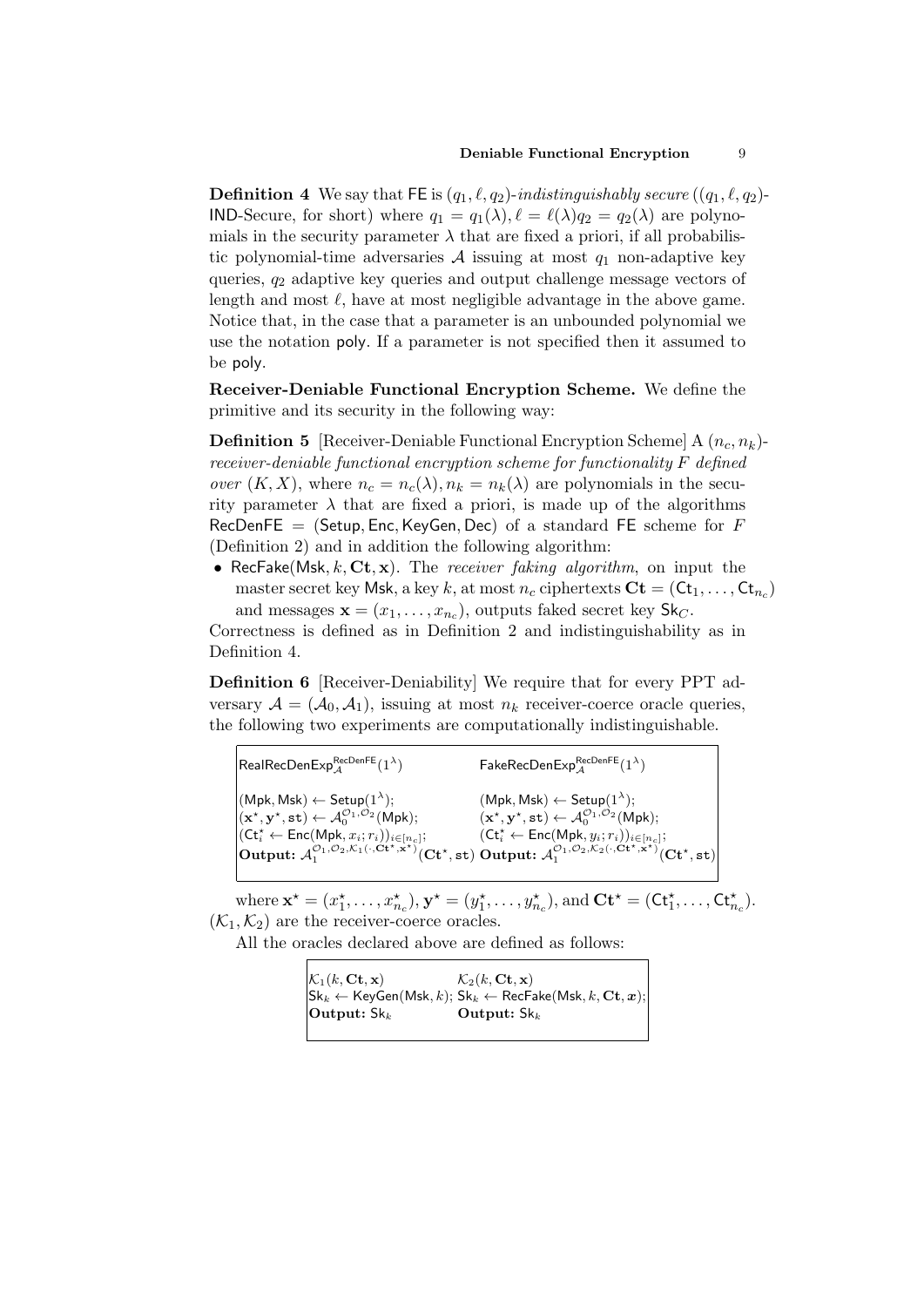#### Deniable Functional Encryption 9

**Definition 4** We say that FE is  $(q_1, \ell, q_2)$ -indistinguishably secure  $((q_1, \ell, q_2)$ -**IND-Secure, for short)** where  $q_1 = q_1(\lambda), \ell = \ell(\lambda)q_2 = q_2(\lambda)$  are polynomials in the security parameter  $\lambda$  that are fixed a priori, if all probabilistic polynomial-time adversaries  $A$  issuing at most  $q_1$  non-adaptive key queries,  $q_2$  adaptive key queries and output challenge message vectors of length and most  $\ell$ , have at most negligible advantage in the above game. Notice that, in the case that a parameter is an unbounded polynomial we use the notation poly. If a parameter is not specified then it assumed to be poly.

Receiver-Deniable Functional Encryption Scheme. We define the primitive and its security in the following way:

**Definition 5** [Receiver-Deniable Functional Encryption Scheme] A  $(n_c, n_k)$ receiver-deniable functional encryption scheme for functionality F defined *over*  $(K, X)$ , where  $n_c = n_c(\lambda), n_k = n_k(\lambda)$  are polynomials in the security parameter  $\lambda$  that are fixed a priori, is made up of the algorithms RecDenFE = (Setup, Enc, KeyGen, Dec) of a standard FE scheme for  $F$ (Definition 2) and in addition the following algorithm:

• RecFake(Msk,  $k$ , Ct, x). The receiver faking algorithm, on input the master secret key Msk, a key  $k$ , at most  $n_c$  ciphertexts  $\mathbf{Ct} = (\mathsf{Ct}_1, \dots, \mathsf{Ct}_{n_c})$ and messages  $\mathbf{x} = (x_1, \dots, x_{n_c})$ , outputs faked secret key  $\mathsf{Sk}_C$ .

Correctness is defined as in Definition 2 and indistinguishability as in Definition 4.

Definition 6 [Receiver-Deniability] We require that for every PPT adversary  $A = (A_0, A_1)$ , issuing at most  $n_k$  receiver-coerce oracle queries, the following two experiments are computationally indistinguishable.

 $\mathsf{RealRecDenExp}_{\mathcal{A}}^{\mathsf{RecDenFE}}(1^{\lambda})$  $(Mpk, Msk) \leftarrow Setup(1^{\lambda});$  $(\mathbf{x}^{\star}, \mathbf{y}^{\star}, \mathsf{st}) \leftarrow \mathcal{A}_0^{\mathcal{O}_1, \mathcal{O}_2}(\mathsf{Mpk});$  $(\mathsf{C} \mathsf{t}^{\star}_i \leftarrow \mathsf{Enc}(\mathsf{Mpk}, x_i; r_i))_{i \in [n_c]};$ Output:  $\mathcal{A}_1^{\mathcal{O}_1, \mathcal{O}_2, \mathcal{K}_1(\cdot, \mathbf{C} \mathbf{t}^\star, \mathbf{x}^\star)}(\mathbf{C} \mathbf{t}^\star, \mathbf{s} \mathbf{t})$  $\mathsf{FakeRecDenExp}^\mathsf{RecDenFE}_\mathcal{A}(1^\lambda)$  $(Mpk, Msk) \leftarrow Setup(1^{\lambda});$  $(\mathbf{x}^{\star}, \mathbf{y}^{\star}, \mathsf{st}) \leftarrow \mathcal{A}_0^{\mathcal{O}_1, \mathcal{O}_2}(\mathsf{Mpk});$  $(\mathsf{C} \mathsf{t}^{\star}_i \leftarrow \mathsf{Enc}(\mathsf{Mpk}, y_i; r_i))_{i \in [n_c]};$ Output:  $\mathcal{A}_1^{\mathcal{O}_1, \mathcal{O}_2, \mathcal{K}_2(\cdot, \mathbf{C} \mathbf{t}^\star, \mathbf{x}^\star)}(\mathbf{C} \mathbf{t}^\star, \mathbf{s} \mathbf{t})$ 

where  $\mathbf{x}^* = (x_1^*, \ldots, x_{n_c}^*)$ ,  $\mathbf{y}^* = (y_1^*, \ldots, y_{n_c}^*)$ , and  $\mathbf{C} \mathbf{t}^* = (\mathbf{C} \mathbf{t}_1^*, \ldots, \mathbf{C} \mathbf{t}_{n_c}^*)$ .  $(\mathcal{K}_1, \mathcal{K}_2)$  are the receiver-coerce oracles.

All the oracles declared above are defined as follows:

| $\mathcal{K}_1(k,\mathbf{Ct},\mathbf{x})$ | $\mathcal{K}_2(k,\mathbf{Ct},\mathbf{x})$                                                                                                     |
|-------------------------------------------|-----------------------------------------------------------------------------------------------------------------------------------------------|
|                                           | $\mathsf{Sk}_k \leftarrow \mathsf{KeyGen}(\mathsf{Msk}, k); \mathsf{Sk}_k \leftarrow \mathsf{RecFake}(\mathsf{Msk}, k, \mathbf{Ct}, \bm{x});$ |
| Output: $\mathsf{Sk}_k$                   | Output: $\mathsf{Sk}_k$                                                                                                                       |
|                                           |                                                                                                                                               |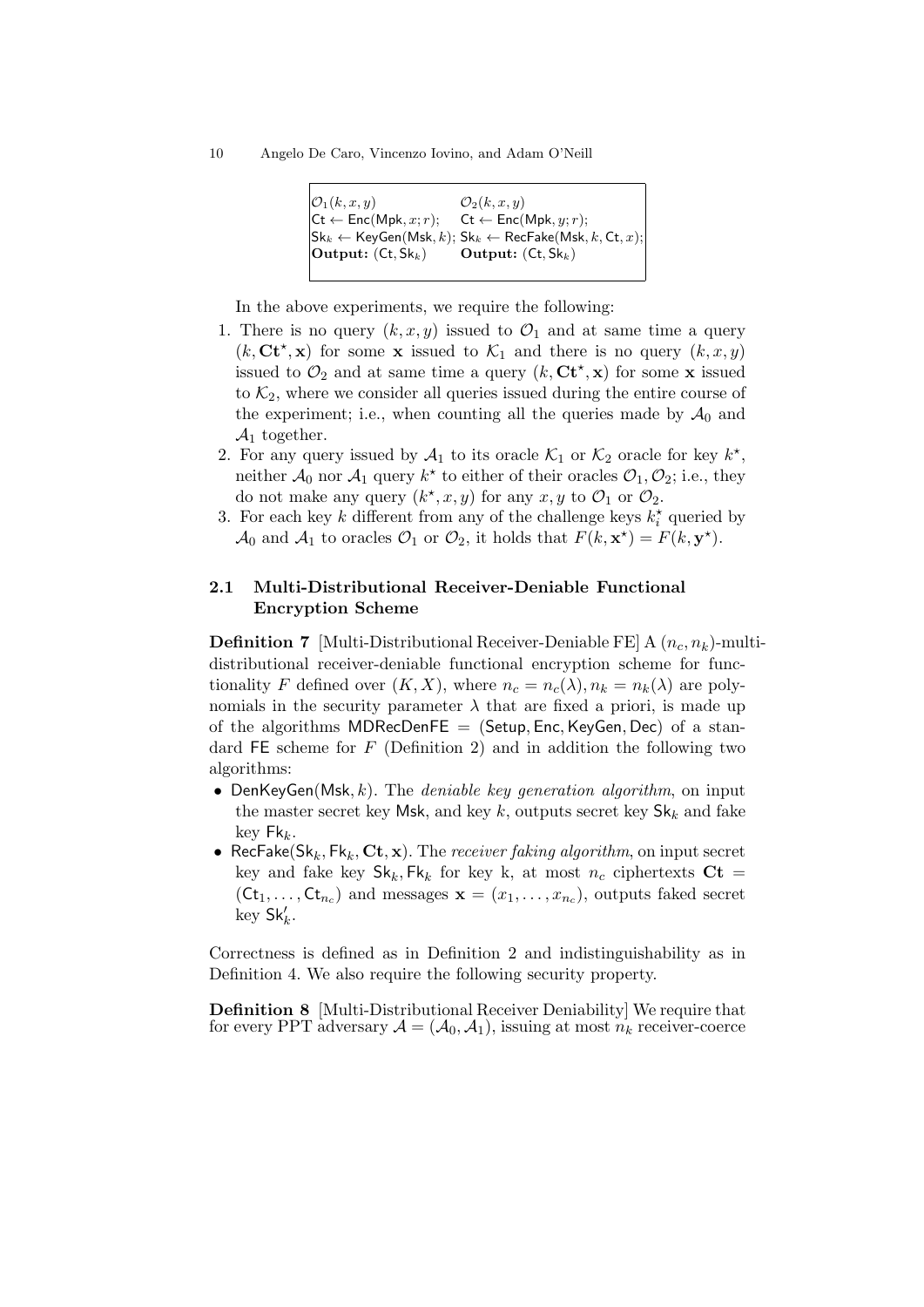10 Angelo De Caro, Vincenzo Iovino, and Adam O'Neill

| $\mathcal{O}_1(k,x,y)$                              | $\mathcal{O}_2(k,x,y)$                                                                                                                                    |
|-----------------------------------------------------|-----------------------------------------------------------------------------------------------------------------------------------------------------------|
| $\mathsf{C}$ t $\leftarrow$ Enc(Mpk, x; r);         | $\mathsf{C}$ t $\leftarrow$ Enc(Mpk, $y; r$ );                                                                                                            |
|                                                     | $ {\mathsf{Sk}}_k \leftarrow {\mathsf{KeyGen}}({\mathsf{Msk}}, k); {\mathsf{Sk}}_k \leftarrow {\mathsf{RecFake}}({\mathsf{Msk}}, k, {\mathsf{Ct}}, x);  $ |
| $\left $ <b>Output:</b> $($ Ct, Sk <sub>k</sub> $)$ | <b>Output:</b> $($ Ct, $Sk_k$ $)$                                                                                                                         |
|                                                     |                                                                                                                                                           |

In the above experiments, we require the following:

- 1. There is no query  $(k, x, y)$  issued to  $\mathcal{O}_1$  and at same time a query  $(k, \mathbf{C} \mathbf{t}^*, \mathbf{x})$  for some **x** issued to  $\mathcal{K}_1$  and there is no query  $(k, x, y)$ issued to  $\mathcal{O}_2$  and at same time a query  $(k, \mathbf{C} \mathbf{t}^*, \mathbf{x})$  for some **x** issued to  $\mathcal{K}_2$ , where we consider all queries issued during the entire course of the experiment; i.e., when counting all the queries made by  $\mathcal{A}_0$  and  $\mathcal{A}_1$  together.
- 2. For any query issued by  $\mathcal{A}_1$  to its oracle  $\mathcal{K}_1$  or  $\mathcal{K}_2$  oracle for key  $k^*$ , neither  $\mathcal{A}_0$  nor  $\mathcal{A}_1$  query  $k^*$  to either of their oracles  $\mathcal{O}_1, \mathcal{O}_2$ ; i.e., they do not make any query  $(k^*, x, y)$  for any  $x, y$  to  $\mathcal{O}_1$  or  $\mathcal{O}_2$ .
- 3. For each key k different from any of the challenge keys  $k_i^*$  queried by  $\mathcal{A}_0$  and  $\mathcal{A}_1$  to oracles  $\mathcal{O}_1$  or  $\mathcal{O}_2$ , it holds that  $F(k, \mathbf{x}^*) = F(k, \mathbf{y}^*)$ .

# 2.1 Multi-Distributional Receiver-Deniable Functional Encryption Scheme

**Definition 7** [Multi-Distributional Receiver-Deniable FE]  $A(n_c, n_k)$ -multidistributional receiver-deniable functional encryption scheme for functionality F defined over  $(K, X)$ , where  $n_c = n_c(\lambda), n_k = n_k(\lambda)$  are polynomials in the security parameter  $\lambda$  that are fixed a priori, is made up of the algorithms MDRecDenFE  $=$  (Setup, Enc, KeyGen, Dec) of a standard  $FE$  scheme for  $F$  (Definition 2) and in addition the following two algorithms:

- DenKeyGen(Msk, k). The *deniable key generation algorithm*, on input the master secret key Msk, and key k, outputs secret key  $\mathsf{Sk}_k$  and fake  $key$  Fk<sub>k</sub>.
- RecFake( $\mathsf{Sk}_k, \mathsf{Fk}_k, \mathbf{Ct}, \mathbf{x}$ ). The *receiver faking algorithm*, on input secret key and fake key  $\mathsf{Sk}_k, \mathsf{Fk}_k$  for key k, at most  $n_c$  ciphertexts  $\mathbf{Ct} =$  $(St_1, \ldots, St_{n_c})$  and messages  $\mathbf{x} = (x_1, \ldots, x_{n_c})$ , outputs faked secret  $\text{key } \mathsf{Sk}'_k.$

Correctness is defined as in Definition 2 and indistinguishability as in Definition 4. We also require the following security property.

Definition 8 [Multi-Distributional Receiver Deniability] We require that for every PPT adversary  $A = (\mathcal{A}_0, \mathcal{A}_1)$ , issuing at most  $n_k$  receiver-coerce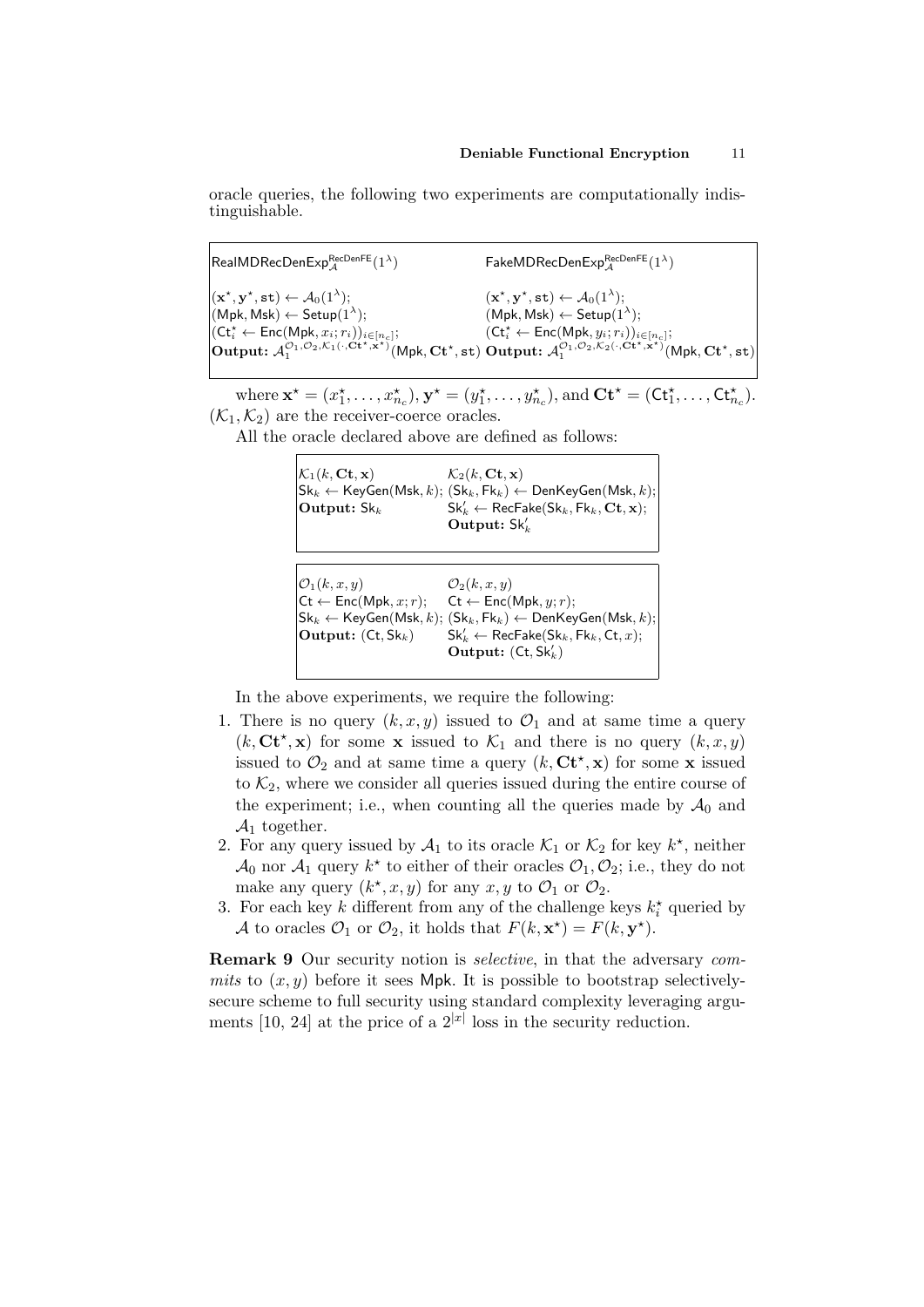oracle queries, the following two experiments are computationally indistinguishable.

 $\mathsf{RealMDRecDenExp}_{\mathcal{A}}^{\mathsf{RecDenFE}}(1^{\lambda})$  $(\mathbf{x}^{\star}, \mathbf{y}^{\star}, \mathtt{st}) \leftarrow \mathcal{A}_0(1^{\lambda});$  $(Mpk, Msk) \leftarrow Setup(1^{\lambda});$  $(\mathsf{C} \mathsf{t}^{\star}_i \leftarrow \mathsf{Enc}(\mathsf{Mpk}, x_i; r_i))_{i \in [n_c]};$ Output:  $\mathcal{A}_1^{\mathcal{O}_1,\mathcal{O}_2,\mathcal{K}_1(\cdot,\mathbf{C}\mathbf{t}^\star,\mathbf{x}^\star)}(\mathsf{Mpk},\mathbf{C}\mathbf{t}^\star,\mathbf{st})$  $\mathsf{FakeMDRecDenExp}_{\mathcal{A}}^{\mathsf{RecDenFE}}(1^{\lambda})$  $(\mathbf{x}^{\star}, \mathbf{y}^{\star}, \mathtt{st}) \leftarrow \mathcal{A}_0(1^{\lambda});$  $(Mpk, Msk) \leftarrow Setup(1^{\lambda});$  $(\mathsf{C} \mathsf{t}^\star_i \leftarrow \mathsf{Enc}(\mathsf{Mpk}, y_i; r_i))_{i \in [n_c]};$ Output:  $\mathcal{A}_1^{\mathcal{O}_1,\mathcal{O}_2,\mathcal{K}_2(\cdot,\mathbf{C}t^\star,\mathbf{x}^\star)}(Mpk,\mathbf{C}t^\star,\mathbf{st})$ 

where  $\mathbf{x}^* = (x_1^*, \ldots, x_{n_c}^*)$ ,  $\mathbf{y}^* = (y_1^*, \ldots, y_{n_c}^*)$ , and  $\mathbf{C} \mathbf{t}^* = (\mathbf{C} \mathbf{t}_1^*, \ldots, \mathbf{C} \mathbf{t}_{n_c}^*)$ .  $(\mathcal{K}_1, \mathcal{K}_2)$  are the receiver-coerce oracles.

All the oracle declared above are defined as follows:

| $\mathcal{K}_1(k,\mathbf{Ct},\mathbf{x})$ | $\mathcal{K}_2(k, \mathbf{C}t, \mathbf{x})$                                                                                                                |
|-------------------------------------------|------------------------------------------------------------------------------------------------------------------------------------------------------------|
|                                           | $ {\mathsf{Sk}}_k \leftarrow {\mathsf{KeyGen}}({\mathsf{Msk}}, k); ({\mathsf{Sk}}_k, {\mathsf{Fk}}_k) \leftarrow {\mathsf{DenKeyGen}}({\mathsf{Msk}}, k);$ |
| Output: $\mathsf{Sk}_k$                   | $\mathsf{Sk}'_k \leftarrow \mathsf{RecFake}(\mathsf{Sk}_k, \mathsf{Fk}_k, \mathbf{Ct}, \mathbf{x});$                                                       |
|                                           | Output: $Sk'_{k}$                                                                                                                                          |
|                                           |                                                                                                                                                            |

| $\mathcal{O}_1(k,x,y)$                      | $\mathcal{O}_2(k,x,y)$                                                                                                                      |
|---------------------------------------------|---------------------------------------------------------------------------------------------------------------------------------------------|
| $\mathsf{C}$ t $\leftarrow$ Enc(Mpk, x; r); | $\mathsf{C}$ t $\leftarrow$ Enc(Mpk, $y; r$ );                                                                                              |
|                                             | $\mathsf{Sk}_k \leftarrow \mathsf{KeyGen}(\mathsf{Msk}, k); (\mathsf{Sk}_k, \mathsf{Fk}_k) \leftarrow \mathsf{DenKeyGen}(\mathsf{Msk}, k);$ |
| <b>Output:</b> $($ Ct, $Sk_k)$              | $\mathsf{Sk}'_k \leftarrow \mathsf{RecFake}(\mathsf{Sk}_k, \mathsf{Fk}_k, \mathsf{Ct}, x);$                                                 |
|                                             | Output: $(Ct, Sk'_k)$                                                                                                                       |
|                                             |                                                                                                                                             |

In the above experiments, we require the following:

- 1. There is no query  $(k, x, y)$  issued to  $\mathcal{O}_1$  and at same time a query  $(k, C t^*, x)$  for some x issued to  $\mathcal{K}_1$  and there is no query  $(k, x, y)$ issued to  $\mathcal{O}_2$  and at same time a query  $(k, \mathbf{C} \mathbf{t}^*, \mathbf{x})$  for some **x** issued to  $\mathcal{K}_2$ , where we consider all queries issued during the entire course of the experiment; i.e., when counting all the queries made by  $A_0$  and  $\mathcal{A}_1$  together.
- 2. For any query issued by  $\mathcal{A}_1$  to its oracle  $\mathcal{K}_1$  or  $\mathcal{K}_2$  for key  $k^*$ , neither  $\mathcal{A}_0$  nor  $\mathcal{A}_1$  query  $k^*$  to either of their oracles  $\mathcal{O}_1, \mathcal{O}_2$ ; i.e., they do not make any query  $(k^*, x, y)$  for any  $x, y$  to  $\mathcal{O}_1$  or  $\mathcal{O}_2$ .
- 3. For each key k different from any of the challenge keys  $k_i^*$  queried by A to oracles  $\mathcal{O}_1$  or  $\mathcal{O}_2$ , it holds that  $F(k, \mathbf{x}^*) = F(k, \mathbf{y}^*)$ .

**Remark 9** Our security notion is *selective*, in that the adversary commits to  $(x, y)$  before it sees Mpk. It is possible to bootstrap selectivelysecure scheme to full security using standard complexity leveraging arguments [10, 24] at the price of a  $2^{|x|}$  loss in the security reduction.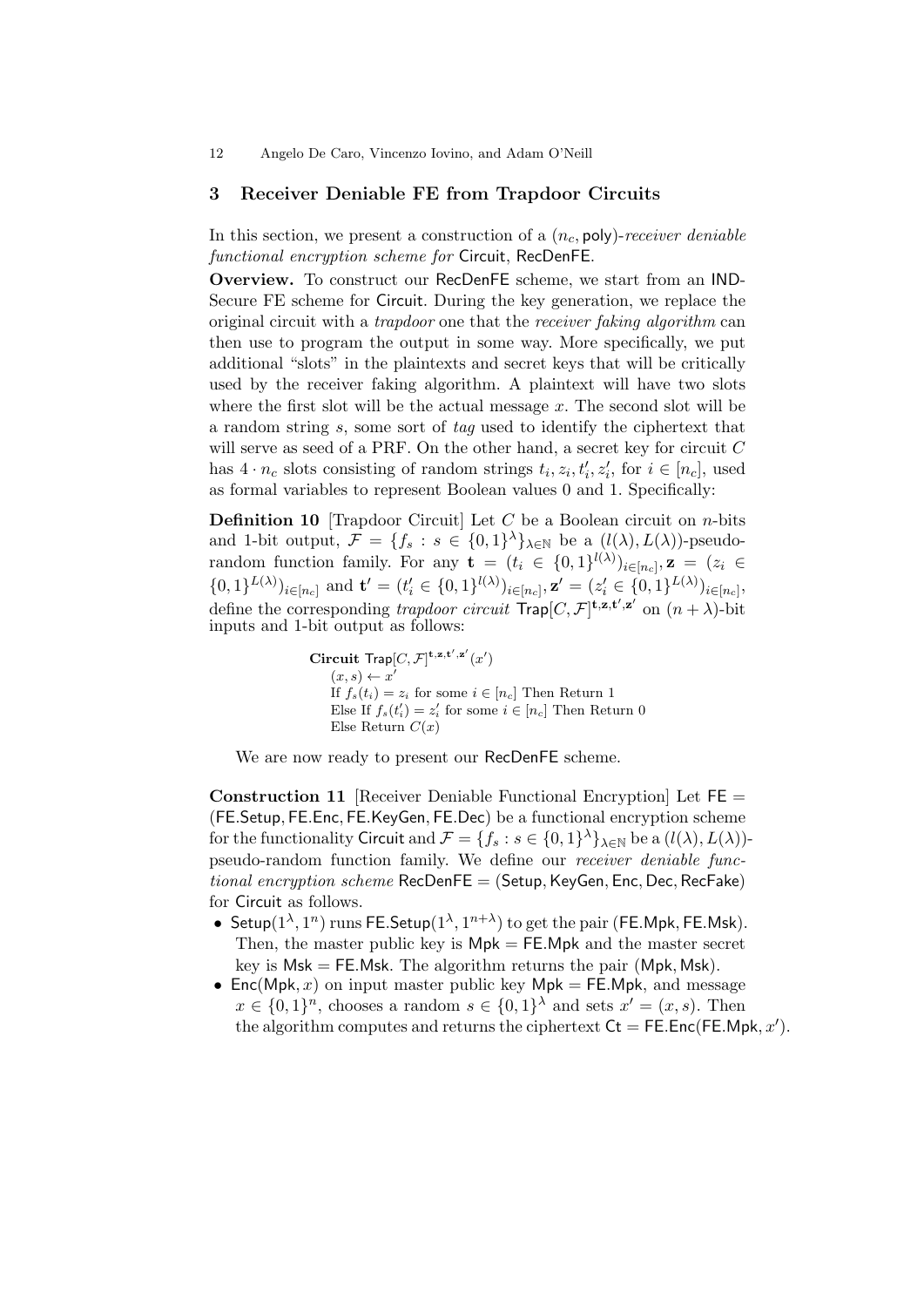## 3 Receiver Deniable FE from Trapdoor Circuits

In this section, we present a construction of a  $(n_c, \text{poly})$ -receiver deniable functional encryption scheme for Circuit, RecDenFE.

Overview. To construct our RecDenFE scheme, we start from an IND-Secure FE scheme for Circuit. During the key generation, we replace the original circuit with a *trapdoor* one that the *receiver faking algorithm* can then use to program the output in some way. More specifically, we put additional "slots" in the plaintexts and secret keys that will be critically used by the receiver faking algorithm. A plaintext will have two slots where the first slot will be the actual message  $x$ . The second slot will be a random string s, some sort of tag used to identify the ciphertext that will serve as seed of a PRF. On the other hand, a secret key for circuit  $C$ has  $4 \cdot n_c$  slots consisting of random strings  $t_i, z_i, t'_i, z'_i$ , for  $i \in [n_c]$ , used as formal variables to represent Boolean values 0 and 1. Specifically:

**Definition 10** [Trapdoor Circuit] Let  $C$  be a Boolean circuit on *n*-bits and 1-bit output,  $\mathcal{F} = \{f_s : s \in \{0,1\}^{\lambda}\}\$ <sub>A∈N</sub> be a  $(l(\lambda), L(\lambda))$ -pseudorandom function family. For any  $\mathbf{t} = (t_i \in \{0,1\}^{l(\lambda)})_{i \in [n_c]}, \mathbf{z} = (z_i \in$  $\{0,1\}^{L(\lambda)}\}_{i\in[n_c]}$  and  $\mathbf{t}'=(t'_i\in\{0,1\}^{l(\lambda)})_{i\in[n_c]}, \mathbf{z}'=(z'_i\in\{0,1\}^{L(\lambda)})_{i\in[n_c]},$ define the corresponding trapdoor circuit  $\text{Trap}[C, \mathcal{F}]^{\text{t,z,t',z'}}$  on  $(n + \lambda)$ -bit inputs and 1-bit output as follows:

> Circuit  $\text{Trap}[C, \mathcal{F}]^{\mathbf{t}, \mathbf{z}, \mathbf{t}', \mathbf{z}'}(x')$  $(x, s) \leftarrow x'$ If  $f_s(t_i) = z_i$  for some  $i \in [n_c]$  Then Return 1 Else If  $f_s(t'_i) = z'_i$  for some  $i \in [n_c]$  Then Return 0 Else Return  $C(x)$

We are now ready to present our RecDenFE scheme.

**Construction 11** [Receiver Deniable Functional Encryption] Let  $FE =$ (FE.Setup, FE.Enc, FE.KeyGen, FE.Dec) be a functional encryption scheme for the functionality Circuit and  $\mathcal{F} = \{f_s : s \in \{0,1\}^\lambda\}_{\lambda \in \mathbb{N}}$  be a  $(l(\lambda), L(\lambda))$ pseudo-random function family. We define our receiver deniable func $tional\ encryption\ scheme\ RecDenFE = (Setup, KeyGen, Enc, Dec, RecFake)$ for Circuit as follows.

- Setup( $1^{\lambda}, 1^n$ ) runs FE.Setup( $1^{\lambda}, 1^{n+\lambda}$ ) to get the pair (FE.Mpk, FE.Msk). Then, the master public key is  $Mpk = FE.Mpk$  and the master secret key is  $Msk = FE.Msk$ . The algorithm returns the pair (Mpk, Msk).
- Enc(Mpk, x) on input master public key Mpk = FE.Mpk, and message  $x \in \{0,1\}^n$ , chooses a random  $s \in \{0,1\}^{\lambda}$  and sets  $x' = (x, s)$ . Then the algorithm computes and returns the ciphertext  $\mathsf{C}t = \mathsf{FE}.\mathsf{Enc}(\mathsf{FE}.\mathsf{Mpk}, x').$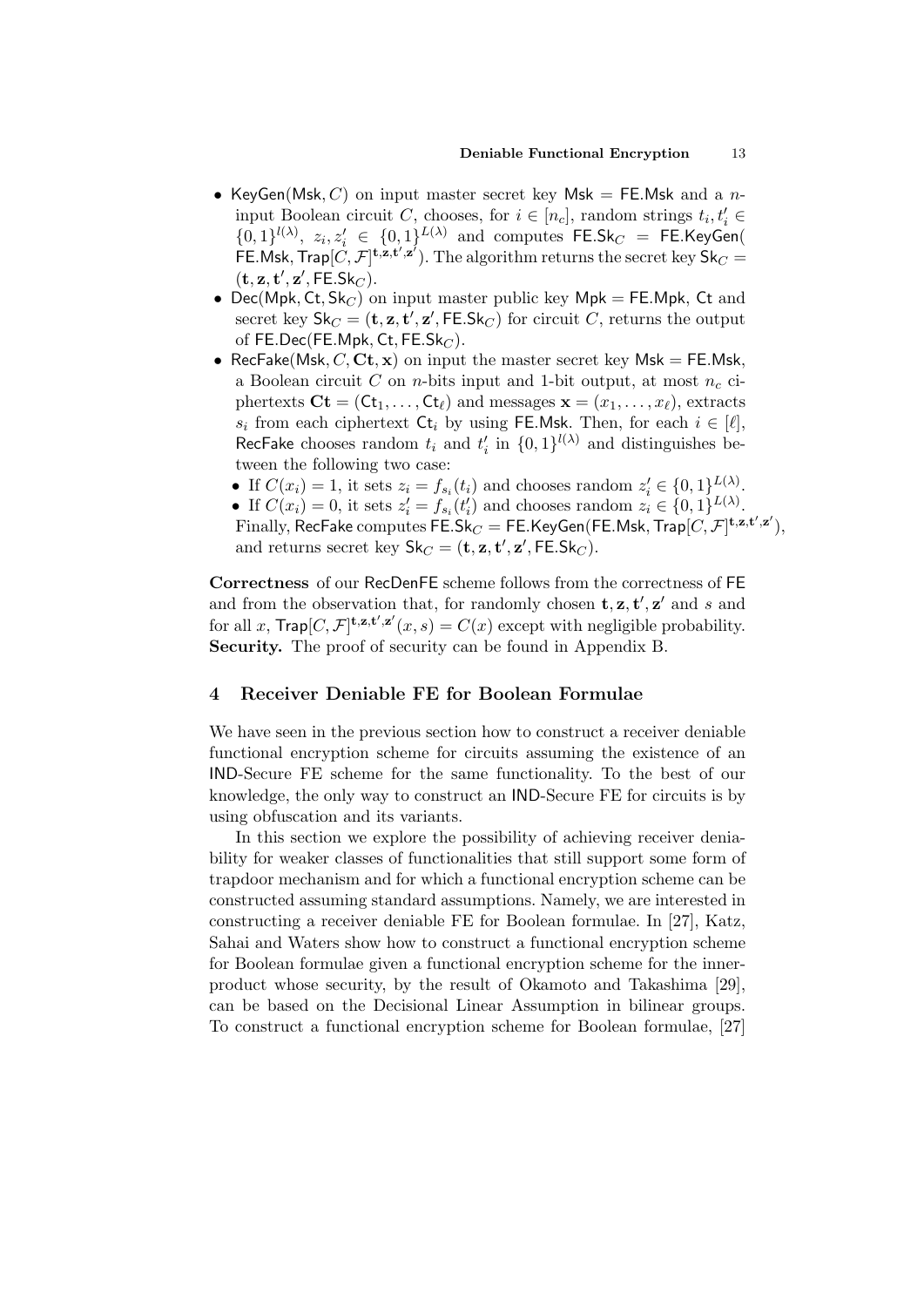- KeyGen(Msk, C) on input master secret key Msk = FE.Msk and a ninput Boolean circuit C, chooses, for  $i \in [n_c]$ , random strings  $t_i, t'_i \in$  $\{0,1\}^{l(\lambda)}$ ,  $z_i, z'_i \in \{0,1\}^{L(\lambda)}$  and computes FE.Sk<sub>C</sub> = FE.KeyGen( FE.Msk, Trap $[C,\mathcal{F}]^{\mathbf{t},\mathbf{z},\mathbf{t'},\mathbf{z'}}$ ). The algorithm returns the secret key  $\mathsf{Sk}_C =$  $(\mathbf{t}, \mathbf{z}, \mathbf{t}', \mathbf{z}', \mathsf{FE}.\mathsf{Sk}_C).$
- Dec(Mpk, Ct,  $Sk_C$ ) on input master public key Mpk = FE.Mpk, Ct and secret key  $\mathsf{Sk}_C = (\mathbf{t}, \mathbf{z}, \mathbf{t}', \mathbf{z}', \mathsf{FE}.\mathsf{Sk}_C)$  for circuit  $C$ , returns the output of FE.Dec(FE.Mpk, Ct, FE.Sk $_C$ ).
- RecFake(Msk,  $C$ , Ct, x) on input the master secret key Msk = FE.Msk, a Boolean circuit  $C$  on *n*-bits input and 1-bit output, at most  $n_c$  ciphertexts  $\mathbf{C}\mathbf{t} = (\mathbf{C}\mathbf{t}_1, \dots, \mathbf{C}\mathbf{t}_\ell)$  and messages  $\mathbf{x} = (x_1, \dots, x_\ell)$ , extracts  $s_i$  from each ciphertext  $\mathsf{C}t_i$  by using FE.Msk. Then, for each  $i \in [\ell],$ RecFake chooses random  $t_i$  and  $t'_i$  in  $\{0,1\}^{l(\lambda)}$  and distinguishes between the following two case:
	- If  $C(x_i) = 1$ , it sets  $z_i = f_{s_i}(t_i)$  and chooses random  $z'_i \in \{0,1\}^{L(\lambda)}$ .
	- If  $C(x_i) = 0$ , it sets  $z'_i = f_{s_i}(t'_i)$  and chooses random  $z_i \in \{0,1\}^{L(\lambda)}$ .

 $\text{Finally, RecFake computes } \bar{\mathsf{FE}}.\bar{\mathsf{Sk}}_C = \mathsf{FE}.\mathsf{KeyGen}(\mathsf{FE}.\mathsf{Msk},\mathsf{Trap}[C,\mathcal{F}]^{\mathbf{t},\mathbf{z},\mathbf{t}',\mathbf{z}'}),$ and returns secret key  $\mathsf{Sk}_C = (\mathbf{t}, \mathbf{z}, \mathbf{t}', \mathbf{z}', \mathsf{FE}.\mathsf{Sk}_C)$ .

Correctness of our RecDenFE scheme follows from the correctness of FE and from the observation that, for randomly chosen  $\mathbf{t}, \mathbf{z}, \mathbf{t}', \mathbf{z}'$  and s and for all x,  $\textsf{Trap}[C, \mathcal{F}]^{\mathbf{t},\mathbf{z},\mathbf{t}',\mathbf{z}'}(x,s) = C(x)$  except with negligible probability. Security. The proof of security can be found in Appendix B.

## 4 Receiver Deniable FE for Boolean Formulae

We have seen in the previous section how to construct a receiver deniable functional encryption scheme for circuits assuming the existence of an IND-Secure FE scheme for the same functionality. To the best of our knowledge, the only way to construct an IND-Secure FE for circuits is by using obfuscation and its variants.

In this section we explore the possibility of achieving receiver deniability for weaker classes of functionalities that still support some form of trapdoor mechanism and for which a functional encryption scheme can be constructed assuming standard assumptions. Namely, we are interested in constructing a receiver deniable FE for Boolean formulae. In [27], Katz, Sahai and Waters show how to construct a functional encryption scheme for Boolean formulae given a functional encryption scheme for the innerproduct whose security, by the result of Okamoto and Takashima [29], can be based on the Decisional Linear Assumption in bilinear groups. To construct a functional encryption scheme for Boolean formulae, [27]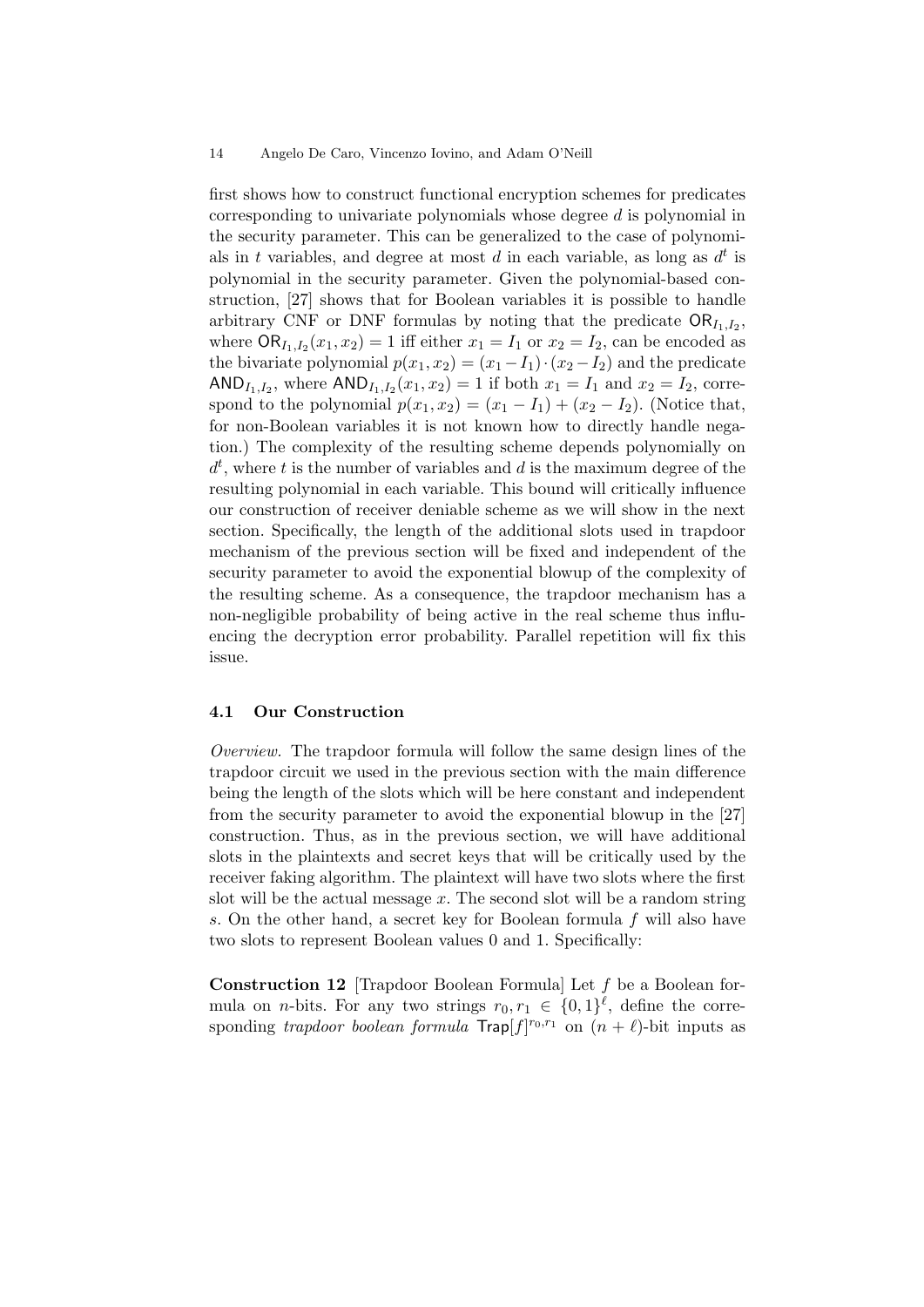first shows how to construct functional encryption schemes for predicates corresponding to univariate polynomials whose degree d is polynomial in the security parameter. This can be generalized to the case of polynomials in t variables, and degree at most d in each variable, as long as  $d^t$  is polynomial in the security parameter. Given the polynomial-based construction, [27] shows that for Boolean variables it is possible to handle arbitrary CNF or DNF formulas by noting that the predicate  $OR_{I_1,I_2}$ , where  $\textsf{OR}_{I_1,I_2}(x_1,x_2)=1$  iff either  $x_1 = I_1$  or  $x_2 = I_2$ , can be encoded as the bivariate polynomial  $p(x_1, x_2) = (x_1 - I_1) \cdot (x_2 - I_2)$  and the predicate  $AND_{I_1,I_2}$ , where  $AND_{I_1,I_2}(x_1,x_2) = 1$  if both  $x_1 = I_1$  and  $x_2 = I_2$ , correspond to the polynomial  $p(x_1, x_2) = (x_1 - I_1) + (x_2 - I_2)$ . (Notice that, for non-Boolean variables it is not known how to directly handle negation.) The complexity of the resulting scheme depends polynomially on  $d^t$ , where t is the number of variables and d is the maximum degree of the resulting polynomial in each variable. This bound will critically influence our construction of receiver deniable scheme as we will show in the next section. Specifically, the length of the additional slots used in trapdoor mechanism of the previous section will be fixed and independent of the security parameter to avoid the exponential blowup of the complexity of the resulting scheme. As a consequence, the trapdoor mechanism has a non-negligible probability of being active in the real scheme thus influencing the decryption error probability. Parallel repetition will fix this issue.

### 4.1 Our Construction

Overview. The trapdoor formula will follow the same design lines of the trapdoor circuit we used in the previous section with the main difference being the length of the slots which will be here constant and independent from the security parameter to avoid the exponential blowup in the [27] construction. Thus, as in the previous section, we will have additional slots in the plaintexts and secret keys that will be critically used by the receiver faking algorithm. The plaintext will have two slots where the first slot will be the actual message  $x$ . The second slot will be a random string s. On the other hand, a secret key for Boolean formula f will also have two slots to represent Boolean values 0 and 1. Specifically:

Construction 12 [Trapdoor Boolean Formula] Let f be a Boolean formula on *n*-bits. For any two strings  $r_0, r_1 \in \{0, 1\}^{\ell}$ , define the corresponding trapdoor boolean formula  $\text{Trap}[f]^{r_0,r_1}$  on  $(n + \ell)$ -bit inputs as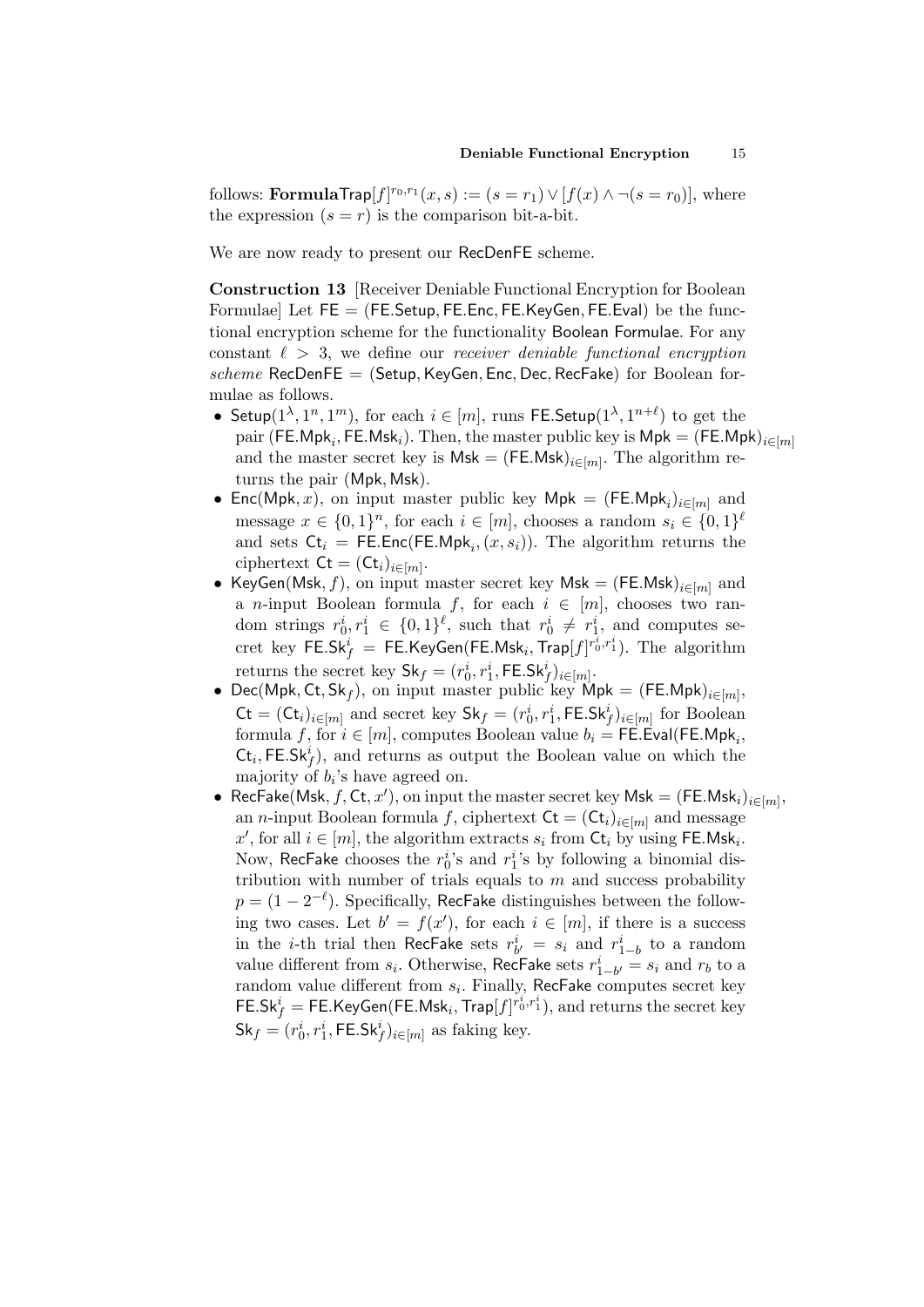follows: **FormulaTrap** $[f]^{r_0,r_1}(x,s) := (s = r_1) \vee [f(x) \wedge \neg (s = r_0)],$  where the expression  $(s = r)$  is the comparison bit-a-bit.

We are now ready to present our RecDenFE scheme.

Construction 13 [Receiver Deniable Functional Encryption for Boolean Formulae] Let  $FE = (FE. Setup, FE. Enc, FE. KeyGen, FE.Eval)$  be the functional encryption scheme for the functionality Boolean Formulae. For any constant  $\ell > 3$ , we define our receiver deniable functional encryption  $scheme$  RecDenFE = (Setup, KeyGen, Enc, Dec, RecFake) for Boolean formulae as follows.

- Setup( $1^{\lambda}, 1^n, 1^m$ ), for each  $i \in [m]$ , runs FE. Setup( $1^{\lambda}, 1^{n+\ell}$ ) to get the pair (FE.Mpk $_i$ , FE.Msk $_i$ ). Then, the master public key is Mpk  $=$  (FE.Mpk) $_{i\in [m]}$ and the master secret key is  $Msk = (FE.Msk)_{i \in [m]}$ . The algorithm returns the pair (Mpk, Msk).
- Enc(Mpk, x), on input master public key Mpk =  $(FE.Mpk<sub>i</sub>)_{i \in [m]}$  and message  $x \in \{0,1\}^n$ , for each  $i \in [m]$ , chooses a random  $s_i \in \{0,1\}^{\ell}$ and sets  $\mathsf{C}t_i = \mathsf{FE}.\mathsf{Enc}(\mathsf{FE}.\mathsf{Mpk}_i, (x, s_i)).$  The algorithm returns the ciphertext  $\mathsf{C}\mathsf{t} = (\mathsf{C}\mathsf{t}_i)_{i \in [m]}.$
- KeyGen(Msk, f), on input master secret key Msk =  $(FE.Msk)_{i \in [m]}$  and a *n*-input Boolean formula f, for each  $i \in [m]$ , chooses two random strings  $r_0^i, r_1^i \in \{0,1\}^{\ell}$ , such that  $r_0^i \neq r_1^i$ , and computes se- $\mathrm{cret\; key}\; \mathsf{FE.Sk}_f^i \;=\; \mathsf{FE.KeyGen}(\mathsf{FE.Msk}_i, \mathsf{Trap}[f]^{r_0^i, r_1^i}). \;\; \text{The\; algorithm}$ returns the secret key  $\mathsf{Sk}_f = (r_0^i, r_1^i, \mathsf{FE}.\mathsf{Sk}_f^i)_{i \in [m]}.$
- Dec(Mpk, Ct, Sk<sub>f</sub>), on input master public key Mpk =  $(FE.Mpk)_{i\in[m]},$  $\mathsf{C}t = (\mathsf{C}t_i)_{i \in [m]}$  and secret key  $\mathsf{Sk}_f = (r_0^i, r_1^i, \mathsf{FE}.\mathsf{Sk}_f^i)_{i \in [m]}$  for Boolean formula  $f,$  for  $i \in [m],$  computes Boolean value  $b_i = \mathsf{FE}.\mathsf{Eval}(\mathsf{FE}.\mathsf{Mpk}_i,$  $\mathsf{C}t_i$ , FE.Sk<sup>i</sup><sub>f</sub>), and returns as output the Boolean value on which the majority of  $b_i$ 's have agreed on.
- RecFake(Msk,  $f$ , Ct,  $x'$ ), on input the master secret key Msk = (FE.Msk<sub>i</sub>)<sub>i∈[m]</sub>, an *n*-input Boolean formula f, ciphertext  $\mathsf{C} \mathsf{t} = (\mathsf{C} \mathsf{t}_i)_{i \in [m]}$  and message x', for all  $i \in [m]$ , the algorithm extracts  $s_i$  from  $\mathsf{C} \mathsf{t}_i$  by using FE.Msk<sub>i</sub>. Now, RecFake chooses the  $r_0^i$ 's and  $r_1^i$ 's by following a binomial distribution with number of trials equals to  $m$  and success probability  $p = (1 - 2^{-\ell})$ . Specifically, RecFake distinguishes between the following two cases. Let  $b' = f(x')$ , for each  $i \in [m]$ , if there is a success in the *i*-th trial then RecFake sets  $r_{b'}^i = s_i$  and  $r_{1-b}^i$  to a random value different from  $s_i$ . Otherwise, RecFake sets  $r_{1-b}^i = s_i$  and  $r_b$  to a random value different from  $s_i$ . Finally, RecFake computes secret key  $\mathsf{FE}.\mathsf{Sk}^i_f = \mathsf{FE}.\mathsf{KeyGen}(\mathsf{FE}.\mathsf{Msk}_i, \mathsf{Trap}[f]^{\vec{r}_0^i, r_1^i}), \text{and returns the secret key}$  $\mathsf{Sk}_f = (r_0^i, r_1^i, \mathsf{FE}.\mathsf{Sk}_f^i)_{i \in [m]}$  as faking key.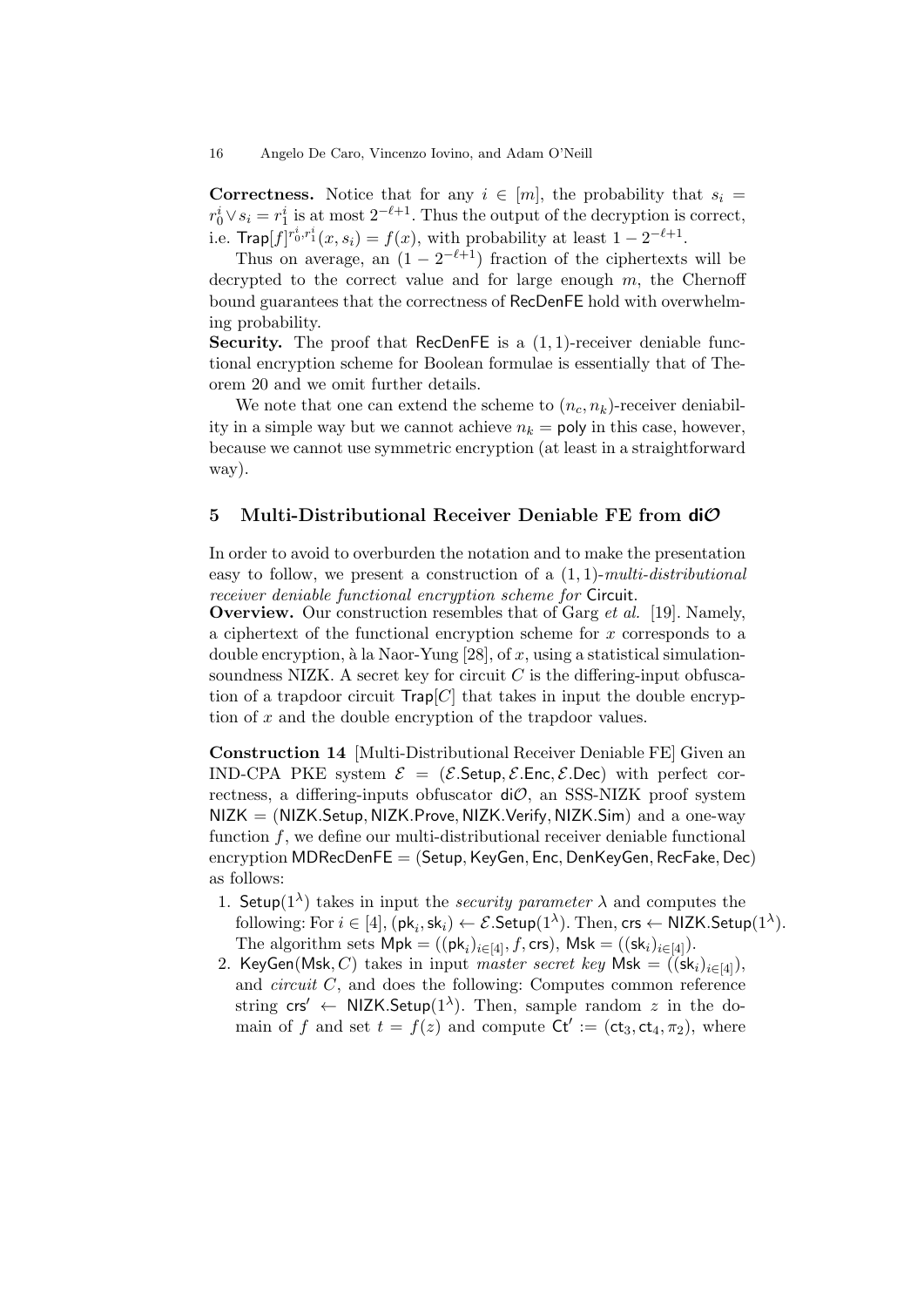**Correctness.** Notice that for any  $i \in [m]$ , the probability that  $s_i =$  $r_0^i \vee s_i = r_1^i$  is at most  $2^{-\ell+1}$ . Thus the output of the decryption is correct, i.e.  $\textsf{Trap}[f]^{r_0^i, r_1^i}(x, s_i) = f(x)$ , with probability at least  $1 - 2^{-\ell+1}$ .

Thus on average, an  $(1 - 2^{-\ell+1})$  fraction of the ciphertexts will be decrypted to the correct value and for large enough  $m$ , the Chernoff bound guarantees that the correctness of RecDenFE hold with overwhelming probability.

**Security.** The proof that RecDenFE is a  $(1, 1)$ -receiver deniable functional encryption scheme for Boolean formulae is essentially that of Theorem 20 and we omit further details.

We note that one can extend the scheme to  $(n_c, n_k)$ -receiver deniability in a simple way but we cannot achieve  $n_k =$  poly in this case, however, because we cannot use symmetric encryption (at least in a straightforward way).

### 5 Multi-Distributional Receiver Deniable FE from  $di\mathcal{O}$

In order to avoid to overburden the notation and to make the presentation easy to follow, we present a construction of a  $(1, 1)$ -multi-distributional receiver deniable functional encryption scheme for Circuit.

**Overview.** Our construction resembles that of Garg *et al.* [19]. Namely, a ciphertext of the functional encryption scheme for  $x$  corresponds to a double encryption, à la Naor-Yung [28], of x, using a statistical simulationsoundness NIZK. A secret key for circuit  $C$  is the differing-input obfuscation of a trapdoor circuit  $\mathsf{Trap}[C]$  that takes in input the double encryption of x and the double encryption of the trapdoor values.

Construction 14 [Multi-Distributional Receiver Deniable FE] Given an IND-CPA PKE system  $\mathcal{E} = (\mathcal{E}.\mathsf{Setup}, \mathcal{E}.\mathsf{Enc}, \mathcal{E}.\mathsf{Dec})$  with perfect correctness, a differing-inputs obfuscator  $d\mathcal{O}$ , an SSS-NIZK proof system  $NIZK = (NIZK.Setup, NIZK. Prove, NIZK.Verify, NIZK.Sim)$  and a one-way function  $f$ , we define our multi-distributional receiver deniable functional encryption MDRecDenFE = (Setup, KeyGen, Enc, DenKeyGen, RecFake, Dec) as follows:

- 1. Setup( $1^{\lambda}$ ) takes in input the *security parameter*  $\lambda$  and computes the following: For  $i \in [4]$ ,  $(\mathsf{pk}_i, \mathsf{sk}_i) \leftarrow \mathcal{E}$ . Setup $(1^{\lambda})$ . Then,  $\mathsf{crs} \leftarrow \mathsf{NIZK}$ . Setup $(1^{\lambda})$ . The algorithm sets  $\mathsf{Mpk} = ((\mathsf{pk}_i)_{i \in [4]}, f, \mathsf{crs}), \mathsf{Msk} = ((\mathsf{sk}_i)_{i \in [4]})$ .
- 2. KeyGen(Msk, C) takes in input master secret key Msk =  $((sk_i)_{i\in[4]})$ , and circuit C, and does the following: Computes common reference string  $\mathsf{crs}' \leftarrow \mathsf{NIZK}.\mathsf{Setup}(1^{\lambda})$ . Then, sample random z in the domain of f and set  $t = f(z)$  and compute  $\mathsf{C} \mathsf{t}' := (\mathsf{ct}_3, \mathsf{ct}_4, \pi_2)$ , where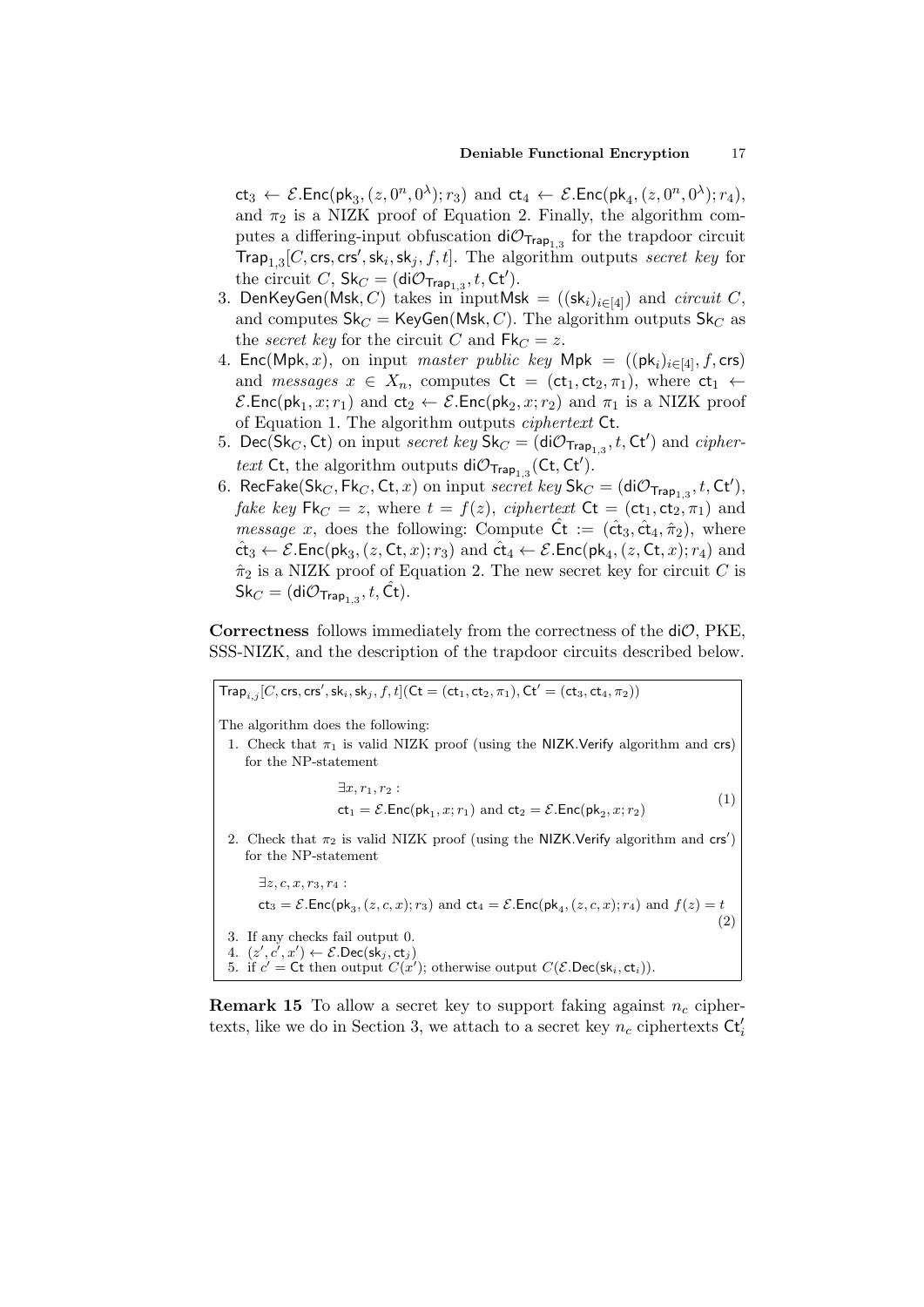$ct_3 \leftarrow \mathcal{E}.\mathsf{Enc}(\mathsf{pk}_3,(z,0^n,0^\lambda);r_3) \text{ and } ct_4 \leftarrow \mathcal{E}.\mathsf{Enc}(\mathsf{pk}_4,(z,0^n,0^\lambda);r_4),$ and  $\pi_2$  is a NIZK proof of Equation 2. Finally, the algorithm computes a differing-input obfuscation  $\mathsf{di}\mathcal{O}_{\mathsf{Trap}_{1,3}}$  for the trapdoor circuit  $\mathsf{Trap}_{1,3}[C, \mathsf{crs}, \mathsf{crs}', \mathsf{sk}_i, \mathsf{sk}_j, f, t].$  The algorithm outputs secret key for the circuit C,  $\textsf{Sk}_C = (\textsf{di}\mathcal{O}_{\textsf{Trap}_{1,3}}, t, \textsf{Ct}').$ 

- 3. DenKeyGen(Msk, C) takes in inputMsk =  $((sk_i)_{i\in[4]})$  and circuit C, and computes  $\mathsf{Sk}_C = \mathsf{KeyGen}(\mathsf{Msk}, C)$ . The algorithm outputs  $\mathsf{Sk}_C$  as the secret key for the circuit C and  $Fk_C = z$ .
- 4.  $\mathsf{Enc}(\mathsf{Mpk}, x)$ , on input *master public key*  $\mathsf{Mpk} = ((\mathsf{pk}_i)_{i \in [4]}, f, \mathsf{crs})$ and messages  $x \in X_n$ , computes  $\mathsf{C}t = (\mathsf{ct}_1, \mathsf{ct}_2, \pi_1)$ , where  $\mathsf{ct}_1 \leftarrow$  $\mathcal{E}.\mathsf{Enc}(\mathsf{pk}_1, x; r_1)$  and  $\mathsf{ct}_2 \leftarrow \mathcal{E}.\mathsf{Enc}(\mathsf{pk}_2, x; r_2)$  and  $\pi_1$  is a NIZK proof of Equation 1. The algorithm outputs ciphertext Ct.
- 5. Dec(Sk<sub>C</sub>, Ct) on input *secret key*  $\mathsf{Sk}_C = (\mathsf{di}\mathcal{O}_{\mathsf{Trap}_{1,3}}, t, \mathsf{Ct}')$  and *cipher*text Ct, the algorithm outputs  $di\mathcal{O}_{\mathsf{Trap}_{1,3}}(\mathsf{C}t,\mathsf{C}t').$
- 6. RecFake(Sk<sub>C</sub>, Fk<sub>C</sub>, Ct, x) on input secret key Sk<sub>C</sub> = (di $\mathcal{O}_{\mathsf{Trap}_{1,3}}, t, \mathsf{Ct}'$ ), *fake key*  $\mathsf{Fk}_C = z$ , where  $t = f(z)$ , *ciphertext*  $\mathsf{C}t = (\mathsf{ct}_1, \mathsf{ct}_2, \pi_1)$  and *message x*, does the following: Compute  $\hat{C}t := (\hat{c}t_3, \hat{c}t_4, \hat{\pi}_2)$ , where  $\hat{\textsf{ct}}_3 \leftarrow \mathcal{E}.\textsf{Enc}(\textsf{pk}_3,(z,\textsf{Ct},x);r_3) \text{ and } \hat{\textsf{ct}}_4 \leftarrow \mathcal{E}.\textsf{Enc}(\textsf{pk}_4,(z,\textsf{Ct},x);r_4) \text{ and }$  $\hat{\pi}_2$  is a NIZK proof of Equation 2. The new secret key for circuit C is  $\mathsf{Sk}_C = (\mathsf{di}\mathcal{O}_{\mathsf{Trap}_{1,3}}, t, \hat{\mathsf{C}}\mathsf{t}).$

**Correctness** follows immediately from the correctness of the  $di\mathcal{O}$ , PKE, SSS-NIZK, and the description of the trapdoor circuits described below.

 $\mathsf{Trap}_{i,j}[C, \mathsf{crs}, \mathsf{crs}', \mathsf{sk}_i, \mathsf{sk}_j, f, t] (\mathsf{Ct} = (\mathsf{ct}_1, \mathsf{ct}_2, \pi_1), \mathsf{Ct}' = (\mathsf{ct}_3, \mathsf{ct}_4, \pi_2))$ The algorithm does the following: 1. Check that  $\pi_1$  is valid NIZK proof (using the NIZK.Verify algorithm and crs) for the NP-statement  $\exists x, r_1, r_2$ :  $ct_1 = \mathcal{E}$ . Enc(pk<sub>1</sub>, x; r<sub>1</sub>) and  $ct_2 = \mathcal{E}$ . Enc(pk<sub>2</sub>, x; r<sub>2</sub>) (1) 2. Check that  $\pi_2$  is valid NIZK proof (using the NIZK.Verify algorithm and  $\text{crs}'$ ) for the NP-statement  $\exists z, c, x, r_3, r_4:$  $ct_3 = \mathcal{E}.\mathsf{Enc}(\mathsf{pk}_3,(z,c,x);r_3)$  and  $ct_4 = \mathcal{E}.\mathsf{Enc}(\mathsf{pk}_4,(z,c,x);r_4)$  and  $f(z) = t$ (2) 3. If any checks fail output 0.  $4. \ \ (z',c',x') \leftarrow \mathcal{E}.\mathsf{Dec}(\mathsf{sk}_j,\mathsf{ct}_j)$ 5. if  $c' = \mathsf{C}$ t then output  $C(x')$ ; otherwise output  $C(\mathcal{E}.Dec(\mathsf{sk}_i, \mathsf{ct}_i)).$ 

**Remark 15** To allow a secret key to support faking against  $n_c$  ciphertexts, like we do in Section 3, we attach to a secret key  $n_c$  ciphertexts  $\mathsf{Ct}_i'$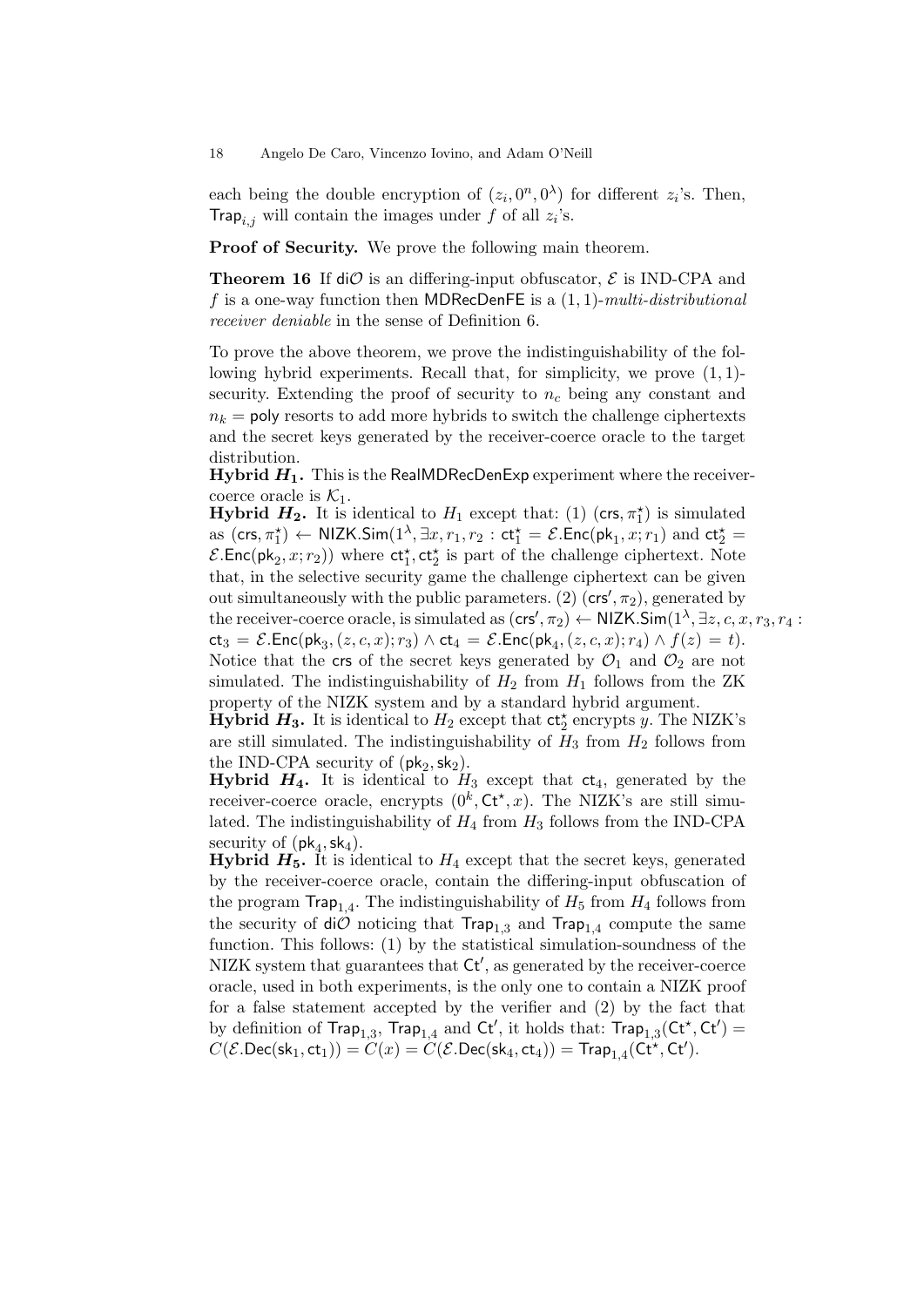each being the double encryption of  $(z_i, 0^n, 0^{\lambda})$  for different  $z_i$ 's. Then, Trap<sub>i,j</sub> will contain the images under f of all  $z_i$ 's.

Proof of Security. We prove the following main theorem.

**Theorem 16** If  $di\mathcal{O}$  is an differing-input obfuscator,  $\mathcal{E}$  is IND-CPA and f is a one-way function then MDRecDenFE is a  $(1, 1)$ -multi-distributional receiver deniable in the sense of Definition 6.

To prove the above theorem, we prove the indistinguishability of the following hybrid experiments. Recall that, for simplicity, we prove  $(1, 1)$ security. Extending the proof of security to  $n_c$  being any constant and  $n_k$  = poly resorts to add more hybrids to switch the challenge ciphertexts and the secret keys generated by the receiver-coerce oracle to the target distribution.

Hybrid  $H_1$ . This is the RealMDRecDenExp experiment where the receivercoerce oracle is  $K_1$ .

**Hybrid**  $H_2$ **.** It is identical to  $H_1$  except that: (1) (crs,  $\pi_1^*$ ) is simulated as  $(\textsf{crs}, \pi_1^{\star}) \leftarrow \textsf{NIZK}.\textsf{Sim}(1^{\lambda}, \exists x, r_1, r_2 : \textsf{ct}_1^{\star} = \mathcal{E}.\textsf{Enc}(\textsf{pk}_1, x; r_1) \text{ and } \textsf{ct}_2^{\star} =$  $\mathcal{E}.\mathsf{Enc}(\mathsf{pk}_2, x; r_2)$  where  $\mathsf{ct}_1^{\star}, \mathsf{ct}_2^{\star}$  is part of the challenge ciphertext. Note that, in the selective security game the challenge ciphertext can be given out simultaneously with the public parameters. (2)  $(crs', \pi_2)$ , generated by the receiver-coerce oracle, is simulated as  $(\mathsf{crs}', \pi_2) \leftarrow \mathsf{NIZK}.\mathsf{Sim}(1^\lambda, \exists z, c, x, r_3, r_4:$  $\mathsf{ct}_3 = \mathcal{E}.\mathsf{Enc}(\mathsf{pk}_3,(z,c,x);r_3) \land \mathsf{ct}_4 = \mathcal{E}.\mathsf{Enc}(\mathsf{pk}_4,(z,c,x);r_4) \land f(z) = t).$ Notice that the crs of the secret keys generated by  $\mathcal{O}_1$  and  $\mathcal{O}_2$  are not simulated. The indistinguishability of  $H_2$  from  $H_1$  follows from the ZK property of the NIZK system and by a standard hybrid argument.

**Hybrid H<sub>3</sub>.** It is identical to  $H_2$  except that  $ct_2^{\star}$  encrypts y. The NIZK's are still simulated. The indistinguishability of  $H_3$  from  $H_2$  follows from the IND-CPA security of  $(\mathsf{pk}_2, \mathsf{sk}_2)$ .

**Hybrid**  $H_4$ **.** It is identical to  $H_3$  except that  $ct_4$ , generated by the receiver-coerce oracle, encrypts  $(0^k, Ct^*, x)$ . The NIZK's are still simulated. The indistinguishability of  $H_4$  from  $H_3$  follows from the IND-CPA security of  $(\mathsf{pk}_4, \mathsf{sk}_4)$ .

**Hybrid**  $H_5$ **.** It is identical to  $H_4$  except that the secret keys, generated by the receiver-coerce oracle, contain the differing-input obfuscation of the program  $\text{Trap}_{1,4}$ . The indistinguishability of  $H_5$  from  $H_4$  follows from the security of  $di\mathcal{O}$  noticing that  $\mathsf{Trap}_{1,3}$  and  $\mathsf{Trap}_{1,4}$  compute the same function. This follows: (1) by the statistical simulation-soundness of the NIZK system that guarantees that  $\mathsf{C}t'$ , as generated by the receiver-coerce oracle, used in both experiments, is the only one to contain a NIZK proof for a false statement accepted by the verifier and (2) by the fact that by definition of  $\text{Trap}_{1,3}$ ,  $\text{Trap}_{1,4}$  and  $\text{Ct}'$ , it holds that:  $\text{Trap}_{1,3}(\text{Ct}^{\star},\text{Ct}')$  =  $C(\mathcal{E}.\mathsf{Dec}(\mathsf{sk}_1, \mathsf{ct}_1)) = \overset{\cdot}{C}(x) = \overset{\cdot}{C}(\mathcal{E}.\mathsf{Dec}(\mathsf{sk}_4, \mathsf{ct}_4)) = \mathsf{Trap}_{1,4}(\mathsf{Ct}^{\star}, \mathsf{Ct}^{\prime}).$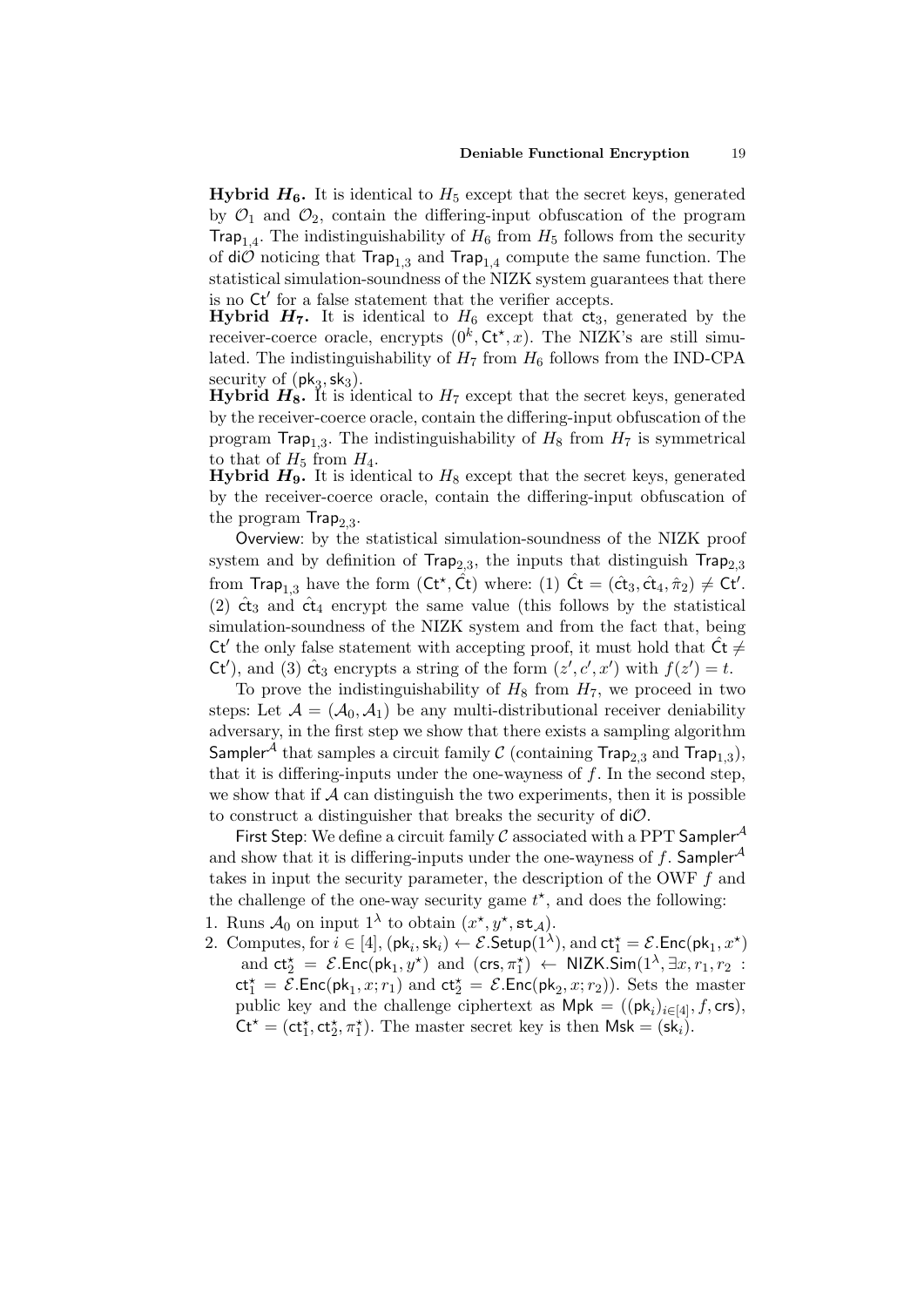**Hybrid**  $H_6$ **.** It is identical to  $H_5$  except that the secret keys, generated by  $\mathcal{O}_1$  and  $\mathcal{O}_2$ , contain the differing-input obfuscation of the program Trap<sub>1,4</sub>. The indistinguishability of  $H_6$  from  $H_5$  follows from the security of  $\text{di}\mathcal{O}$  noticing that  $\text{Trap}_{1,3}$  and  $\text{Trap}_{1,4}$  compute the same function. The statistical simulation-soundness of the NIZK system guarantees that there is no  $\mathsf{C} \mathsf{t}'$  for a false statement that the verifier accepts.

**Hybrid**  $H_7$ **.** It is identical to  $H_6$  except that  $\vec{ct}_3$ , generated by the receiver-coerce oracle, encrypts  $(0^k, Ct^*, x)$ . The NIZK's are still simulated. The indistinguishability of  $H_7$  from  $H_6$  follows from the IND-CPA security of  $(\mathsf{pk}_3, \mathsf{sk}_3)$ .

**Hybrid**  $H_8$ **.** It is identical to  $H_7$  except that the secret keys, generated by the receiver-coerce oracle, contain the differing-input obfuscation of the program  $\text{Trap}_{1,3}$ . The indistinguishability of  $H_8$  from  $H_7$  is symmetrical to that of  $H_5$  from  $H_4$ .

**Hybrid**  $H_9$ **.** It is identical to  $H_8$  except that the secret keys, generated by the receiver-coerce oracle, contain the differing-input obfuscation of the program  $\textsf{Trap}_{2,3}.$ 

Overview: by the statistical simulation-soundness of the NIZK proof system and by definition of  $\textsf{Trap}_{2,3}$ , the inputs that distinguish  $\textsf{Trap}_{2,3}$ from  $\textsf{Trap}_{1,3}$  have the form  $(\textsf{Ct}^*, \hat{\textsf{Ct}})$  where: (1)  $\hat{\textsf{C}}t = (\hat{\textsf{ct}}_3, \hat{\textsf{ct}}_4, \hat{\pi}_2) \neq \textsf{Ct}'.$ (2)  $\hat{\text{ct}}_3$  and  $\hat{\text{ct}}_4$  encrypt the same value (this follows by the statistical simulation-soundness of the NIZK system and from the fact that, being Ct' the only false statement with accepting proof, it must hold that  $\hat{Ct} \neq$ Ct'), and (3)  $\hat{\text{ct}}_3$  encrypts a string of the form  $(z', c', x')$  with  $f(z') = t$ .

To prove the indistinguishability of  $H_8$  from  $H_7$ , we proceed in two steps: Let  $A = (A_0, A_1)$  be any multi-distributional receiver deniability adversary, in the first step we show that there exists a sampling algorithm Sampler $^{\mathcal{A}}$  that samples a circuit family  $\mathcal{C}% ^{i}$  (containing Trap $_{2,3}$  and Trap $_{1,3}),$ that it is differing-inputs under the one-wayness of  $f$ . In the second step, we show that if  $A$  can distinguish the two experiments, then it is possible to construct a distinguisher that breaks the security of  $di\mathcal{O}$ .

First Step: We define a circuit family  $\mathcal C$  associated with a PPT Sampler<sup>A</sup> and show that it is differing-inputs under the one-wayness of f. Sampler<sup>A</sup> takes in input the security parameter, the description of the OWF f and the challenge of the one-way security game  $t^*$ , and does the following:

- 1. Runs  $\mathcal{A}_0$  on input  $1^{\lambda}$  to obtain  $(x^{\star}, y^{\star}, \texttt{st}_{\mathcal{A}})$ .
- 2. Computes, for  $i \in [4]$ ,  $(\mathsf{pk}_i, \mathsf{sk}_i) \leftarrow \mathcal{E}$ . Setu $\mathsf{p}(1^\lambda)$ , and  $\mathsf{ct}_1^\star = \mathcal{E}$ . Enc $(\mathsf{pk}_1, x^\star)$ and  $ct_2^* = \mathcal{E}.\text{Enc}(pk_1, y^*)$  and  $(crs, \pi_1^*) \leftarrow \text{NIZK}.\text{Sim}(1^{\lambda}, \exists x, r_1, r_2)$ :  $ct_1^* = \mathcal{E}.\text{Enc}(pk_1, x; r_1)$  and  $ct_2^* = \mathcal{E}.\text{Enc}(pk_2, x; r_2)$ . Sets the master public key and the challenge ciphertext as  $\mathsf{Mpk} = ((\mathsf{pk}_i)_{i \in [4]}, f, \mathsf{crs})$ ,  $Ct^* = (ct_1^*, ct_2^*, \pi_1^*)$ . The master secret key is then  $Msk = (sk_i)$ .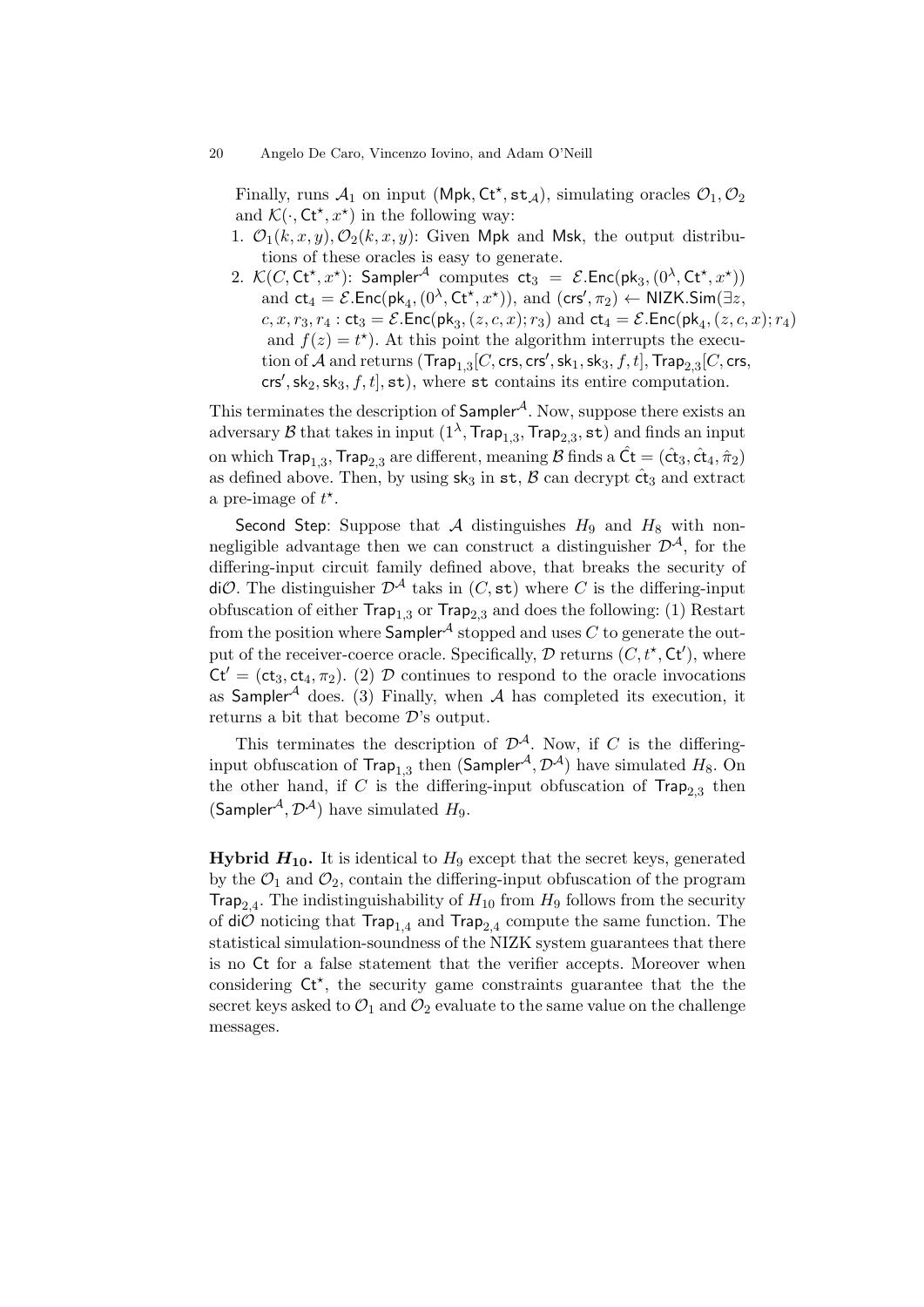Finally, runs  $A_1$  on input (Mpk, Ct<sup>\*</sup>, st<sub>A</sub>), simulating oracles  $\mathcal{O}_1, \mathcal{O}_2$ and  $\mathcal{K}(\cdot, \mathsf{C} \mathsf{t}^{\star}, x^{\star})$  in the following way:

- 1.  $\mathcal{O}_1(k, x, y), \mathcal{O}_2(k, x, y)$ : Given Mpk and Msk, the output distributions of these oracles is easy to generate.
- 2.  $\mathcal{K}(C, \mathsf{C} \mathsf{t}^{\star}, x^{\star})$ : Sampler<sup>A</sup> computes  $\mathsf{ct}_3 = \mathcal{E}.\mathsf{Enc}(\mathsf{pk}_3, (0^{\lambda}, \mathsf{C} \mathsf{t}^{\star}, x^{\star}))$ and  $ct_4 = \mathcal{E}.\text{Enc}(\text{pk}_4, (0^\lambda, \text{Ct}^\star, x^\star)),$  and  $(\text{crs}', \pi_2) \leftarrow \text{NIZK}.\text{Sim}(\exists z,$  $c, x, r_3, r_4:$  ct $_3 = \mathcal{E}$ . Enc(pk<sub>3</sub>,  $(z, c, x); r_3)$  and ct $_4 = \mathcal{E}$ . Enc(pk<sub>4</sub>,  $(z, c, x); r_4)$ and  $f(z) = t^*$ ). At this point the algorithm interrupts the execution of  $\mathcal A$  and returns  $(\mathsf{Trap}_{1,3}[C,\mathsf{crs},\mathsf{crs}',\mathsf{sk}_1,\mathsf{sk}_3,f,t],\mathsf{Trap}_{2,3}[C,\mathsf{crs},$ crs', sk<sub>2</sub>, sk<sub>3</sub>, f, t], st), where st contains its entire computation.

This terminates the description of  $Sampler^{\mathcal{A}}$ . Now, suppose there exists an adversary  ${\cal B}$  that takes in input  $(1^\lambda,{\sf Trap}_{1,3},{\sf Trap}_{2,3},{\sf st})$  and finds an input on which Trap $_{1,3}$ , Trap $_{2,3}$  are different, meaning  ${\cal B}$  finds a  $\hat{\sf Ct} = (\hat{\sf ct}_3, \hat{\sf ct}_4, \hat{\pi}_2)$ as defined above. Then, by using  $sk_3$  in  $st$ ,  $\beta$  can decrypt  $\hat{ct}_3$  and extract a pre-image of  $t^*$ .

Second Step: Suppose that A distinguishes  $H_9$  and  $H_8$  with nonnegligible advantage then we can construct a distinguisher  $\mathcal{D}^{\mathcal{A}}$ , for the differing-input circuit family defined above, that breaks the security of diO. The distinguisher  $\mathcal{D}^{\mathcal{A}}$  taks in  $(C, \text{st})$  where C is the differing-input obfuscation of either  $\textsf{Trap}_{1,3}$  or  $\textsf{Trap}_{2,3}$  and does the following: (1) Restart from the position where  $Sampler<sup>A</sup>$  stopped and uses C to generate the output of the receiver-coerce oracle. Specifically,  $D$  returns  $(C, t^*, Ct')$ , where  $\mathsf{C}t' = (\mathsf{ct}_3, \mathsf{ct}_4, \pi_2)$ . (2) D continues to respond to the oracle invocations as Sampler<sup>A</sup> does. (3) Finally, when A has completed its execution, it returns a bit that become  $\mathcal{D}$ 's output.

This terminates the description of  $\mathcal{D}^{A}$ . Now, if C is the differinginput obfuscation of  $\mathsf{Trap}_{1,3}$  then  $(\mathsf{Sampler}^\mathcal{A}, \mathcal{D}^\mathcal{A})$  have simulated  $H_8.$  On the other hand, if C is the differing-input obfuscation of  $\text{Trap}_{2,3}$  then (Sampler<sup>A</sup>,  $\mathcal{D}^{A}$ ) have simulated  $H_9$ .

**Hybrid**  $H_{10}$ **.** It is identical to  $H_9$  except that the secret keys, generated by the  $\mathcal{O}_1$  and  $\mathcal{O}_2$ , contain the differing-input obfuscation of the program **Trap**<sub>2,4</sub>. The indistinguishability of  $H_{10}$  from  $H_9$  follows from the security of di $O$  noticing that  $\text{Trap}_{1,4}$  and  $\text{Trap}_{2,4}$  compute the same function. The statistical simulation-soundness of the NIZK system guarantees that there is no Ct for a false statement that the verifier accepts. Moreover when considering  $\mathsf{C} t^*$ , the security game constraints guarantee that the the secret keys asked to  $\mathcal{O}_1$  and  $\mathcal{O}_2$  evaluate to the same value on the challenge messages.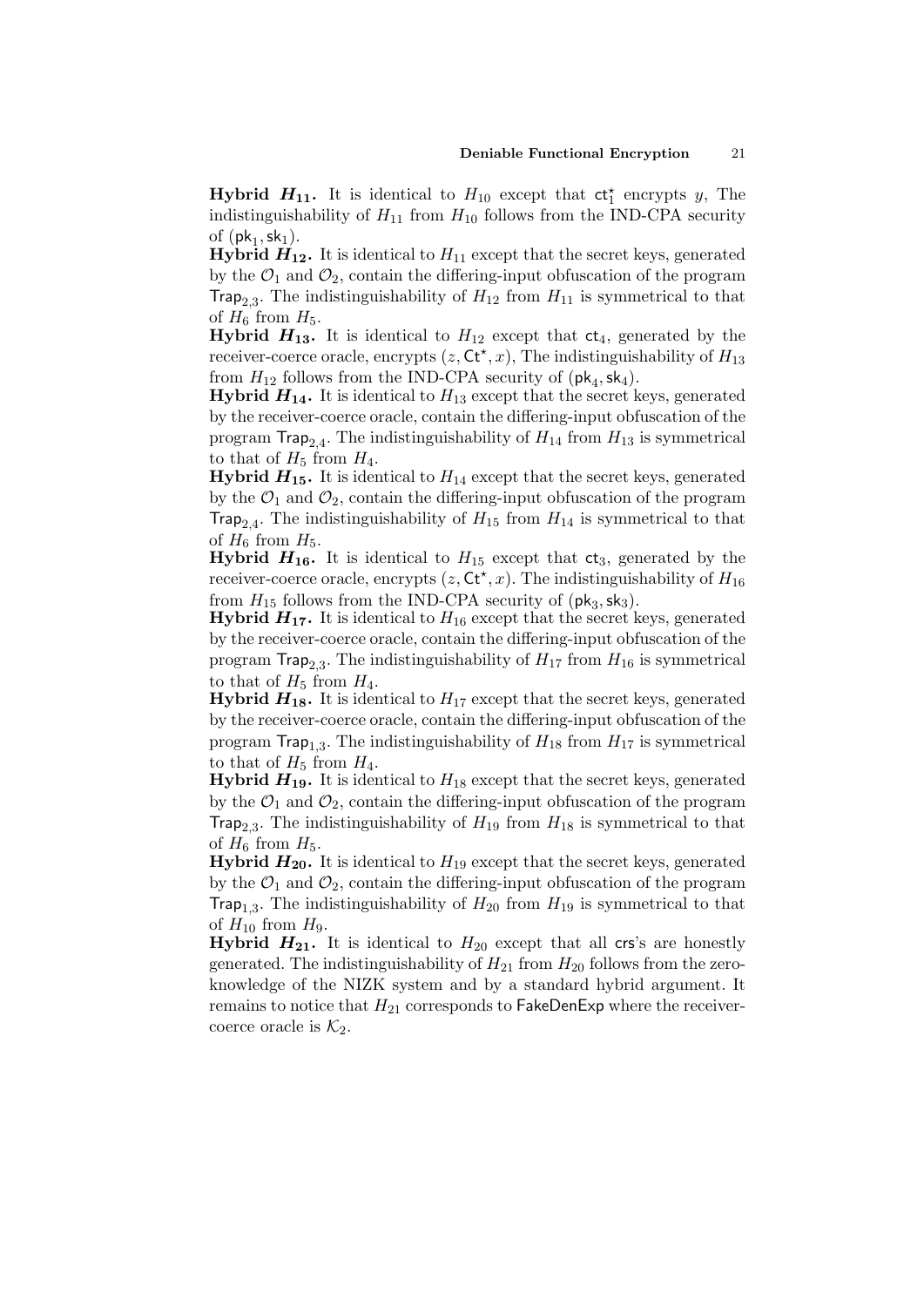**Hybrid**  $H_{11}$ **.** It is identical to  $H_{10}$  except that  $ct_1^*$  encrypts y, The indistinguishability of  $H_{11}$  from  $H_{10}$  follows from the IND-CPA security of  $(\mathsf{pk}_1, \mathsf{sk}_1)$ .

**Hybrid**  $H_{12}$ **.** It is identical to  $H_{11}$  except that the secret keys, generated by the  $\mathcal{O}_1$  and  $\mathcal{O}_2$ , contain the differing-input obfuscation of the program Trap<sub>2,3</sub>. The indistinguishability of  $H_{12}$  from  $H_{11}$  is symmetrical to that of  $H_6$  from  $H_5$ .

**Hybrid**  $H_{13}$ **.** It is identical to  $H_{12}$  except that  $ct_4$ , generated by the receiver-coerce oracle, encrypts  $(z, \mathsf{C}t^*, x)$ , The indistinguishability of  $H_{13}$ from  $H_{12}$  follows from the IND-CPA security of  $(\mathsf{pk}_4, \mathsf{sk}_4)$ .

**Hybrid**  $H_{14}$ **.** It is identical to  $H_{13}$  except that the secret keys, generated by the receiver-coerce oracle, contain the differing-input obfuscation of the program  $\textsf{Trap}_{2,4}.$  The indistinguishability of  $H_{14}$  from  $H_{13}$  is symmetrical to that of  $H_5$  from  $H_4$ .

**Hybrid**  $H_{15}$ **.** It is identical to  $H_{14}$  except that the secret keys, generated by the  $\mathcal{O}_1$  and  $\mathcal{O}_2$ , contain the differing-input obfuscation of the program Trap<sub>2,4</sub>. The indistinguishability of  $H_{15}$  from  $H_{14}$  is symmetrical to that of  $H_6$  from  $H_5$ .

**Hybrid**  $H_{16}$ **.** It is identical to  $H_{15}$  except that  $ct_3$ , generated by the receiver-coerce oracle, encrypts  $(z, \mathsf{C}t^*, x)$ . The indistinguishability of  $H_{16}$ from  $H_{15}$  follows from the IND-CPA security of  $(\mathsf{pk}_3, \mathsf{sk}_3)$ .

**Hybrid**  $H_{17}$ **.** It is identical to  $H_{16}$  except that the secret keys, generated by the receiver-coerce oracle, contain the differing-input obfuscation of the program  $\text{Trap}_{2,3}$ . The indistinguishability of  $H_{17}$  from  $H_{16}$  is symmetrical to that of  $H_5$  from  $H_4$ .

**Hybrid**  $H_{18}$ **.** It is identical to  $H_{17}$  except that the secret keys, generated by the receiver-coerce oracle, contain the differing-input obfuscation of the program  $\textsf{Trap}_{1,3}$ . The indistinguishability of  $H_{18}$  from  $H_{17}$  is symmetrical to that of  $H_5$  from  $H_4$ .

**Hybrid**  $H_{19}$ **.** It is identical to  $H_{18}$  except that the secret keys, generated by the  $\mathcal{O}_1$  and  $\mathcal{O}_2$ , contain the differing-input obfuscation of the program Trap<sub>2,3</sub>. The indistinguishability of  $H_{19}$  from  $H_{18}$  is symmetrical to that of  $H_6$  from  $H_5$ .

**Hybrid**  $H_{20}$ **.** It is identical to  $H_{19}$  except that the secret keys, generated by the  $\mathcal{O}_1$  and  $\mathcal{O}_2$ , contain the differing-input obfuscation of the program Trap<sub>1,3</sub>. The indistinguishability of  $H_{20}$  from  $H_{19}$  is symmetrical to that of  $H_{10}$  from  $H_9$ .

**Hybrid**  $H_{21}$ **.** It is identical to  $H_{20}$  except that all crs's are honestly generated. The indistinguishability of  $H_{21}$  from  $H_{20}$  follows from the zeroknowledge of the NIZK system and by a standard hybrid argument. It remains to notice that  $H_{21}$  corresponds to FakeDenExp where the receivercoerce oracle is  $K_2$ .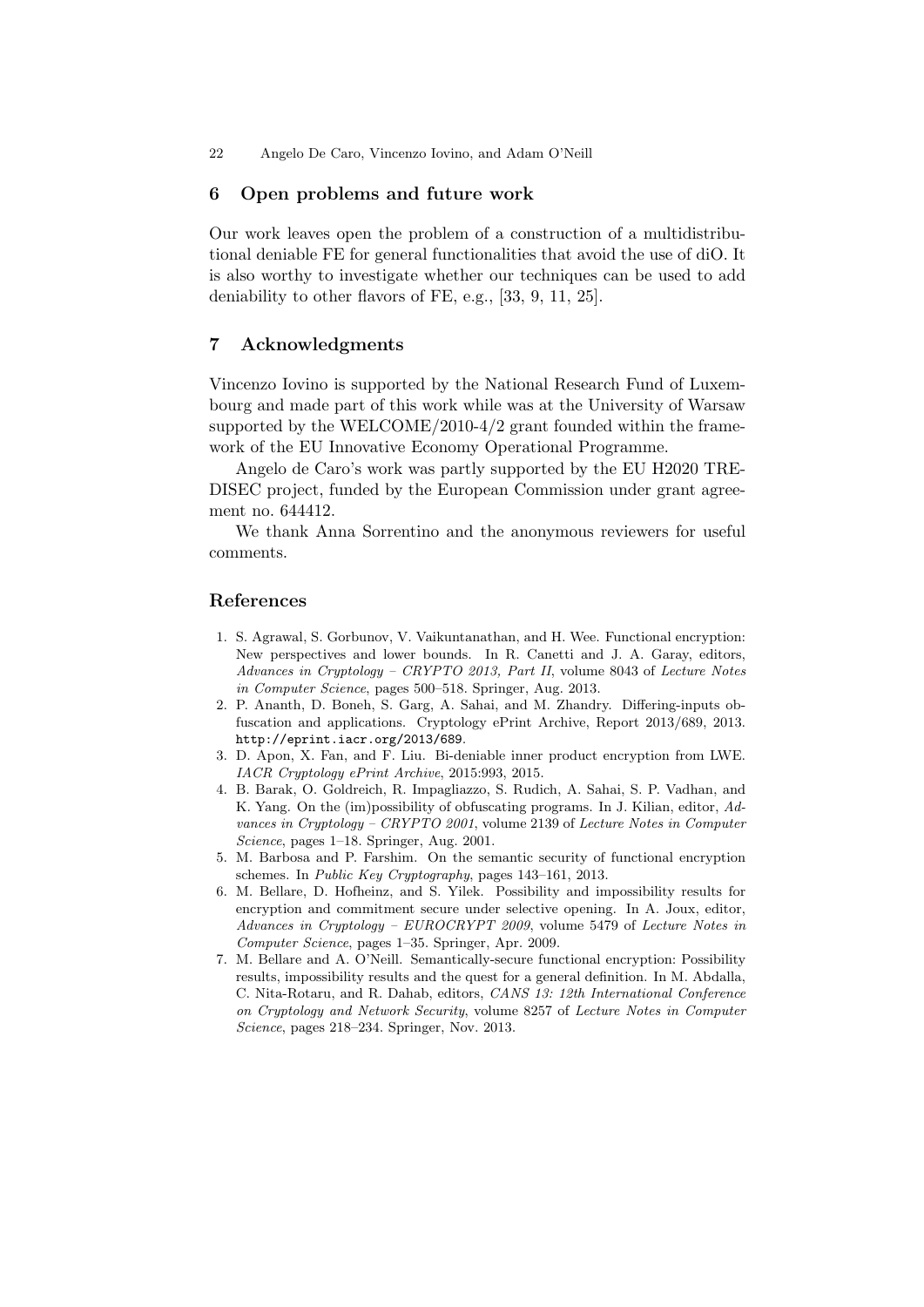### 6 Open problems and future work

Our work leaves open the problem of a construction of a multidistributional deniable FE for general functionalities that avoid the use of diO. It is also worthy to investigate whether our techniques can be used to add deniability to other flavors of FE, e.g., [33, 9, 11, 25].

## 7 Acknowledgments

Vincenzo Iovino is supported by the National Research Fund of Luxembourg and made part of this work while was at the University of Warsaw supported by the WELCOME/2010-4/2 grant founded within the framework of the EU Innovative Economy Operational Programme.

Angelo de Caro's work was partly supported by the EU H2020 TRE-DISEC project, funded by the European Commission under grant agreement no. 644412.

We thank Anna Sorrentino and the anonymous reviewers for useful comments.

# References

- 1. S. Agrawal, S. Gorbunov, V. Vaikuntanathan, and H. Wee. Functional encryption: New perspectives and lower bounds. In R. Canetti and J. A. Garay, editors, Advances in Cryptology – CRYPTO 2013, Part II, volume 8043 of Lecture Notes in Computer Science, pages 500–518. Springer, Aug. 2013.
- 2. P. Ananth, D. Boneh, S. Garg, A. Sahai, and M. Zhandry. Differing-inputs obfuscation and applications. Cryptology ePrint Archive, Report 2013/689, 2013. http://eprint.iacr.org/2013/689.
- 3. D. Apon, X. Fan, and F. Liu. Bi-deniable inner product encryption from LWE. IACR Cryptology ePrint Archive, 2015:993, 2015.
- 4. B. Barak, O. Goldreich, R. Impagliazzo, S. Rudich, A. Sahai, S. P. Vadhan, and K. Yang. On the (im)possibility of obfuscating programs. In J. Kilian, editor, Advances in Cryptology – CRYPTO 2001, volume 2139 of Lecture Notes in Computer Science, pages 1–18. Springer, Aug. 2001.
- 5. M. Barbosa and P. Farshim. On the semantic security of functional encryption schemes. In Public Key Cryptography, pages 143–161, 2013.
- 6. M. Bellare, D. Hofheinz, and S. Yilek. Possibility and impossibility results for encryption and commitment secure under selective opening. In A. Joux, editor, Advances in Cryptology – EUROCRYPT 2009, volume 5479 of Lecture Notes in Computer Science, pages 1–35. Springer, Apr. 2009.
- 7. M. Bellare and A. O'Neill. Semantically-secure functional encryption: Possibility results, impossibility results and the quest for a general definition. In M. Abdalla, C. Nita-Rotaru, and R. Dahab, editors, CANS 13: 12th International Conference on Cryptology and Network Security, volume 8257 of Lecture Notes in Computer Science, pages 218–234. Springer, Nov. 2013.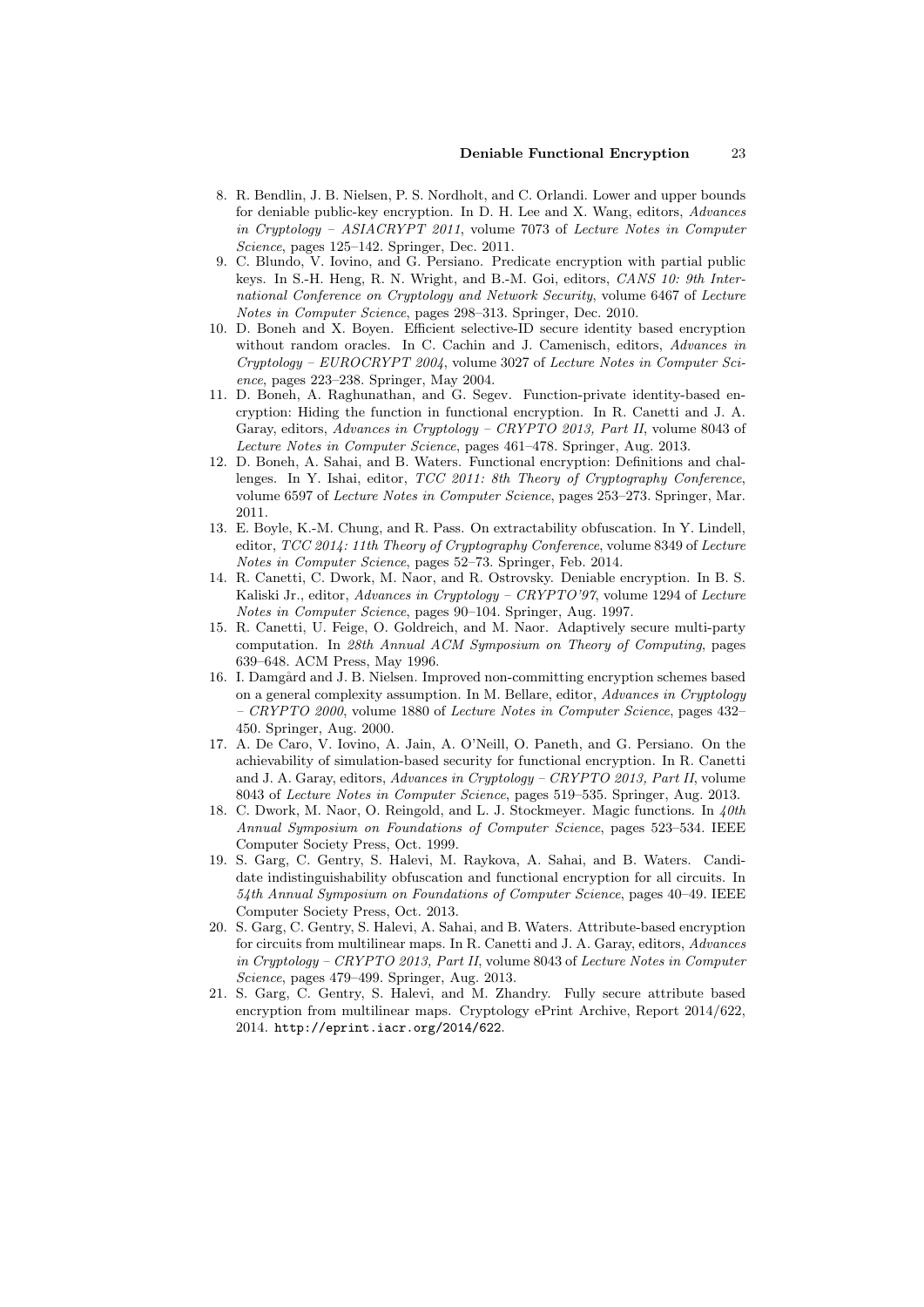- 8. R. Bendlin, J. B. Nielsen, P. S. Nordholt, and C. Orlandi. Lower and upper bounds for deniable public-key encryption. In D. H. Lee and X. Wang, editors, Advances in Cryptology – ASIACRYPT 2011, volume 7073 of Lecture Notes in Computer Science, pages 125–142. Springer, Dec. 2011.
- 9. C. Blundo, V. Iovino, and G. Persiano. Predicate encryption with partial public keys. In S.-H. Heng, R. N. Wright, and B.-M. Goi, editors, CANS 10: 9th International Conference on Cryptology and Network Security, volume 6467 of Lecture Notes in Computer Science, pages 298–313. Springer, Dec. 2010.
- 10. D. Boneh and X. Boyen. Efficient selective-ID secure identity based encryption without random oracles. In C. Cachin and J. Camenisch, editors, Advances in Cryptology – EUROCRYPT 2004, volume 3027 of Lecture Notes in Computer Science, pages 223–238. Springer, May 2004.
- 11. D. Boneh, A. Raghunathan, and G. Segev. Function-private identity-based encryption: Hiding the function in functional encryption. In R. Canetti and J. A. Garay, editors, Advances in Cryptology – CRYPTO 2013, Part II, volume 8043 of Lecture Notes in Computer Science, pages 461–478. Springer, Aug. 2013.
- 12. D. Boneh, A. Sahai, and B. Waters. Functional encryption: Definitions and challenges. In Y. Ishai, editor, TCC 2011: 8th Theory of Cryptography Conference, volume 6597 of Lecture Notes in Computer Science, pages 253–273. Springer, Mar. 2011.
- 13. E. Boyle, K.-M. Chung, and R. Pass. On extractability obfuscation. In Y. Lindell, editor, TCC 2014: 11th Theory of Cryptography Conference, volume 8349 of Lecture Notes in Computer Science, pages 52–73. Springer, Feb. 2014.
- 14. R. Canetti, C. Dwork, M. Naor, and R. Ostrovsky. Deniable encryption. In B. S. Kaliski Jr., editor, Advances in Cryptology – CRYPTO'97, volume 1294 of Lecture Notes in Computer Science, pages 90–104. Springer, Aug. 1997.
- 15. R. Canetti, U. Feige, O. Goldreich, and M. Naor. Adaptively secure multi-party computation. In 28th Annual ACM Symposium on Theory of Computing, pages 639–648. ACM Press, May 1996.
- 16. I. Damgård and J. B. Nielsen. Improved non-committing encryption schemes based on a general complexity assumption. In M. Bellare, editor, Advances in Cryptology – CRYPTO 2000, volume 1880 of Lecture Notes in Computer Science, pages 432– 450. Springer, Aug. 2000.
- 17. A. De Caro, V. Iovino, A. Jain, A. O'Neill, O. Paneth, and G. Persiano. On the achievability of simulation-based security for functional encryption. In R. Canetti and J. A. Garay, editors, Advances in Cryptology – CRYPTO 2013, Part II, volume 8043 of Lecture Notes in Computer Science, pages 519–535. Springer, Aug. 2013.
- 18. C. Dwork, M. Naor, O. Reingold, and L. J. Stockmeyer. Magic functions. In 40th Annual Symposium on Foundations of Computer Science, pages 523–534. IEEE Computer Society Press, Oct. 1999.
- 19. S. Garg, C. Gentry, S. Halevi, M. Raykova, A. Sahai, and B. Waters. Candidate indistinguishability obfuscation and functional encryption for all circuits. In 54th Annual Symposium on Foundations of Computer Science, pages 40–49. IEEE Computer Society Press, Oct. 2013.
- 20. S. Garg, C. Gentry, S. Halevi, A. Sahai, and B. Waters. Attribute-based encryption for circuits from multilinear maps. In R. Canetti and J. A. Garay, editors, Advances in Cryptology – CRYPTO 2013, Part II, volume 8043 of Lecture Notes in Computer Science, pages 479–499. Springer, Aug. 2013.
- 21. S. Garg, C. Gentry, S. Halevi, and M. Zhandry. Fully secure attribute based encryption from multilinear maps. Cryptology ePrint Archive, Report 2014/622, 2014. http://eprint.iacr.org/2014/622.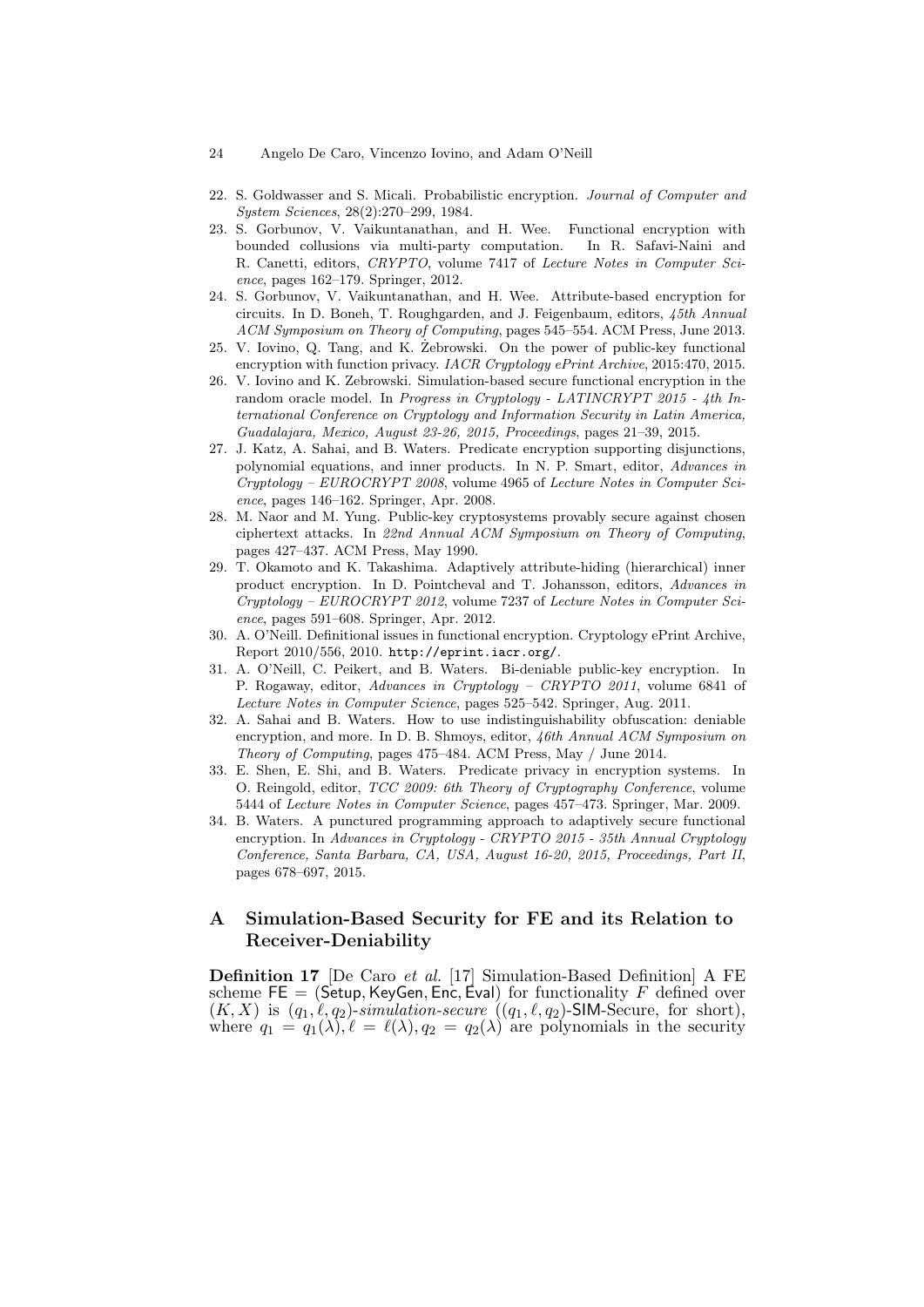- 24 Angelo De Caro, Vincenzo Iovino, and Adam O'Neill
- 22. S. Goldwasser and S. Micali. Probabilistic encryption. Journal of Computer and System Sciences, 28(2):270–299, 1984.
- 23. S. Gorbunov, V. Vaikuntanathan, and H. Wee. Functional encryption with bounded collusions via multi-party computation. In R. Safavi-Naini and R. Canetti, editors, CRYPTO, volume 7417 of Lecture Notes in Computer Science, pages 162–179. Springer, 2012.
- 24. S. Gorbunov, V. Vaikuntanathan, and H. Wee. Attribute-based encryption for circuits. In D. Boneh, T. Roughgarden, and J. Feigenbaum, editors, 45th Annual ACM Symposium on Theory of Computing, pages 545–554. ACM Press, June 2013.
- 25. V. Iovino, Q. Tang, and K. Zebrowski. On the power of public-key functional encryption with function privacy. IACR Cryptology ePrint Archive, 2015:470, 2015.
- 26. V. Iovino and K. Zebrowski. Simulation-based secure functional encryption in the random oracle model. In Progress in Cryptology - LATINCRYPT 2015 - 4th International Conference on Cryptology and Information Security in Latin America, Guadalajara, Mexico, August 23-26, 2015, Proceedings, pages 21–39, 2015.
- 27. J. Katz, A. Sahai, and B. Waters. Predicate encryption supporting disjunctions, polynomial equations, and inner products. In N. P. Smart, editor, Advances in Cryptology – EUROCRYPT 2008, volume 4965 of Lecture Notes in Computer Science, pages 146–162. Springer, Apr. 2008.
- 28. M. Naor and M. Yung. Public-key cryptosystems provably secure against chosen ciphertext attacks. In 22nd Annual ACM Symposium on Theory of Computing, pages 427–437. ACM Press, May 1990.
- 29. T. Okamoto and K. Takashima. Adaptively attribute-hiding (hierarchical) inner product encryption. In D. Pointcheval and T. Johansson, editors, Advances in  $Cryptology - EUROCRYPT 2012$ , volume 7237 of Lecture Notes in Computer Science, pages 591–608. Springer, Apr. 2012.
- 30. A. O'Neill. Definitional issues in functional encryption. Cryptology ePrint Archive, Report 2010/556, 2010. http://eprint.iacr.org/.
- 31. A. O'Neill, C. Peikert, and B. Waters. Bi-deniable public-key encryption. In P. Rogaway, editor, Advances in Cryptology – CRYPTO 2011, volume 6841 of Lecture Notes in Computer Science, pages 525–542. Springer, Aug. 2011.
- 32. A. Sahai and B. Waters. How to use indistinguishability obfuscation: deniable encryption, and more. In D. B. Shmoys, editor, 46th Annual ACM Symposium on Theory of Computing, pages 475–484. ACM Press, May / June 2014.
- 33. E. Shen, E. Shi, and B. Waters. Predicate privacy in encryption systems. In O. Reingold, editor, TCC 2009: 6th Theory of Cryptography Conference, volume 5444 of Lecture Notes in Computer Science, pages 457–473. Springer, Mar. 2009.
- 34. B. Waters. A punctured programming approach to adaptively secure functional encryption. In Advances in Cryptology - CRYPTO 2015 - 35th Annual Cryptology Conference, Santa Barbara, CA, USA, August 16-20, 2015, Proceedings, Part II, pages 678–697, 2015.

# A Simulation-Based Security for FE and its Relation to Receiver-Deniability

Definition 17 [De Caro et al. [17] Simulation-Based Definition] A FE scheme  $FE = (Setup, KeyGen, Enc, Éval)$  for functionality F defined over  $(K, X)$  is  $(q_1, \ell, q_2)$ -simulation-secure  $((q_1, \ell, q_2)$ -SIM-Secure, for short), where  $q_1 = q_1(\lambda)$ ,  $\ell = \ell(\lambda)$ ,  $q_2 = q_2(\lambda)$  are polynomials in the security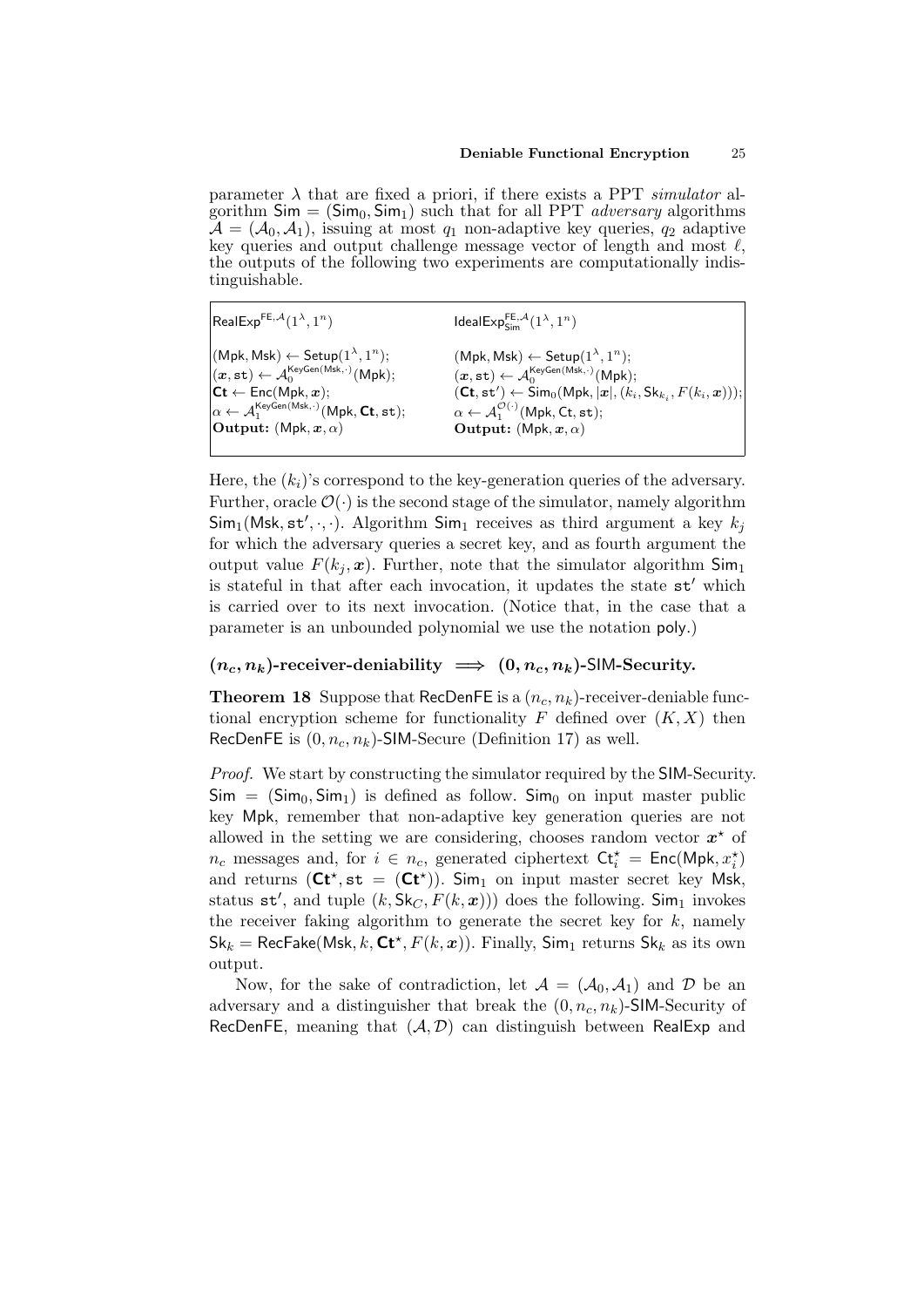parameter  $\lambda$  that are fixed a priori, if there exists a PPT simulator algorithm  $Sim = (Sim_0, Sim_1)$  such that for all PPT *adversary* algorithms  $\mathcal{A} = (\mathcal{A}_0, \mathcal{A}_1)$ , issuing at most  $q_1$  non-adaptive key queries,  $q_2$  adaptive key queries and output challenge message vector of length and most  $\ell$ , the outputs of the following two experiments are computationally indistinguishable.

RealExp<sup>FE, $A(1^{\lambda}, 1^n)$ </sup>  $(Mpk, Msk) \leftarrow Setup(1^{\lambda}, 1^n);$  $(\boldsymbol{x}, \mathtt{st}) \leftarrow \mathcal{A}_0^{\mathsf{KeyGen}(\mathsf{Msk}, \cdot)}(\mathsf{Mpk});$  $\mathsf{Ct} \leftarrow \mathsf{Enc}(\mathsf{Mpk}, \boldsymbol{x});$  $\alpha \leftarrow \mathcal{A}_1^{\mathsf{KeyGen(Msk, \cdot)}}(\mathsf{Mpk}, \mathsf{Ct}, \mathtt{st});$ Output:  $(Mpk, x, \alpha)$  $\mathsf{IdealExp}_{\mathsf{Sim}}^{\mathsf{FE},\mathcal{A}}(1^\lambda,1^n)$  $(Mpk, Msk) \leftarrow Setup(1^{\lambda}, 1^n);$  $(\boldsymbol{x}, \mathtt{st}) \leftarrow \mathcal{A}_0^{\mathsf{KeyGen}(\mathsf{Msk}, \cdot)}(\mathsf{Mpk});$  $(\mathsf{C} \mathsf{t},\mathsf{st}') \leftarrow \mathsf{Sim}_0(\mathsf{Mpk}, |\boldsymbol{x}|, (k_i,\mathsf{Sk}_{k_i},F(k_i,\boldsymbol{x}))),$  $\alpha \leftarrow \mathcal{A}_1^{\mathcal{O}(\cdot)}(\mathsf{Mpk},\mathsf{Ct},\mathsf{st});$ Output:  $(Mpk, x, \alpha)$ 

Here, the  $(k<sub>i</sub>)$ 's correspond to the key-generation queries of the adversary. Further, oracle  $\mathcal{O}(\cdot)$  is the second stage of the simulator, namely algorithm  $\textsf{Sim}_1(\textsf{Msk}, \textsf{st}', \cdot, \cdot)$ . Algorithm  $\textsf{Sim}_1$  receives as third argument a key  $k_j$ for which the adversary queries a secret key, and as fourth argument the output value  $F(k_i, x)$ . Further, note that the simulator algorithm  $\mathsf{Sim}_1$ is stateful in that after each invocation, it updates the state  $st'$  which is carried over to its next invocation. (Notice that, in the case that a parameter is an unbounded polynomial we use the notation poly.)

# $(n_c, n_k)$ -receiver-deniability  $\implies (0, n_c, n_k)$ -SIM-Security.

**Theorem 18** Suppose that RecDenFE is a  $(n_c, n_k)$ -receiver-deniable functional encryption scheme for functionality F defined over  $(K, X)$  then RecDenFE is  $(0, n_c, n_k)$ -SIM-Secure (Definition 17) as well.

Proof. We start by constructing the simulator required by the SIM-Security.  $\mathsf{Sim} = (\mathsf{Sim}_0, \mathsf{Sim}_1)$  is defined as follow.  $\mathsf{Sim}_0$  on input master public key Mpk, remember that non-adaptive key generation queries are not allowed in the setting we are considering, chooses random vector  $x^*$  of  $n_c$  messages and, for  $i \in n_c$ , generated ciphertext  $\mathsf{C} \mathsf{t}_i^{\star} = \mathsf{Enc}(\mathsf{Mpk}, x_i^{\star})$ and returns  $(Ct^*, st = (Ct^*)$ . Sim<sub>1</sub> on input master secret key Msk, status  $st'$ , and tuple  $(k, Sk_C, F(k, x)))$  does the following. Sim<sub>1</sub> invokes the receiver faking algorithm to generate the secret key for  $k$ , namely  $\mathsf{Sk}_k = \mathsf{RecFake}(\mathsf{Msk}, k, \mathsf{Ct}^\star, F(k, x)).$  Finally,  $\mathsf{Sim}_1$  returns  $\mathsf{Sk}_k$  as its own output.

Now, for the sake of contradiction, let  $A = (\mathcal{A}_0, \mathcal{A}_1)$  and  $\mathcal{D}$  be an adversary and a distinguisher that break the  $(0, n_c, n_k)$ -SIM-Security of RecDenFE, meaning that  $(A, \mathcal{D})$  can distinguish between RealExp and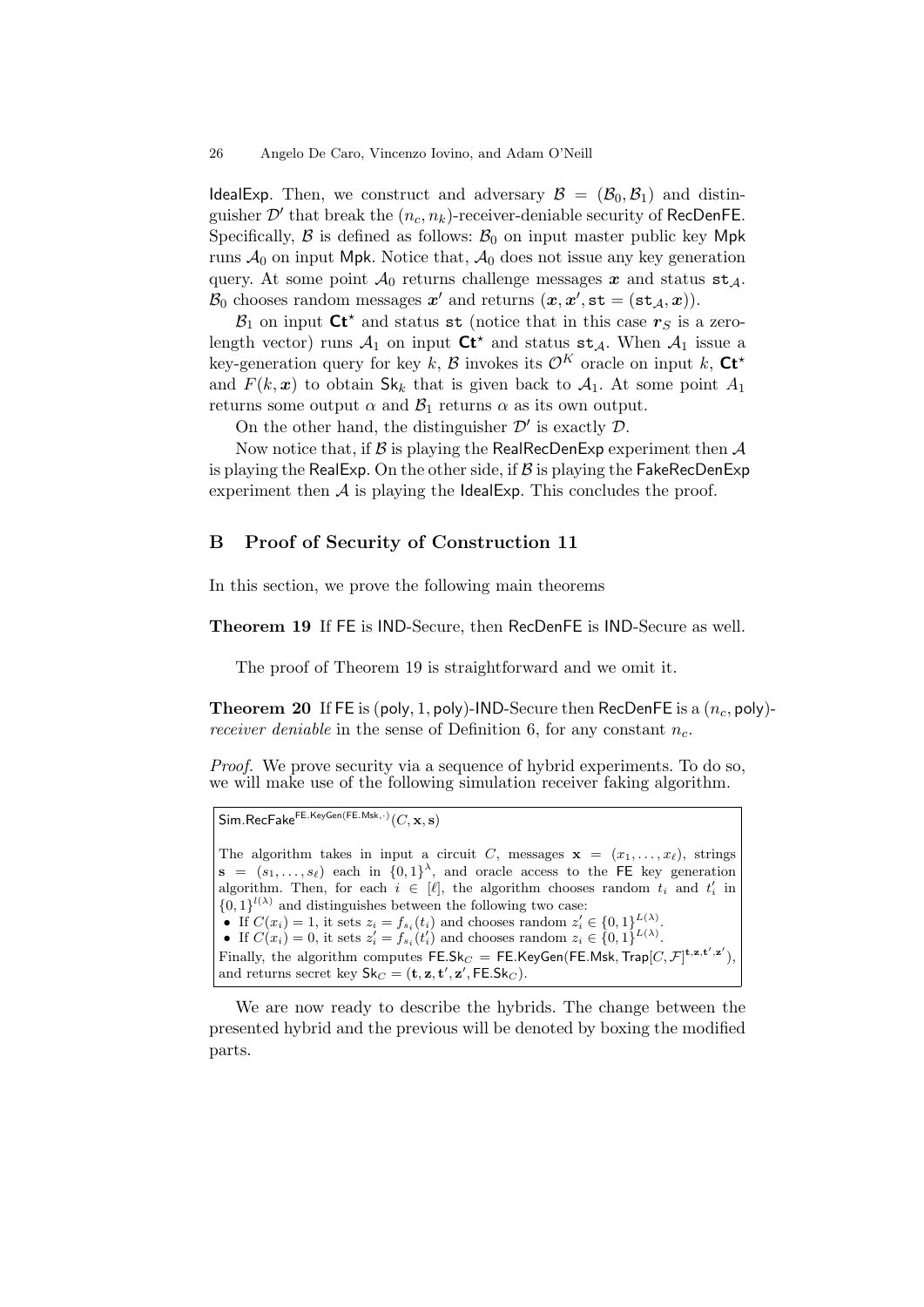IdealExp. Then, we construct and adversary  $\mathcal{B} = (\mathcal{B}_0, \mathcal{B}_1)$  and distinguisher  $\mathcal{D}'$  that break the  $(n_c, n_k)$ -receiver-deniable security of RecDenFE. Specifically,  $\beta$  is defined as follows:  $\beta_0$  on input master public key Mpk runs  $A_0$  on input Mpk. Notice that,  $A_0$  does not issue any key generation query. At some point  $\mathcal{A}_0$  returns challenge messages x and status st<sub>A</sub>.  $\mathcal{B}_0$  chooses random messages  $\mathbf{x}'$  and returns  $(\mathbf{x}, \mathbf{x}', \mathtt{st} = (\mathtt{st}_{\mathcal{A}}, \mathbf{x})).$ 

 $\mathcal{B}_1$  on input  $\mathsf{C}t^*$  and status st (notice that in this case  $r_S$  is a zerolength vector) runs  $A_1$  on input  $\mathsf{C}t^*$  and status  $st_A$ . When  $A_1$  issue a key-generation query for key k, B invokes its  $\mathcal{O}^K$  oracle on input k,  $\mathsf{C} \mathsf{t}^*$ and  $F(k, x)$  to obtain  $\mathsf{Sk}_k$  that is given back to  $\mathcal{A}_1$ . At some point  $A_1$ returns some output  $\alpha$  and  $\beta_1$  returns  $\alpha$  as its own output.

On the other hand, the distinguisher  $\mathcal{D}'$  is exactly  $\mathcal{D}$ .

Now notice that, if  $\mathcal B$  is playing the RealRecDenExp experiment then  $\mathcal A$ is playing the RealExp. On the other side, if  $\beta$  is playing the FakeRecDenExp experiment then  $A$  is playing the **IdealExp**. This concludes the proof.

# B Proof of Security of Construction 11

In this section, we prove the following main theorems

Theorem 19 If FE is IND-Secure, then RecDenFE is IND-Secure as well.

The proof of Theorem 19 is straightforward and we omit it.

**Theorem 20** If FE is (poly, 1, poly)-IND-Secure then RecDenFE is a  $(n_c, \text{poly})$ receiver deniable in the sense of Definition 6, for any constant  $n_c$ .

Proof. We prove security via a sequence of hybrid experiments. To do so, we will make use of the following simulation receiver faking algorithm.

```
Sim. RecFake<sup>FE.KeyGen(FE.Msk,·)}(C, \mathbf{x}, \mathbf{s})
```
The algorithm takes in input a circuit C, messages  $\mathbf{x} = (x_1, \ldots, x_\ell)$ , strings  $\mathbf{s} = (s_1, \ldots, s_\ell)$  each in  $\{0,1\}^{\lambda}$ , and oracle access to the FE key generation algorithm. Then, for each  $i \in [\ell]$ , the algorithm chooses random  $t_i$  and  $t'_i$  in  ${0,1}^{l(\lambda)}$  and distinguishes between the following two case: • If  $C(x_i) = 1$ , it sets  $z_i = f_{s_i}(t_i)$  and chooses random  $z'_i \in \{0,1\}^{L(\lambda)}_{\tau(i)}$ . • If  $C(x_i) = 0$ , it sets  $z'_i = f_{s_i}(t'_i)$  and chooses random  $z_i \in \{0,1\}^{L(\lambda)}$ . Finally, the algorithm computes  $\mathsf{FE}.\mathsf{Sk}_C = \mathsf{FE}.\mathsf{KeyGen}(\mathsf{FE}.\mathsf{Msk},\mathsf{Trap}[C,\mathcal{F}]^{\mathbf{t},\mathbf{z},\mathbf{t}',\mathbf{z}'}),$ and returns secret key  $\mathsf{Sk}_C = (\mathbf{t}, \mathbf{z}, \mathbf{t}', \mathbf{z}', \mathsf{FE}.\mathsf{Sk}_C).$ 

We are now ready to describe the hybrids. The change between the presented hybrid and the previous will be denoted by boxing the modified parts.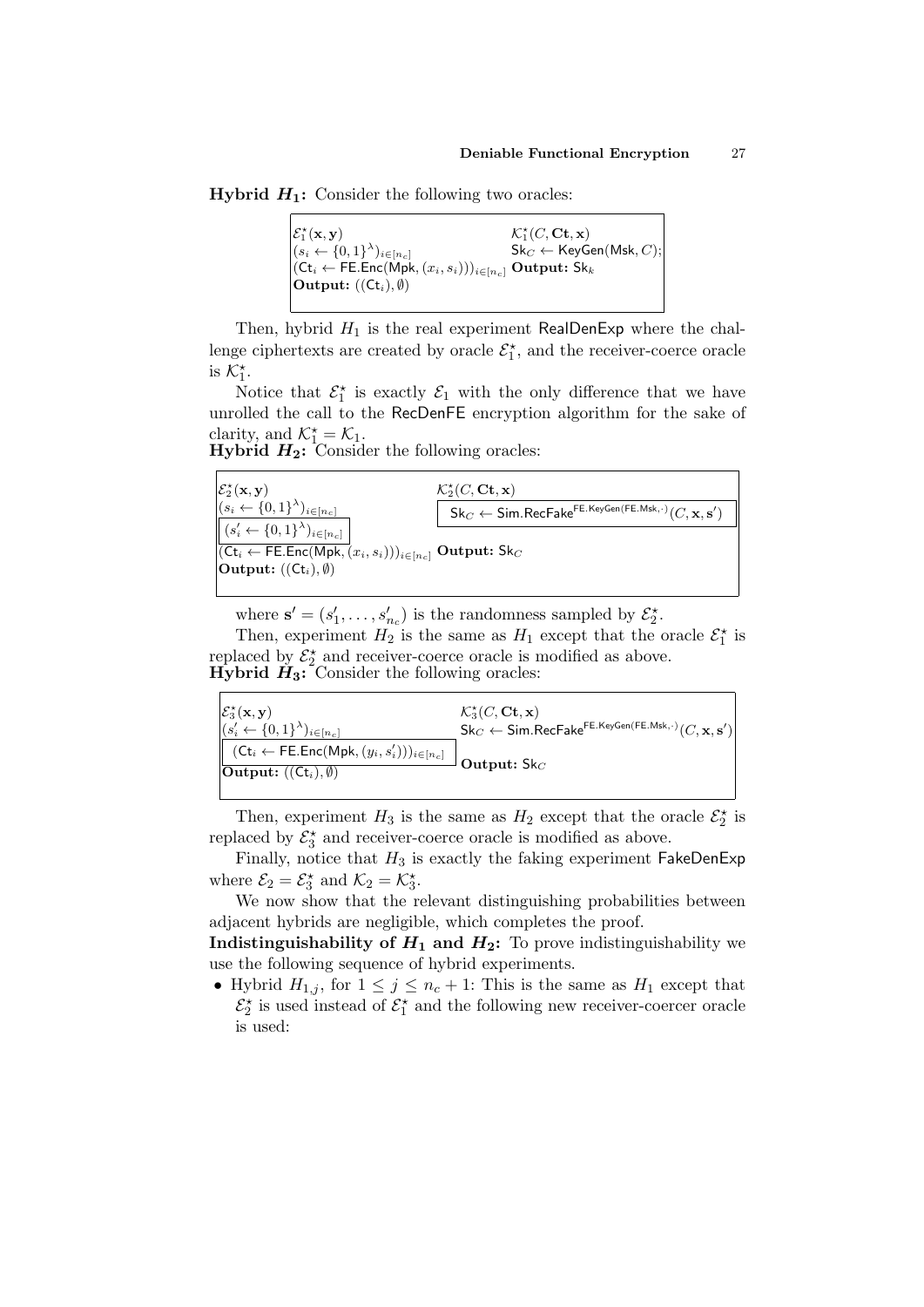**Hybrid**  $H_1$ **:** Consider the following two oracles:

|                                                                                                                                                                  | $\mathcal{K}_1^{\star}(C, \mathbf{C} \mathbf{t}, \mathbf{x})$ |
|------------------------------------------------------------------------------------------------------------------------------------------------------------------|---------------------------------------------------------------|
| $\begin{cases} \mathcal{E}_1^{\star}(\mathbf{x}, \mathbf{y}) \\ (s_i \leftarrow \{0, 1\}^{\lambda})_{i \in [n_c]} \\ (s_i \in \mathbb{Z})^{\lambda} \end{cases}$ | $\mathsf{Sk}_C \leftarrow \mathsf{KeyGen}(\mathsf{Msk}, C);$  |
| $ (Ct_i \leftarrow \mathsf{FE}.\mathsf{Enc}(\mathsf{Mpk},(x_i,s_i)))_{i \in [n_c]}$ Output: Sk <sub>k</sub>                                                      |                                                               |
| $ $ <b>Output:</b> $((Ct_i), \emptyset)$                                                                                                                         |                                                               |
|                                                                                                                                                                  |                                                               |

Then, hybrid  $H_1$  is the real experiment RealDenExp where the challenge ciphertexts are created by oracle  $\mathcal{E}_1^*$ , and the receiver-coerce oracle is  $\mathcal{K}_1^*$ .

Notice that  $\mathcal{E}_1^{\star}$  is exactly  $\mathcal{E}_1$  with the only difference that we have unrolled the call to the RecDenFE encryption algorithm for the sake of clarity, and  $\mathcal{K}_1^* = \mathcal{K}_1$ .

| <b>Hybrid <math>H_2</math>:</b> Consider the following oracles: |  |  |  |  |
|-----------------------------------------------------------------|--|--|--|--|
|-----------------------------------------------------------------|--|--|--|--|

| $\begin{cases} \mathcal{E}_2^{\star}(\mathbf{x}, \mathbf{y}) \\ (s_i \leftarrow \{0, 1\}^{\lambda})_{i \in [n_c]} \end{cases}$        | $\mathcal{K}_2^{\star}(C, \mathbf{C} \mathbf{t}, \mathbf{x})$                                                                                     |
|---------------------------------------------------------------------------------------------------------------------------------------|---------------------------------------------------------------------------------------------------------------------------------------------------|
|                                                                                                                                       | $\mathsf{Sk}_C \leftarrow \mathsf{Sim}.\mathsf{RecFalse}^{\mathsf{FE}.\mathsf{KeyGen}(\mathsf{FE}.\mathsf{Msk},\cdot)}(C,\mathbf{x},\mathbf{s}')$ |
| $\left  (s_i' \leftarrow \{0,1\}^{\lambda})_{i \in [n_c]} \right $                                                                    |                                                                                                                                                   |
| $\sqrt{\left(\mathsf{C}t_i \leftarrow \mathsf{FE}.\mathsf{Enc}(\mathsf{Mpk}, (x_i, s_i))\right)_{i \in [n_c]} \mathsf{Output: Sk}_C}$ |                                                                                                                                                   |
| <b>Output:</b> $((Ct_i), \emptyset)$                                                                                                  |                                                                                                                                                   |
|                                                                                                                                       |                                                                                                                                                   |

where  $\mathbf{s}' = (s'_1, \ldots, s'_{n_c})$  is the randomness sampled by  $\mathcal{E}_2^{\star}$ .

Then, experiment  $H_2$  is the same as  $H_1$  except that the oracle  $\mathcal{E}_1^*$  is replaced by  $\mathcal{E}_2^*$  and receiver-coerce oracle is modified as above. **Hyperid**  $\hat{H}_3$ **:** Consider the following oracles:

| $\mathcal{E}_3^{\star}(\mathbf{x}, \mathbf{y})$<br>$ (s'_{i} \leftarrow \{0,1\}^{\lambda})_{i \in [n_{c}]}$                          | $\mathcal{K}_3^{\star}(C, \mathbf{C} \mathbf{t}, \mathbf{x})$<br>$\mathsf{Sk}_C \leftarrow \mathsf{Sim}.\mathsf{RecFake}^{\mathsf{FE}.\mathsf{KeyGen}(\mathsf{FE}.\mathsf{Msk}, \cdot)}(C, \mathbf{x}, \mathbf{s}')$ |
|--------------------------------------------------------------------------------------------------------------------------------------|----------------------------------------------------------------------------------------------------------------------------------------------------------------------------------------------------------------------|
| $_1$ $(\mathsf{Ct}_i \leftarrow \mathsf{FE}.\mathsf{Enc}(\mathsf{Mpk},(y_i,s'_i)))_{i \in [n_c]}$<br>$[Output: ((Ct_i), \emptyset)]$ | Output: $Sk_C$                                                                                                                                                                                                       |
|                                                                                                                                      |                                                                                                                                                                                                                      |

Then, experiment  $H_3$  is the same as  $H_2$  except that the oracle  $\mathcal{E}_2^*$  is replaced by  $\mathcal{E}_3^{\star}$  and receiver-coerce oracle is modified as above.

Finally, notice that  $H_3$  is exactly the faking experiment FakeDenExp where  $\mathcal{E}_2 = \mathcal{E}_3^*$  and  $\mathcal{K}_2 = \mathcal{K}_3^*$ .

We now show that the relevant distinguishing probabilities between adjacent hybrids are negligible, which completes the proof.

**Indistinguishability of**  $H_1$  **and**  $H_2$ **:** To prove indistinguishability we use the following sequence of hybrid experiments.

• Hybrid  $H_{1,j}$ , for  $1 \leq j \leq n_c + 1$ : This is the same as  $H_1$  except that  $\mathcal{E}_2^{\star}$  is used instead of  $\mathcal{E}_1^{\star}$  and the following new receiver-coercer oracle is used: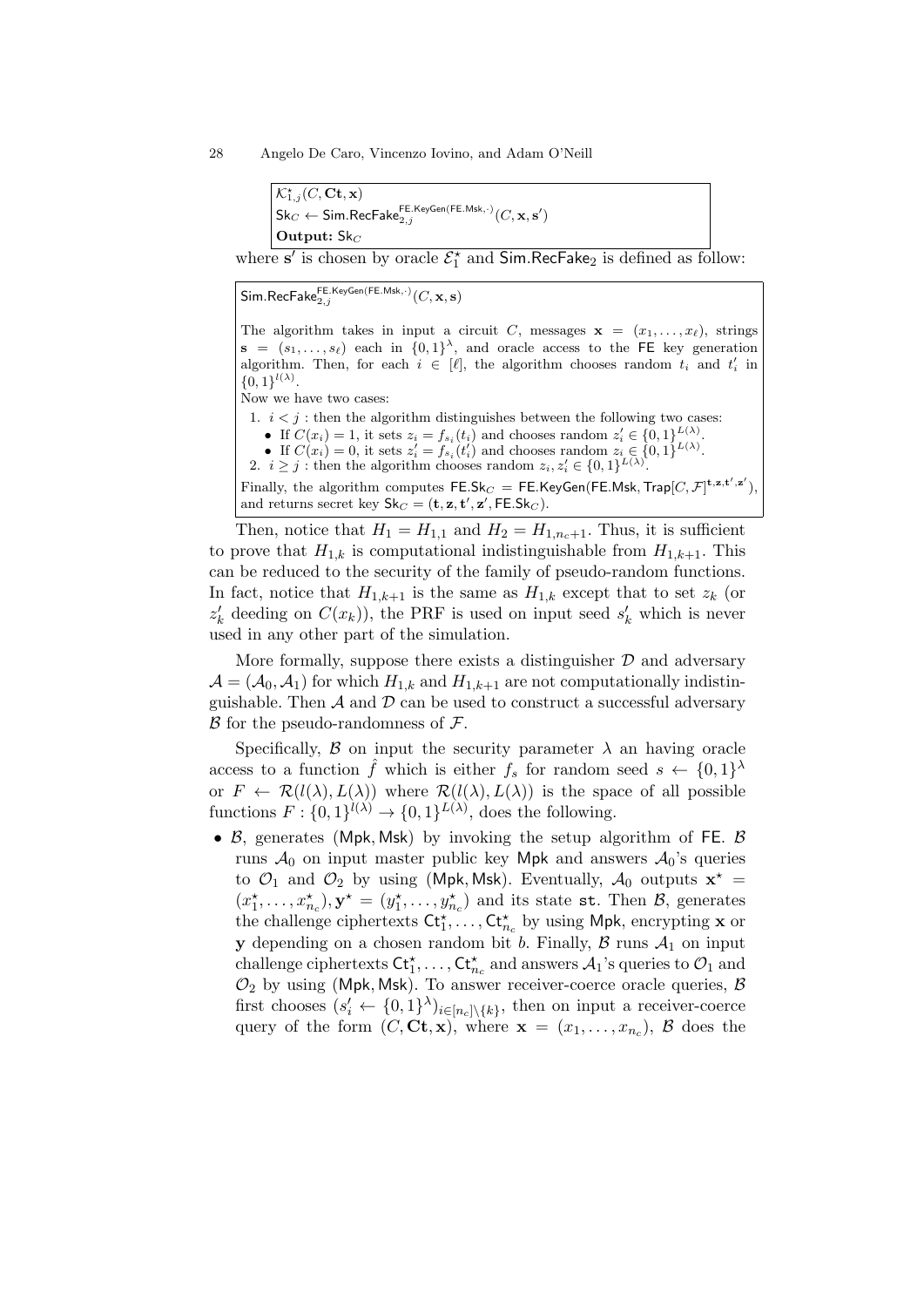```
\mathcal{K}^{\star}_{1,j}(C,\mathbf{C}\mathbf{t},\mathbf{x})\mathsf{Sk}_C \leftarrow \mathsf{Sim}.\mathsf{RecFake}_{2,j}^{\mathsf{FE}.\mathsf{KeyGen}(\mathsf{FE}.\mathsf{Ms}\boldsymbol{\mathsf{K}},\cdot)}(C,\mathbf{x},\mathbf{s}')Output: Sk_C
```
where  $s'$  is chosen by oracle  $\mathcal{E}_1^{\star}$  and  $Sim-RecFake_2$  is defined as follow:

 $\mathsf{Sim}.\mathsf{RecFake}_{2,j}^{\mathsf{FE}.\mathsf{KeyGen}(\mathsf{FE}.\mathsf{Ms},\cdot)}(C,\mathbf{x},\mathbf{s})$ The algorithm takes in input a circuit C, messages  $\mathbf{x} = (x_1, \ldots, x_\ell)$ , strings  $\mathbf{s} = (s_1, \ldots, s_\ell)$  each in  $\{0,1\}^\lambda$ , and oracle access to the FE key generation algorithm. Then, for each  $i \in [\ell]$ , the algorithm chooses random  $t_i$  and  $t'_i$  in  ${0,1\}^{l(\lambda)}.$ Now we have two cases: 1.  $i < j$ : then the algorithm distinguishes between the following two cases: • If  $C(x_i) = 1$ , it sets  $z_i = f_{s_i}(t_i)$  and chooses random  $z'_i \in \{0,1\}^{L(\lambda)}$ . • If  $C(x_i) = 0$ , it sets  $z'_i = f_{s_i}(t'_i)$  and chooses random  $z_i \in \{0,1\}^{L(\lambda)}$ . 2.  $i \geq j$ : then the algorithm chooses random  $z_i, z'_i \in \{0, 1\}^{L(\lambda)}$ . Finally, the algorithm computes  $\mathsf{FE}.\mathsf{Sk}_C = \mathsf{FE}.\mathsf{KeyGen}(\mathsf{FE}.\mathsf{Msk},\mathsf{Trap}[C,\mathcal{F}]^{\mathsf{t},\mathbf{z},\mathsf{t}',\mathbf{z}'}$ ), and returns secret key  $\mathsf{Sk}_C = (\mathbf{t}, \mathbf{z}, \mathbf{t}', \mathbf{z}', \mathsf{FE}.\mathsf{Sk}_C).$ 

Then, notice that  $H_1 = H_{1,1}$  and  $H_2 = H_{1,n_c+1}$ . Thus, it is sufficient to prove that  $H_{1,k}$  is computational indistinguishable from  $H_{1,k+1}$ . This can be reduced to the security of the family of pseudo-random functions. In fact, notice that  $H_{1,k+1}$  is the same as  $H_{1,k}$  except that to set  $z_k$  (or  $z'_{k}$  deeding on  $C(x_{k})$ ), the PRF is used on input seed  $s'_{k}$  which is never used in any other part of the simulation.

More formally, suppose there exists a distinguisher  $D$  and adversary  $\mathcal{A} = (\mathcal{A}_0, \mathcal{A}_1)$  for which  $H_{1,k}$  and  $H_{1,k+1}$  are not computationally indistinguishable. Then  $A$  and  $D$  can be used to construct a successful adversary  $\beta$  for the pseudo-randomness of  $\mathcal{F}$ .

Specifically,  $\beta$  on input the security parameter  $\lambda$  an having oracle access to a function  $\hat{f}$  which is either  $f_s$  for random seed  $s \leftarrow \{0,1\}^{\lambda}$ or  $F \leftarrow \mathcal{R}(l(\lambda), L(\lambda))$  where  $\mathcal{R}(l(\lambda), L(\lambda))$  is the space of all possible functions  $F: \{0,1\}^{l(\lambda)} \to \{0,1\}^{L(\lambda)}$ , does the following.

•  $\beta$ , generates (Mpk, Msk) by invoking the setup algorithm of FE.  $\beta$ runs  $\mathcal{A}_0$  on input master public key Mpk and answers  $\mathcal{A}_0$ 's queries to  $\mathcal{O}_1$  and  $\mathcal{O}_2$  by using (Mpk, Msk). Eventually,  $\mathcal{A}_0$  outputs  $\mathbf{x}^*$  =  $(x_1^*,\ldots,x_{n_c}^*),$   $\mathbf{y}^* = (y_1^*,\ldots,y_{n_c}^*)$  and its state st. Then  $\mathcal{B}$ , generates the challenge ciphertexts  $\mathsf{Ct}_1^{\star}, \ldots, \mathsf{Ct}_{n_c}^{\star}$  by using Mpk, encrypting **x** or y depending on a chosen random bit b. Finally,  $\beta$  runs  $\mathcal{A}_1$  on input challenge ciphertexts  $\mathsf{C}t_1^{\star},\ldots,\mathsf{C}t_{n_c}^{\star}$  and answers  $\mathcal{A}_1$ 's queries to  $\mathcal{O}_1$  and  $\mathcal{O}_2$  by using (Mpk, Msk). To answer receiver-coerce oracle queries,  $\beta$ first chooses  $(s'_i \leftarrow \{0,1\}^{\lambda})_{i \in [n_c] \setminus \{k\}},$  then on input a receiver-coerce query of the form  $(C, Ct, x)$ , where  $\mathbf{x} = (x_1, \ldots, x_{n_c}), \mathcal{B}$  does the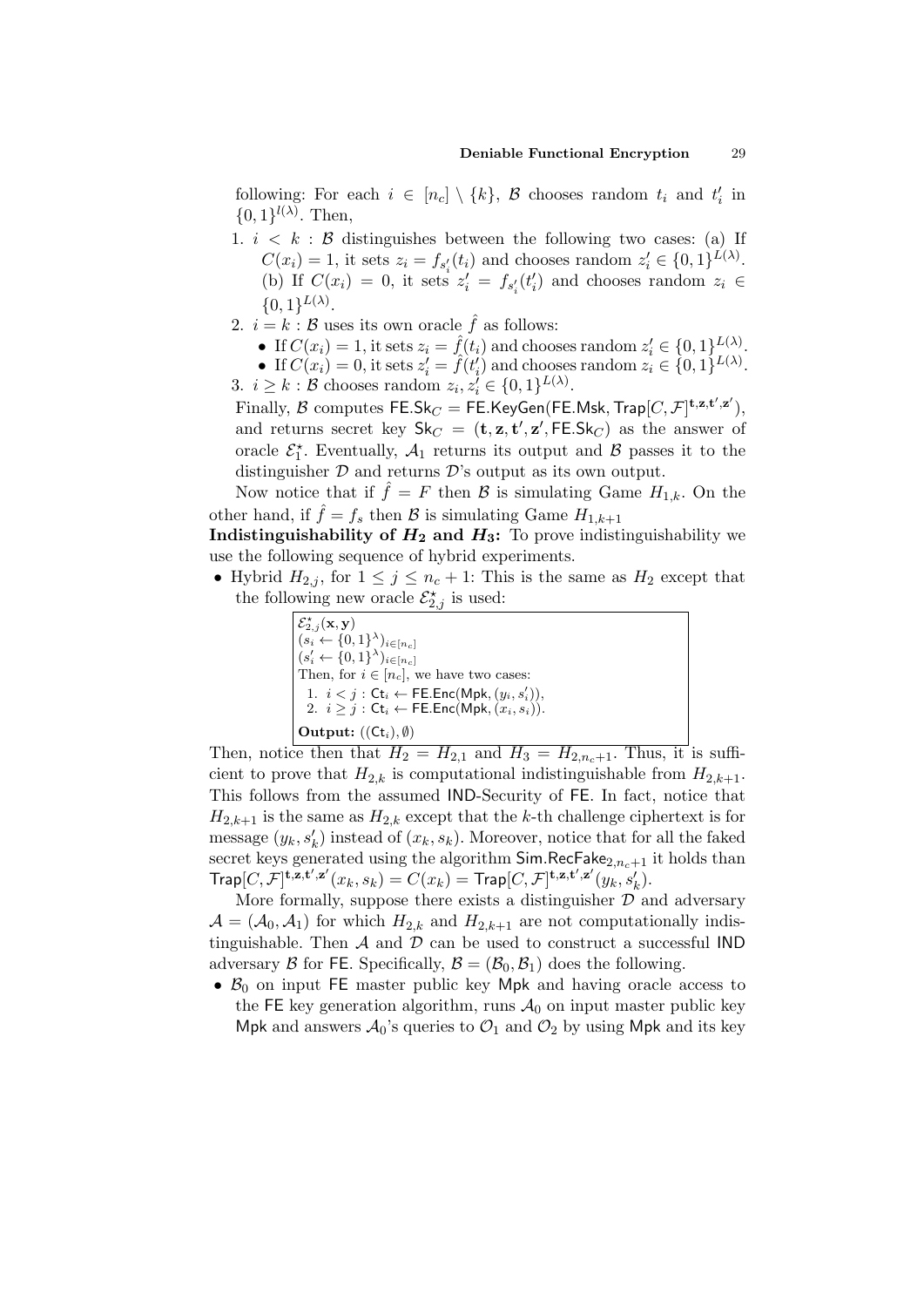following: For each  $i \in [n_c] \setminus \{k\}$ ,  $\beta$  chooses random  $t_i$  and  $t'_i$  in  $\{0,1\}^{l(\lambda)}$ . Then,

- 1.  $i \leq k : \mathcal{B}$  distinguishes between the following two cases: (a) If  $C(x_i) = 1$ , it sets  $z_i = f_{s_i'}(t_i)$  and chooses random  $z_i' \in \{0, 1\}^{L(\lambda)}$ . (b) If  $C(x_i) = 0$ , it sets  $z'_i = f_{s'_i}(t'_i)$  and chooses random  $z_i \in$  $\{0,1\}^{L(\lambda)}$ .
- 2.  $i = k : \mathcal{B}$  uses its own oracle  $\hat{f}$  as follows:
	- If  $C(x_i) = 1$ , it sets  $z_i = \hat{f}(t_i)$  and chooses random  $z'_i \in \{0,1\}^{L(\lambda)}_{L(\lambda)}$ .
	- If  $C(x_i) = 0$ , it sets  $z'_i = \hat{f}(t'_i)$  and chooses random  $z_i \in \{0,1\}^{L(\lambda)}$ .

3.  $i \geq k : \mathcal{B}$  chooses random  $z_i, z_i' \in \{0, 1\}^{L(\lambda)}$ .

Finally,  $\mathcal B$  computes  $\mathsf{FE}.\mathsf{Sk}_C = \mathsf{FE}.\mathsf{KeyGen}(\mathsf{FE}.\mathsf{Msk},\mathsf{Trap}[C,\mathcal F]^{\mathbf t,\mathbf z,\mathbf t',\mathbf z'}),$ and returns secret key  $\mathsf{Sk}_C = (\mathbf{t}, \mathbf{z}, \mathbf{t}', \mathbf{z}', \mathsf{FE}.\mathsf{Sk}_C)$  as the answer of oracle  $\mathcal{E}_1^*$ . Eventually,  $\mathcal{A}_1$  returns its output and  $\mathcal{B}$  passes it to the distinguisher  $D$  and returns  $D$ 's output as its own output.

Now notice that if  $\hat{f} = F$  then  $\hat{\mathcal{B}}$  is simulating Game  $H_{1,k}$ . On the other hand, if  $\hat{f} = f_s$  then B is simulating Game  $H_{1,k+1}$ 

Indistinguishability of  $H_2$  and  $H_3$ : To prove indistinguishability we use the following sequence of hybrid experiments.

• Hybrid  $H_{2,j}$ , for  $1 \leq j \leq n_c + 1$ : This is the same as  $H_2$  except that the following new oracle  $\mathcal{E}_{2,j}^{\star}$  is used:

> $\mathcal{E}_{2,j}^{\star}(\mathbf{x},\mathbf{y})$  $(s_i \leftarrow \{0,1\}^{\lambda})_{i \in [n_c]}$  $(s'_i \leftarrow \{0,1\}^{\lambda})_{i \in [n_c]}$ Then, for  $i \in [n_c]$ , we have two cases: 1.  $i < j$ : Ct<sub>i</sub>  $\leftarrow$  FE.Enc(Mpk,  $(y_i, s'_i)$ ), 2.  $i \geq j$ : Ct<sub>i</sub>  $\leftarrow$  FE.Enc(Mpk,  $(x_i, s_i)$ ). Output:  $((\mathsf{Ct}_i), \emptyset)$

Then, notice then that  $H_2 = H_{2,1}$  and  $H_3 = H_{2,n_c+1}$ . Thus, it is sufficient to prove that  $H_{2,k}$  is computational indistinguishable from  $H_{2,k+1}$ . This follows from the assumed IND-Security of FE. In fact, notice that  $H_{2,k+1}$  is the same as  $H_{2,k}$  except that the k-th challenge ciphertext is for message  $(y_k, s'_k)$  instead of  $(x_k, s_k)$ . Moreover, notice that for all the faked secret keys generated using the algorithm  $SimRecFake_{2,n-1}$  it holds than  $\mathsf{Trap}[C,\mathcal{F}]^{\mathbf{t},\mathbf{z},\mathbf{t}',\mathbf{z}'}(x_k,s_k)=C(x_k)=\mathsf{Trap}[C,\mathcal{F}]^{\mathbf{t},\mathbf{z},\mathbf{t}',\mathbf{z}'}(y_k,s'_k).$ 

More formally, suppose there exists a distinguisher  $\mathcal D$  and adversary  $\mathcal{A} = (\mathcal{A}_0, \mathcal{A}_1)$  for which  $H_{2,k}$  and  $H_{2,k+1}$  are not computationally indistinguishable. Then  $A$  and  $D$  can be used to construct a successful IND adversary B for FE. Specifically,  $\mathcal{B} = (\mathcal{B}_0, \mathcal{B}_1)$  does the following.

•  $\mathcal{B}_0$  on input FE master public key Mpk and having oracle access to the FE key generation algorithm, runs  $A_0$  on input master public key Mpk and answers  $\mathcal{A}_0$ 's queries to  $\mathcal{O}_1$  and  $\mathcal{O}_2$  by using Mpk and its key